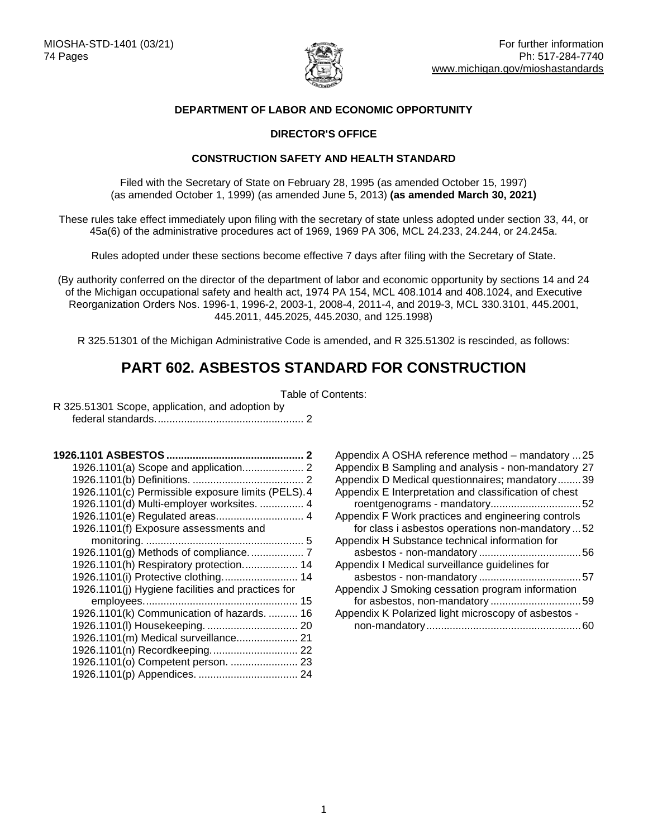

# **DEPARTMENT OF LABOR AND ECONOMIC OPPORTUNITY**

# **DIRECTOR'S OFFICE**

### **CONSTRUCTION SAFETY AND HEALTH STANDARD**

Filed with the Secretary of State on February 28, 1995 (as amended October 15, 1997) (as amended October 1, 1999) (as amended June 5, 2013) **(as amended March 30, 2021)** 

These rules take effect immediately upon filing with the secretary of state unless adopted under section 33, 44, or 45a(6) of the administrative procedures act of 1969, 1969 PA 306, MCL 24.233, 24.244, or 24.245a.

Rules adopted under these sections become effective 7 days after filing with the Secretary of State.

(By authority conferred on the director of the department of labor and economic opportunity by sections 14 and 24 of the Michigan occupational safety and health act, 1974 PA 154, MCL 408.1014 and 408.1024, and Executive Reorganization Orders Nos. 1996-1, 1996-2, 2003-1, 2008-4, 2011-4, and 2019-3, MCL 330.3101, 445.2001, 445.2011, 445.2025, 445.2030, and 125.1998)

R 325.51301 of the Michigan Administrative Code is amended, and R 325.51302 is rescinded, as follows:

# **PART 602. ASBESTOS STANDARD FOR CONSTRUCTION**

|                                                 | Table of Contents: |
|-------------------------------------------------|--------------------|
| R 325.51301 Scope, application, and adoption by |                    |
|                                                 |                    |

<span id="page-0-0"></span>

| Appendix A OSHA reference method - mandatory 25       |
|-------------------------------------------------------|
| Appendix B Sampling and analysis - non-mandatory 27   |
| Appendix D Medical questionnaires; mandatory39        |
| Appendix E Interpretation and classification of chest |
|                                                       |
| Appendix F Work practices and engineering controls    |
| for class i asbestos operations non-mandatory  52     |
| Appendix H Substance technical information for        |
|                                                       |
| Appendix I Medical surveillance guidelines for        |
|                                                       |
| Appendix J Smoking cessation program information      |
|                                                       |
| Appendix K Polarized light microscopy of asbestos -   |
|                                                       |
|                                                       |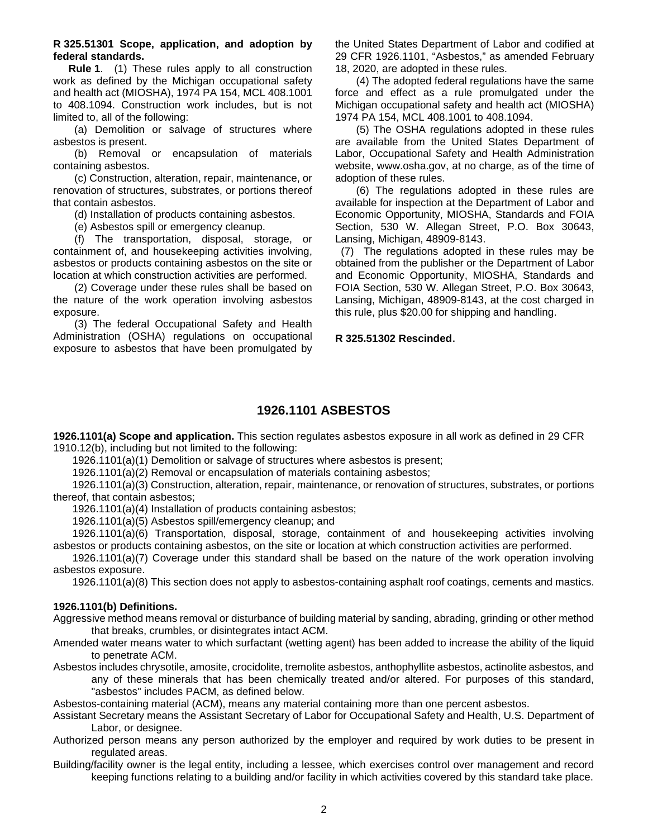**R 325.51301 Scope, application, and adoption by federal standards.** 

**Rule 1**. (1) These rules apply to all construction work as defined by the Michigan occupational safety and health act (MIOSHA), 1974 PA 154, MCL 408.1001 to 408.1094. Construction work includes, but is not limited to, all of the following:

 (a) Demolition or salvage of structures where asbestos is present.

 (b) Removal or encapsulation of materials containing asbestos.

 (c) Construction, alteration, repair, maintenance, or renovation of structures, substrates, or portions thereof that contain asbestos.

(d) Installation of products containing asbestos.

(e) Asbestos spill or emergency cleanup.

 (f) The transportation, disposal, storage, or containment of, and housekeeping activities involving, asbestos or products containing asbestos on the site or location at which construction activities are performed.

 (2) Coverage under these rules shall be based on the nature of the work operation involving asbestos exposure.

 (3) The federal Occupational Safety and Health Administration (OSHA) regulations on occupational exposure to asbestos that have been promulgated by the United States Department of Labor and codified at 29 CFR 1926.1101, "Asbestos," as amended February 18, 2020, are adopted in these rules.

 (4) The adopted federal regulations have the same force and effect as a rule promulgated under the Michigan occupational safety and health act (MIOSHA) 1974 PA 154, MCL 408.1001 to 408.1094.

 (5) The OSHA regulations adopted in these rules are available from the United States Department of Labor, Occupational Safety and Health Administration website, www.osha.gov, at no charge, as of the time of adoption of these rules.

 (6) The regulations adopted in these rules are available for inspection at the Department of Labor and Economic Opportunity, MIOSHA, Standards and FOIA Section, 530 W. Allegan Street, P.O. Box 30643, Lansing, Michigan, 48909-8143.

 (7) The regulations adopted in these rules may be obtained from the publisher or the Department of Labor and Economic Opportunity, MIOSHA, Standards and FOIA Section, 530 W. Allegan Street, P.O. Box 30643, Lansing, Michigan, 48909-8143, at the cost charged in this rule, plus \$20.00 for shipping and handling.

**R 325.51302 Rescinded**.

# **1926.1101 ASBESTOS**

<span id="page-1-1"></span><span id="page-1-0"></span>**1926.1101(a) Scope and application.** This section regulates asbestos exposure in all work as defined in 29 CFR 1910.12(b), including but not limited to the following:

1926.1101(a)(1) Demolition or salvage of structures where asbestos is present;

1926.1101(a)(2) Removal or encapsulation of materials containing asbestos;

1926.1101(a)(3) Construction, alteration, repair, maintenance, or renovation of structures, substrates, or portions thereof, that contain asbestos;

1926.1101(a)(4) Installation of products containing asbestos;

1926.1101(a)(5) Asbestos spill/emergency cleanup; and

1926.1101(a)(6) Transportation, disposal, storage, containment of and housekeeping activities involving asbestos or products containing asbestos, on the site or location at which construction activities are performed.

1926.1101(a)(7) Coverage under this standard shall be based on the nature of the work operation involving asbestos exposure.

1926.1101(a)(8) This section does not apply to asbestos-containing asphalt roof coatings, cements and mastics.

### <span id="page-1-2"></span>**[1926.1101\(b\)](http://www.osha.gov/pls/oshaweb/owalink.query_links?src_doc_type=STANDARDS&src_unique_file=1926_1101&src_anchor_name=1926.1101(b)) Definitions.**

Aggressive method means removal or disturbance of building material by sanding, abrading, grinding or other method that breaks, crumbles, or disintegrates intact ACM.

Amended water means water to which surfactant (wetting agent) has been added to increase the ability of the liquid to penetrate ACM.

Asbestos includes chrysotile, amosite, crocidolite, tremolite asbestos, anthophyllite asbestos, actinolite asbestos, and any of these minerals that has been chemically treated and/or altered. For purposes of this standard, "asbestos" includes PACM, as defined below.

Asbestos-containing material (ACM), means any material containing more than one percent asbestos.

Assistant Secretary means the Assistant Secretary of Labor for Occupational Safety and Health, U.S. Department of Labor, or designee.

Authorized person means any person authorized by the employer and required by work duties to be present in regulated areas.

Building/facility owner is the legal entity, including a lessee, which exercises control over management and record keeping functions relating to a building and/or facility in which activities covered by this standard take place.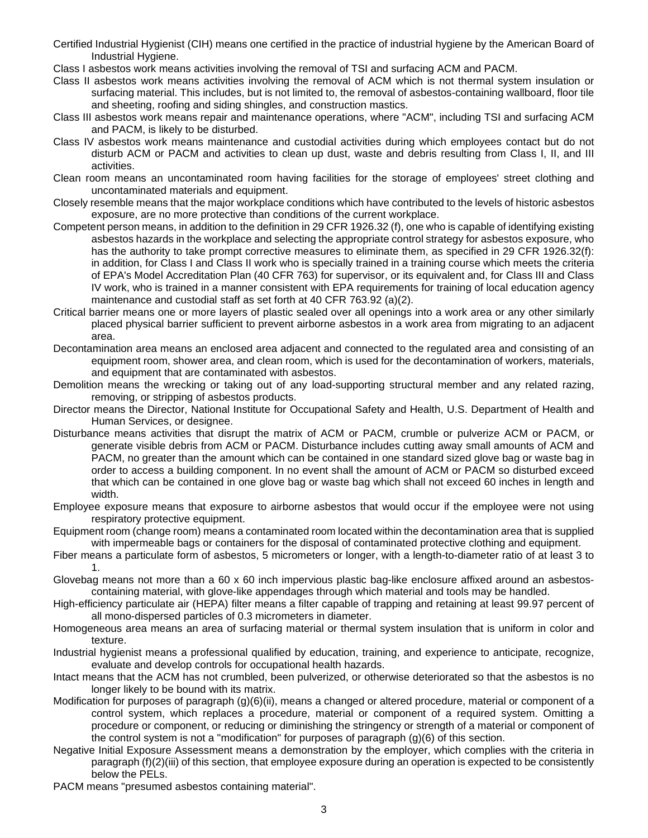- Certified Industrial Hygienist (CIH) means one certified in the practice of industrial hygiene by the American Board of Industrial Hygiene.
- Class I asbestos work means activities involving the removal of TSI and surfacing ACM and PACM.
- Class II asbestos work means activities involving the removal of ACM which is not thermal system insulation or surfacing material. This includes, but is not limited to, the removal of asbestos-containing wallboard, floor tile and sheeting, roofing and siding shingles, and construction mastics.
- Class III asbestos work means repair and maintenance operations, where "ACM", including TSI and surfacing ACM and PACM, is likely to be disturbed.
- Class IV asbestos work means maintenance and custodial activities during which employees contact but do not disturb ACM or PACM and activities to clean up dust, waste and debris resulting from Class I, II, and III activities.
- Clean room means an uncontaminated room having facilities for the storage of employees' street clothing and uncontaminated materials and equipment.
- Closely resemble means that the major workplace conditions which have contributed to the levels of historic asbestos exposure, are no more protective than conditions of the current workplace.
- Competent person means, in addition to the definition in 29 CFR 1926.32 (f), one who is capable of identifying existing asbestos hazards in the workplace and selecting the appropriate control strategy for asbestos exposure, who has the authority to take prompt corrective measures to eliminate them, as specified in 29 CFR 1926.32(f): in addition, for Class I and Class II work who is specially trained in a training course which meets the criteria of EPA's Model Accreditation Plan (40 CFR 763) for supervisor, or its equivalent and, for Class III and Class IV work, who is trained in a manner consistent with EPA requirements for training of local education agency maintenance and custodial staff as set forth at 40 CFR 763.92 (a)(2).
- Critical barrier means one or more layers of plastic sealed over all openings into a work area or any other similarly placed physical barrier sufficient to prevent airborne asbestos in a work area from migrating to an adjacent area.
- Decontamination area means an enclosed area adjacent and connected to the regulated area and consisting of an equipment room, shower area, and clean room, which is used for the decontamination of workers, materials, and equipment that are contaminated with asbestos.
- Demolition means the wrecking or taking out of any load-supporting structural member and any related razing, removing, or stripping of asbestos products.
- Director means the Director, National Institute for Occupational Safety and Health, U.S. Department of Health and Human Services, or designee.
- Disturbance means activities that disrupt the matrix of ACM or PACM, crumble or pulverize ACM or PACM, or generate visible debris from ACM or PACM. Disturbance includes cutting away small amounts of ACM and PACM, no greater than the amount which can be contained in one standard sized glove bag or waste bag in order to access a building component. In no event shall the amount of ACM or PACM so disturbed exceed that which can be contained in one glove bag or waste bag which shall not exceed 60 inches in length and width.
- Employee exposure means that exposure to airborne asbestos that would occur if the employee were not using respiratory protective equipment.
- Equipment room (change room) means a contaminated room located within the decontamination area that is supplied with impermeable bags or containers for the disposal of contaminated protective clothing and equipment.
- Fiber means a particulate form of asbestos, 5 micrometers or longer, with a length-to-diameter ratio of at least 3 to 1.
- Glovebag means not more than a 60 x 60 inch impervious plastic bag-like enclosure affixed around an asbestoscontaining material, with glove-like appendages through which material and tools may be handled.
- High-efficiency particulate air (HEPA) filter means a filter capable of trapping and retaining at least 99.97 percent of all mono-dispersed particles of 0.3 micrometers in diameter.
- Homogeneous area means an area of surfacing material or thermal system insulation that is uniform in color and texture.
- Industrial hygienist means a professional qualified by education, training, and experience to anticipate, recognize, evaluate and develop controls for occupational health hazards.
- Intact means that the ACM has not crumbled, been pulverized, or otherwise deteriorated so that the asbestos is no longer likely to be bound with its matrix.
- Modification for purposes of paragraph (g)(6)(ii), means a changed or altered procedure, material or component of a control system, which replaces a procedure, material or component of a required system. Omitting a procedure or component, or reducing or diminishing the stringency or strength of a material or component of the control system is not a "modification" for purposes of paragraph (g)(6) of this section.
- Negative Initial Exposure Assessment means a demonstration by the employer, which complies with the criteria in paragraph (f)(2)(iii) of this section, that employee exposure during an operation is expected to be consistently below the PELs.
- PACM means "presumed asbestos containing material".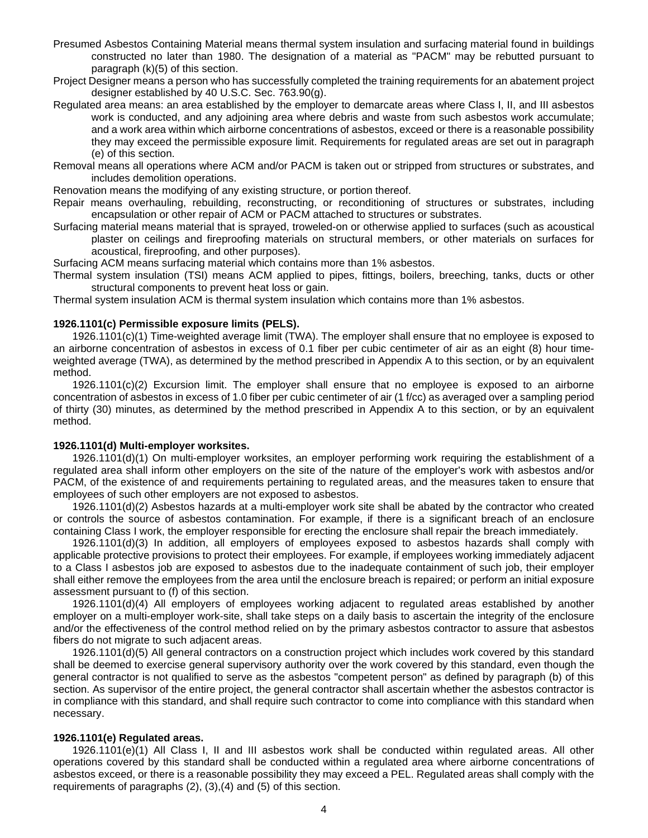- Presumed Asbestos Containing Material means thermal system insulation and surfacing material found in buildings constructed no later than 1980. The designation of a material as "PACM" may be rebutted pursuant to paragraph (k)(5) of this section.
- Project Designer means a person who has successfully completed the training requirements for an abatement project designer established by 40 U.S.C. Sec. 763.90(g).
- Regulated area means: an area established by the employer to demarcate areas where Class I, II, and III asbestos work is conducted, and any adjoining area where debris and waste from such asbestos work accumulate; and a work area within which airborne concentrations of asbestos, exceed or there is a reasonable possibility they may exceed the permissible exposure limit. Requirements for regulated areas are set out in paragraph (e) of this section.
- Removal means all operations where ACM and/or PACM is taken out or stripped from structures or substrates, and includes demolition operations.

Renovation means the modifying of any existing structure, or portion thereof.

- Repair means overhauling, rebuilding, reconstructing, or reconditioning of structures or substrates, including encapsulation or other repair of ACM or PACM attached to structures or substrates.
- Surfacing material means material that is sprayed, troweled-on or otherwise applied to surfaces (such as acoustical plaster on ceilings and fireproofing materials on structural members, or other materials on surfaces for acoustical, fireproofing, and other purposes).

Surfacing ACM means surfacing material which contains more than 1% asbestos.

Thermal system insulation (TSI) means ACM applied to pipes, fittings, boilers, breeching, tanks, ducts or other structural components to prevent heat loss or gain.

Thermal system insulation ACM is thermal system insulation which contains more than 1% asbestos.

### <span id="page-3-0"></span>**[1926.1101\(c\)](http://www.osha.gov/pls/oshaweb/owalink.query_links?src_doc_type=STANDARDS&src_unique_file=1926_1101&src_anchor_name=1926.1101(c)) Permissible exposure limits (PELS).**

[1926.1101\(c\)\(1\)](http://www.osha.gov/pls/oshaweb/owalink.query_links?src_doc_type=STANDARDS&src_unique_file=1926_1101&src_anchor_name=1926.1101(c)(1)) Time-weighted average limit (TWA). The employer shall ensure that no employee is exposed to an airborne concentration of asbestos in excess of 0.1 fiber per cubic centimeter of air as an eight (8) hour timeweighted average (TWA), as determined by the method prescribed in Appendix A to this section, or by an equivalent method.

1926.1101(c)(2) Excursion limit. The employer shall ensure that no employee is exposed to an airborne concentration of asbestos in excess of 1.0 fiber per cubic centimeter of air (1 f/cc) as averaged over a sampling period of thirty (30) minutes, as determined by the method prescribed in Appendix A to this section, or by an equivalent method.

### <span id="page-3-1"></span>**1926.1101(d) Multi-employer worksites.**

1926.1101(d)(1) On multi-employer worksites, an employer performing work requiring the establishment of a regulated area shall inform other employers on the site of the nature of the employer's work with asbestos and/or PACM, of the existence of and requirements pertaining to regulated areas, and the measures taken to ensure that employees of such other employers are not exposed to asbestos.

1926.1101(d)(2) Asbestos hazards at a multi-employer work site shall be abated by the contractor who created or controls the source of asbestos contamination. For example, if there is a significant breach of an enclosure containing Class I work, the employer responsible for erecting the enclosure shall repair the breach immediately.

1926.1101(d)(3) In addition, all employers of employees exposed to asbestos hazards shall comply with applicable protective provisions to protect their employees. For example, if employees working immediately adjacent to a Class I asbestos job are exposed to asbestos due to the inadequate containment of such job, their employer shall either remove the employees from the area until the enclosure breach is repaired; or perform an initial exposure assessment pursuant to (f) of this section.

1926.1101(d)(4) All employers of employees working adjacent to regulated areas established by another employer on a multi-employer work-site, shall take steps on a daily basis to ascertain the integrity of the enclosure and/or the effectiveness of the control method relied on by the primary asbestos contractor to assure that asbestos fibers do not migrate to such adjacent areas.

1926.1101(d)(5) All general contractors on a construction project which includes work covered by this standard shall be deemed to exercise general supervisory authority over the work covered by this standard, even though the general contractor is not qualified to serve as the asbestos "competent person" as defined by paragraph (b) of this section. As supervisor of the entire project, the general contractor shall ascertain whether the asbestos contractor is in compliance with this standard, and shall require such contractor to come into compliance with this standard when necessary.

### <span id="page-3-2"></span>**[1926.1101\(e\)](http://www.osha.gov/pls/oshaweb/owalink.query_links?src_doc_type=STANDARDS&src_unique_file=1926_1101&src_anchor_name=1926.1101(e)) Regulated areas.**

[1926.1101\(e\)\(1\)](http://www.osha.gov/pls/oshaweb/owalink.query_links?src_doc_type=STANDARDS&src_unique_file=1926_1101&src_anchor_name=1926.1101(e)(1)) All Class I, II and III asbestos work shall be conducted within regulated areas. All other operations covered by this standard shall be conducted within a regulated area where airborne concentrations of asbestos exceed, or there is a reasonable possibility they may exceed a PEL. Regulated areas shall comply with the requirements of paragraphs (2), (3),(4) and (5) of this section.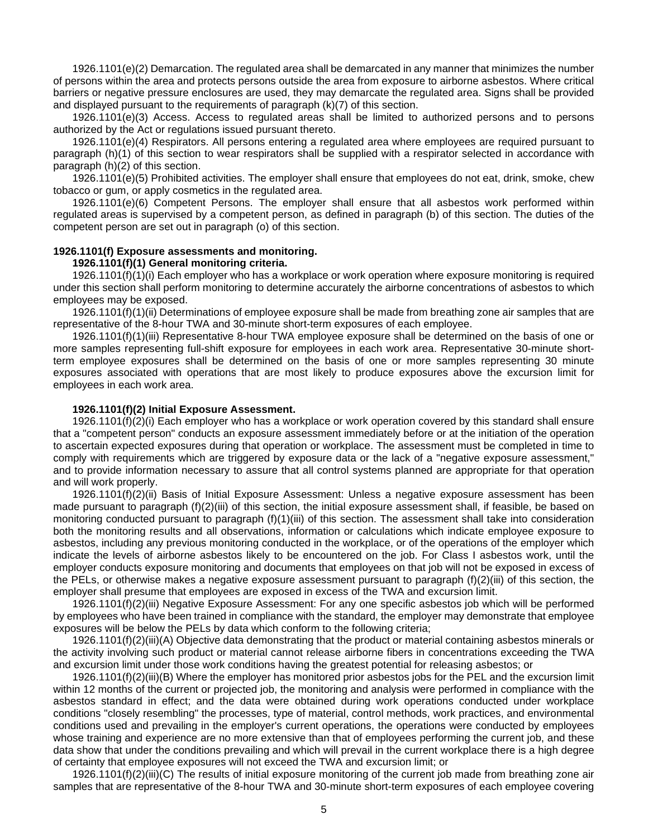1926.1101(e)(2) Demarcation. The regulated area shall be demarcated in any manner that minimizes the number of persons within the area and protects persons outside the area from exposure to airborne asbestos. Where critical barriers or negative pressure enclosures are used, they may demarcate the regulated area. Signs shall be provided and displayed pursuant to the requirements of paragraph (k)(7) of this section.

1926.1101(e)(3) Access. Access to regulated areas shall be limited to authorized persons and to persons authorized by the Act or regulations issued pursuant thereto.

1926.1101(e)(4) Respirators. All persons entering a regulated area where employees are required pursuant to paragraph (h)(1) of this section to wear respirators shall be supplied with a respirator selected in accordance with paragraph (h)(2) of this section.

1926.1101(e)(5) Prohibited activities. The employer shall ensure that employees do not eat, drink, smoke, chew tobacco or gum, or apply cosmetics in the regulated area.

1926.1101(e)(6) Competent Persons. The employer shall ensure that all asbestos work performed within regulated areas is supervised by a competent person, as defined in paragraph (b) of this section. The duties of the competent person are set out in paragraph (o) of this section.

### <span id="page-4-0"></span>**[1926.1101\(f\)](http://www.osha.gov/pls/oshaweb/owalink.query_links?src_doc_type=STANDARDS&src_unique_file=1926_1101&src_anchor_name=1926.1101(f)) Exposure assessments and monitoring.**

### **[1926.1101\(f\)\(1\)](http://www.osha.gov/pls/oshaweb/owalink.query_links?src_doc_type=STANDARDS&src_unique_file=1926_1101&src_anchor_name=1926.1101(f)(1)) General monitoring criteria.**

1926.1101(f)(1)(i) Each employer who has a workplace or work operation where exposure monitoring is required under this section shall perform monitoring to determine accurately the airborne concentrations of asbestos to which employees may be exposed.

1926.1101(f)(1)(ii) Determinations of employee exposure shall be made from breathing zone air samples that are representative of the 8-hour TWA and 30-minute short-term exposures of each employee.

1926.1101(f)(1)(iii) Representative 8-hour TWA employee exposure shall be determined on the basis of one or more samples representing full-shift exposure for employees in each work area. Representative 30-minute shortterm employee exposures shall be determined on the basis of one or more samples representing 30 minute exposures associated with operations that are most likely to produce exposures above the excursion limit for employees in each work area.

### **[1926.1101\(f\)\(2\)](http://www.osha.gov/pls/oshaweb/owalink.query_links?src_doc_type=STANDARDS&src_unique_file=1926_1101&src_anchor_name=1926.1101(f)(2)) Initial Exposure Assessment.**

1926.1101(f)(2)(i) Each employer who has a workplace or work operation covered by this standard shall ensure that a "competent person" conducts an exposure assessment immediately before or at the initiation of the operation to ascertain expected exposures during that operation or workplace. The assessment must be completed in time to comply with requirements which are triggered by exposure data or the lack of a "negative exposure assessment," and to provide information necessary to assure that all control systems planned are appropriate for that operation and will work properly.

1926.1101(f)(2)(ii) Basis of Initial Exposure Assessment: Unless a negative exposure assessment has been made pursuant to paragraph (f)(2)(iii) of this section, the initial exposure assessment shall, if feasible, be based on monitoring conducted pursuant to paragraph (f)(1)(iii) of this section. The assessment shall take into consideration both the monitoring results and all observations, information or calculations which indicate employee exposure to asbestos, including any previous monitoring conducted in the workplace, or of the operations of the employer which indicate the levels of airborne asbestos likely to be encountered on the job. For Class I asbestos work, until the employer conducts exposure monitoring and documents that employees on that job will not be exposed in excess of the PELs, or otherwise makes a negative exposure assessment pursuant to paragraph (f)(2)(iii) of this section, the employer shall presume that employees are exposed in excess of the TWA and excursion limit.

1926.1101(f)(2)(iii) Negative Exposure Assessment: For any one specific asbestos job which will be performed by employees who have been trained in compliance with the standard, the employer may demonstrate that employee exposures will be below the PELs by data which conform to the following criteria;

1926.1101(f)(2)(iii)(A) Objective data demonstrating that the product or material containing asbestos minerals or the activity involving such product or material cannot release airborne fibers in concentrations exceeding the TWA and excursion limit under those work conditions having the greatest potential for releasing asbestos; or

1926.1101(f)(2)(iii)(B) Where the employer has monitored prior asbestos jobs for the PEL and the excursion limit within 12 months of the current or projected job, the monitoring and analysis were performed in compliance with the asbestos standard in effect; and the data were obtained during work operations conducted under workplace conditions "closely resembling" the processes, type of material, control methods, work practices, and environmental conditions used and prevailing in the employer's current operations, the operations were conducted by employees whose training and experience are no more extensive than that of employees performing the current job, and these data show that under the conditions prevailing and which will prevail in the current workplace there is a high degree of certainty that employee exposures will not exceed the TWA and excursion limit; or

1926.1101(f)(2)(iii)(C) The results of initial exposure monitoring of the current job made from breathing zone air samples that are representative of the 8-hour TWA and 30-minute short-term exposures of each employee covering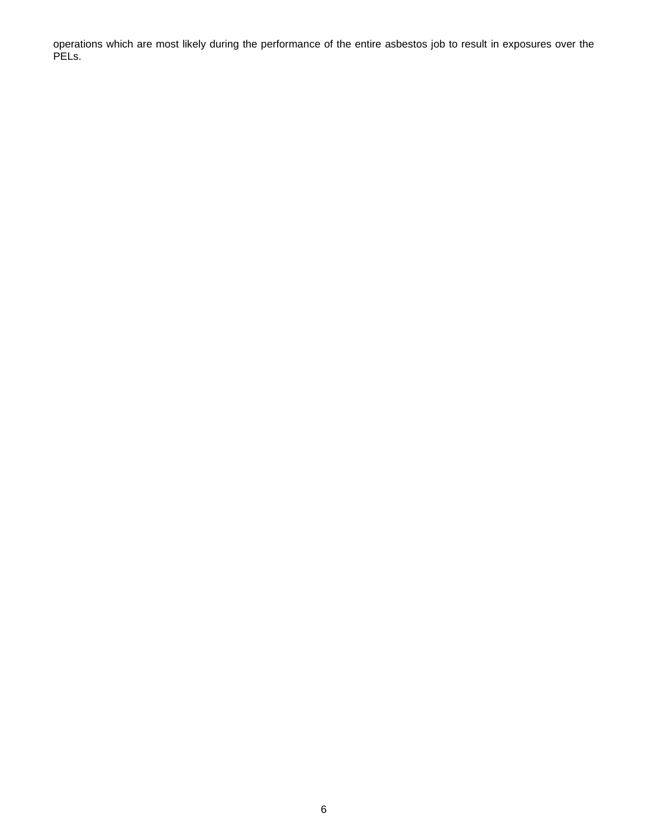operations which are most likely during the performance of the entire asbestos job to result in exposures over the PELs.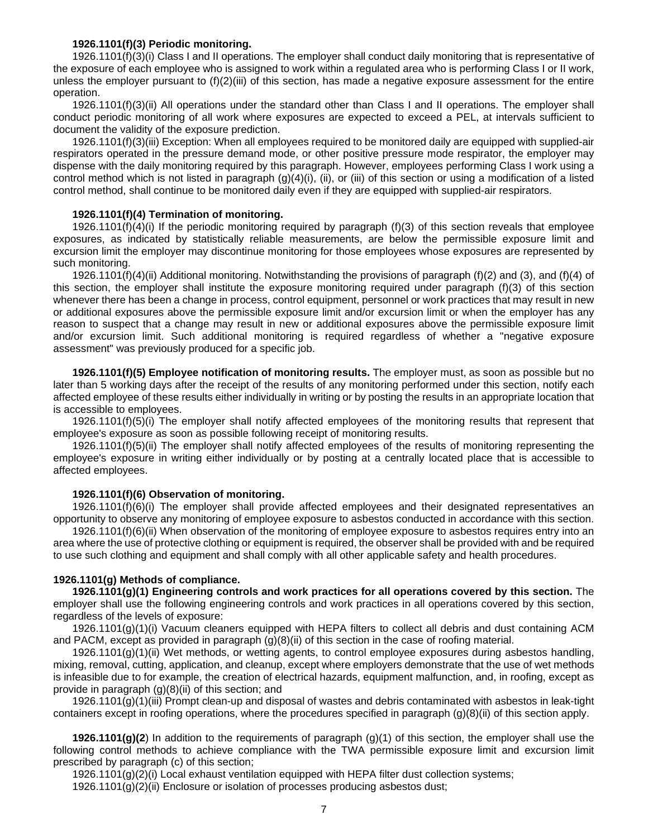#### **1926.1101(f)(3) Periodic monitoring.**

1926.1101(f)(3)(i) Class I and II operations. The employer shall conduct daily monitoring that is representative of the exposure of each employee who is assigned to work within a regulated area who is performing Class I or II work, unless the employer pursuant to (f)(2)(iii) of this section, has made a negative exposure assessment for the entire operation.

1926.1101(f)(3)(ii) All operations under the standard other than Class I and II operations. The employer shall conduct periodic monitoring of all work where exposures are expected to exceed a PEL, at intervals sufficient to document the validity of the exposure prediction.

1926.1101(f)(3)(iii) Exception: When all employees required to be monitored daily are equipped with supplied-air respirators operated in the pressure demand mode, or other positive pressure mode respirator, the employer may dispense with the daily monitoring required by this paragraph. However, employees performing Class I work using a control method which is not listed in paragraph  $(q)(4)(i)$ , (ii), or (iii) of this section or using a modification of a listed control method, shall continue to be monitored daily even if they are equipped with supplied-air respirators.

#### **1926.1101(f)(4) Termination of monitoring.**

1926.1101(f)(4)(i) If the periodic monitoring required by paragraph (f)(3) of this section reveals that employee exposures, as indicated by statistically reliable measurements, are below the permissible exposure limit and excursion limit the employer may discontinue monitoring for those employees whose exposures are represented by such monitoring.

1926.1101(f)(4)(ii) Additional monitoring. Notwithstanding the provisions of paragraph (f)(2) and (3), and (f)(4) of this section, the employer shall institute the exposure monitoring required under paragraph (f)(3) of this section whenever there has been a change in process, control equipment, personnel or work practices that may result in new or additional exposures above the permissible exposure limit and/or excursion limit or when the employer has any reason to suspect that a change may result in new or additional exposures above the permissible exposure limit and/or excursion limit. Such additional monitoring is required regardless of whether a "negative exposure assessment" was previously produced for a specific job.

**[1926.1101\(f\)\(5\)](http://www.osha.gov/pls/oshaweb/owalink.query_links?src_doc_type=STANDARDS&src_unique_file=1926_1101&src_anchor_name=1926.1101(f)(5)) Employee notification of monitoring results.** The employer must, as soon as possible but no later than 5 working days after the receipt of the results of any monitoring performed under this section, notify each affected employee of these results either individually in writing or by posting the results in an appropriate location that is accessible to employees.

1926.1101(f)(5)(i) The employer shall notify affected employees of the monitoring results that represent that employee's exposure as soon as possible following receipt of monitoring results.

1926.1101(f)(5)(ii) The employer shall notify affected employees of the results of monitoring representing the employee's exposure in writing either individually or by posting at a centrally located place that is accessible to affected employees.

### **[1926.1101\(f\)\(6\)](http://www.osha.gov/pls/oshaweb/owalink.query_links?src_doc_type=STANDARDS&src_unique_file=1926_1101&src_anchor_name=1926.1101(f)(6)) Observation of monitoring.**

1926.1101(f)(6)(i) The employer shall provide affected employees and their designated representatives an opportunity to observe any monitoring of employee exposure to asbestos conducted in accordance with this section.

1926.1101(f)(6)(ii) When observation of the monitoring of employee exposure to asbestos requires entry into an area where the use of protective clothing or equipment is required, the observer shall be provided with and be required to use such clothing and equipment and shall comply with all other applicable safety and health procedures.

### <span id="page-6-0"></span>**[1926.1101\(g\)](http://www.osha.gov/pls/oshaweb/owalink.query_links?src_doc_type=STANDARDS&src_unique_file=1926_1101&src_anchor_name=1926.1101(g)) Methods of compliance.**

**[1926.1101\(g\)\(1\)](http://www.osha.gov/pls/oshaweb/owalink.query_links?src_doc_type=STANDARDS&src_unique_file=1926_1101&src_anchor_name=1926.1101(g)(1)) Engineering controls and work practices for all operations covered by this section.** The employer shall use the following engineering controls and work practices in all operations covered by this section, regardless of the levels of exposure:

1926.1101(g)(1)(i) Vacuum cleaners equipped with HEPA filters to collect all debris and dust containing ACM and PACM, except as provided in paragraph (g)(8)(ii) of this section in the case of roofing material.

[1926.1101\(g\)\(1\)\(ii\)](http://www.osha.gov/pls/oshaweb/owalink.query_links?src_doc_type=STANDARDS&src_unique_file=1926_1101&src_anchor_name=1926.1101(g)(1)(ii)) Wet methods, or wetting agents, to control employee exposures during asbestos handling, mixing, removal, cutting, application, and cleanup, except where employers demonstrate that the use of wet methods is infeasible due to for example, the creation of electrical hazards, equipment malfunction, and, in roofing, except as provide in paragraph  $(g)(8)(ii)$  of this section; and

[1926.1101\(g\)\(1\)\(iii\) P](http://www.osha.gov/pls/oshaweb/owalink.query_links?src_doc_type=STANDARDS&src_unique_file=1926_1101&src_anchor_name=1926.1101(g)(1)(iii))rompt clean-up and disposal of wastes and debris contaminated with asbestos in leak-tight containers except in roofing operations, where the procedures specified in paragraph  $(g)(8)(ii)$  of this section apply.

**1926.1101(g)(2**) In addition to the requirements of paragraph (g)(1) of this section, the employer shall use the following control methods to achieve compliance with the TWA permissible exposure limit and excursion limit prescribed by paragraph (c) of this section;

1926.1101(g)(2)(i) Local exhaust ventilation equipped with HEPA filter dust collection systems;

[1926.1101\(g\)\(2\)\(ii\)](http://www.osha.gov/pls/oshaweb/owalink.query_links?src_doc_type=STANDARDS&src_unique_file=1926_1101&src_anchor_name=1926.1101(g)(2)(ii)) Enclosure or isolation of processes producing asbestos dust;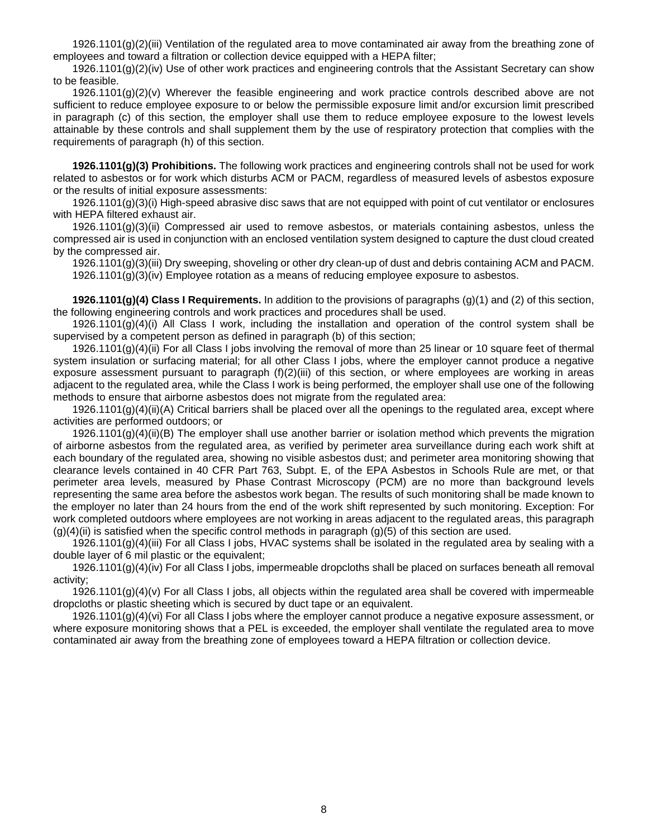1926.1101(g)(2)(iii) Ventilation of the regulated area to move contaminated air away from the breathing zone of employees and toward a filtration or collection device equipped with a HEPA filter;

1926.1101(g)(2)(iv) Use of other work practices and engineering controls that the Assistant Secretary can show to be feasible.

1926.1101(g)(2)(v) Wherever the feasible engineering and work practice controls described above are not sufficient to reduce employee exposure to or below the permissible exposure limit and/or excursion limit prescribed in paragraph (c) of this section, the employer shall use them to reduce employee exposure to the lowest levels attainable by these controls and shall supplement them by the use of respiratory protection that complies with the requirements of paragraph (h) of this section.

**[1926.1101\(g\)\(3\)](http://www.osha.gov/pls/oshaweb/owalink.query_links?src_doc_type=STANDARDS&src_unique_file=1926_1101&src_anchor_name=1926.1101(g)(3)) Prohibitions.** The following work practices and engineering controls shall not be used for work related to asbestos or for work which disturbs ACM or PACM, regardless of measured levels of asbestos exposure or the results of initial exposure assessments:

[1926.1101\(g\)\(3\)\(i\)](http://www.osha.gov/pls/oshaweb/owalink.query_links?src_doc_type=STANDARDS&src_unique_file=1926_1101&src_anchor_name=1926.1101(g)(3)(i)) High-speed abrasive disc saws that are not equipped with point of cut ventilator or enclosures with HEPA filtered exhaust air.

[1926.1101\(g\)\(3\)\(ii\)](http://www.osha.gov/pls/oshaweb/owalink.query_links?src_doc_type=STANDARDS&src_unique_file=1926_1101&src_anchor_name=1926.1101(g)(3)(ii)) Compressed air used to remove asbestos, or materials containing asbestos, unless the compressed air is used in conjunction with an enclosed ventilation system designed to capture the dust cloud created by the compressed air.

1926.1101(g)(3)(iii) Dry sweeping, shoveling or other dry clean-up of dust and debris containing ACM and PACM.

[1926.1101\(g\)\(3\)\(iv\)](http://www.osha.gov/pls/oshaweb/owalink.query_links?src_doc_type=STANDARDS&src_unique_file=1926_1101&src_anchor_name=1926.1101(g)(3)(iv)) Employee rotation as a means of reducing employee exposure to asbestos.

**1926.1101(g)(4) Class I Requirements.** In addition to the provisions of paragraphs (g)(1) and (2) of this section, the following engineering controls and work practices and procedures shall be used.

1926.1101(g)(4)(i) All Class I work, including the installation and operation of the control system shall be supervised by a competent person as defined in paragraph (b) of this section;

1926.1101(g)(4)(ii) For all Class I jobs involving the removal of more than 25 linear or 10 square feet of thermal system insulation or surfacing material; for all other Class I jobs, where the employer cannot produce a negative exposure assessment pursuant to paragraph (f)(2)(iii) of this section, or where employees are working in areas adjacent to the regulated area, while the Class I work is being performed, the employer shall use one of the following methods to ensure that airborne asbestos does not migrate from the regulated area:

[1926.1101\(g\)\(4\)\(ii\)\(A\)](http://www.osha.gov/pls/oshaweb/owalink.query_links?src_doc_type=STANDARDS&src_unique_file=1926_1101&src_anchor_name=1926.1101(g)(4)(ii)(A)) Critical barriers shall be placed over all the openings to the regulated area, except where activities are performed outdoors; or

[1926.1101\(g\)\(4\)\(ii\)\(B\)](http://www.osha.gov/pls/oshaweb/owalink.query_links?src_doc_type=STANDARDS&src_unique_file=1926_1101&src_anchor_name=1926.1101(g)(4)(ii)(B)) The employer shall use another barrier or isolation method which prevents the migration of airborne asbestos from the regulated area, as verified by perimeter area surveillance during each work shift at each boundary of the regulated area, showing no visible asbestos dust; and perimeter area monitoring showing that clearance levels contained in 40 CFR Part 763, Subpt. E, of the EPA Asbestos in Schools Rule are met, or that perimeter area levels, measured by Phase Contrast Microscopy (PCM) are no more than background levels representing the same area before the asbestos work began. The results of such monitoring shall be made known to the employer no later than 24 hours from the end of the work shift represented by such monitoring. Exception: For work completed outdoors where employees are not working in areas adjacent to the regulated areas, this paragraph  $(a)(4)(ii)$  is satisfied when the specific control methods in paragraph  $(a)(5)$  of this section are used.

1926.1101(g)(4)(iii) For all Class I jobs, HVAC systems shall be isolated in the regulated area by sealing with a double layer of 6 mil plastic or the equivalent;

1926.1101(g)(4)(iv) For all Class I jobs, impermeable dropcloths shall be placed on surfaces beneath all removal activity;

1926.1101(g)(4)(v) For all Class I jobs, all objects within the regulated area shall be covered with impermeable dropcloths or plastic sheeting which is secured by duct tape or an equivalent.

1926.1101(g)(4)(vi) For all Class I jobs where the employer cannot produce a negative exposure assessment, or where exposure monitoring shows that a PEL is exceeded, the employer shall ventilate the regulated area to move contaminated air away from the breathing zone of employees toward a HEPA filtration or collection device.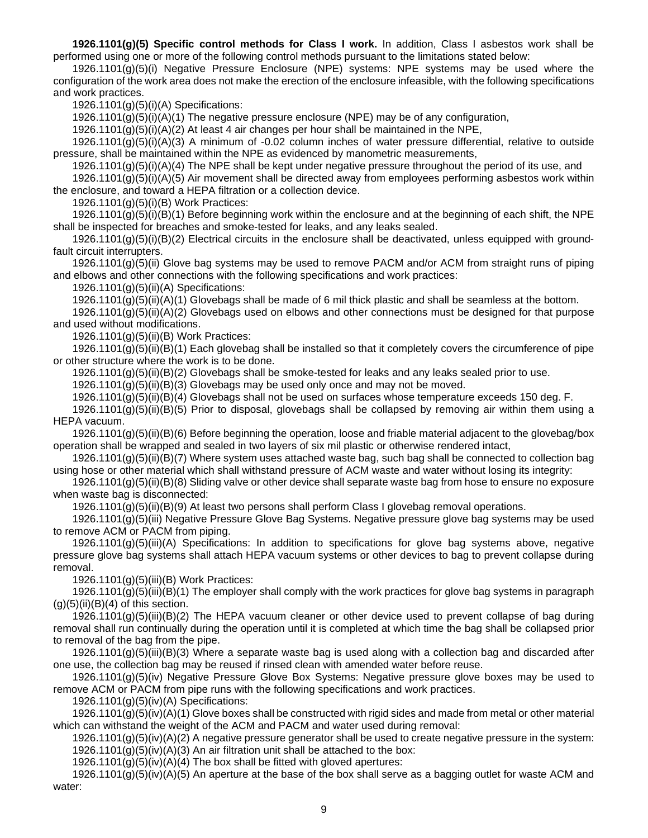**[1926.1101\(g\)\(5\)](http://www.osha.gov/pls/oshaweb/owalink.query_links?src_doc_type=STANDARDS&src_unique_file=1926_1101&src_anchor_name=1926.1101(g)(5)) Specific control methods for Class I work.** In addition, Class I asbestos work shall be performed using one or more of the following control methods pursuant to the limitations stated below:

[1926.1101\(g\)\(5\)\(i\)](http://www.osha.gov/pls/oshaweb/owalink.query_links?src_doc_type=STANDARDS&src_unique_file=1926_1101&src_anchor_name=1926.1101(g)(5)(i)) Negative Pressure Enclosure (NPE) systems: NPE systems may be used where the configuration of the work area does not make the erection of the enclosure infeasible, with the following specifications and work practices.

1926.1101(g)(5)(i)(A) Specifications:

1926.1101(g)(5)(i)(A)(1) The negative pressure enclosure (NPE) may be of any configuration,

 $1926.1101(q)(5)(i)(A)(2)$  At least 4 air changes per hour shall be maintained in the NPE,

1926.1101(g)(5)(i)(A)(3) A minimum of -0.02 column inches of water pressure differential, relative to outside pressure, shall be maintained within the NPE as evidenced by manometric measurements,

1926.1101(g)(5)(i)(A)(4) The NPE shall be kept under negative pressure throughout the period of its use, and

1926.1101(g)(5)(i)(A)(5) Air movement shall be directed away from employees performing asbestos work within the enclosure, and toward a HEPA filtration or a collection device.

1926.1101(g)(5)(i)(B) Work Practices:

1926.1101(g)(5)(i)(B)(1) Before beginning work within the enclosure and at the beginning of each shift, the NPE shall be inspected for breaches and smoke-tested for leaks, and any leaks sealed.

1926.1101(g)(5)(i)(B)(2) Electrical circuits in the enclosure shall be deactivated, unless equipped with groundfault circuit interrupters.

1926.1101(g)(5)(ii) Glove bag systems may be used to remove PACM and/or ACM from straight runs of piping and elbows and other connections with the following specifications and work practices:

1926.1101(g)(5)(ii)(A) Specifications:

1926.1101(g)(5)(ii)(A)(1) Glovebags shall be made of 6 mil thick plastic and shall be seamless at the bottom.

1926.1101(g)(5)(ii)(A)(2) Glovebags used on elbows and other connections must be designed for that purpose and used without modifications.

1926.1101(g)(5)(ii)(B) Work Practices:

1926.1101(g)(5)(ii)(B)(1) Each glovebag shall be installed so that it completely covers the circumference of pipe or other structure where the work is to be done.

1926.1101(g)(5)(ii)(B)(2) Glovebags shall be smoke-tested for leaks and any leaks sealed prior to use.

 $1926.1101(g)(5)(ii)(B)(3)$  Glovebags may be used only once and may not be moved.

[1926.1101\(g\)\(5\)\(ii\)\(B\)\(4\)](http://www.osha.gov/pls/oshaweb/owalink.query_links?src_doc_type=STANDARDS&src_unique_file=1926_1101&src_anchor_name=1926.1101(g)(5)(ii)(B)(4)) Glovebags shall not be used on surfaces whose temperature exceeds 150 deg. F.

1926.1101(g)(5)(ii)(B)(5) Prior to disposal, glovebags shall be collapsed by removing air within them using a HEPA vacuum.

1926.1101(g)(5)(ii)(B)(6) Before beginning the operation, loose and friable material adjacent to the glovebag/box operation shall be wrapped and sealed in two layers of six mil plastic or otherwise rendered intact,

1926.1101(g)(5)(ii)(B)(7) Where system uses attached waste bag, such bag shall be connected to collection bag using hose or other material which shall withstand pressure of ACM waste and water without losing its integrity:

1926.1101(g)(5)(ii)(B)(8) Sliding valve or other device shall separate waste bag from hose to ensure no exposure when waste bag is disconnected:

1926.1101(g)(5)(ii)(B)(9) At least two persons shall perform Class I glovebag removal operations.

1926.1101(g)(5)(iii) Negative Pressure Glove Bag Systems. Negative pressure glove bag systems may be used to remove ACM or PACM from piping.

1926.1101(g)(5)(iii)(A) Specifications: In addition to specifications for glove bag systems above, negative pressure glove bag systems shall attach HEPA vacuum systems or other devices to bag to prevent collapse during removal.

1926.1101(g)(5)(iii)(B) Work Practices:

1926.1101(g)(5)(iii)(B)(1) The employer shall comply with the work practices for glove bag systems in paragraph  $(g)(5)(ii)(B)(4)$  of this section.

1926.1101(g)(5)(iii)(B)(2) The HEPA vacuum cleaner or other device used to prevent collapse of bag during removal shall run continually during the operation until it is completed at which time the bag shall be collapsed prior to removal of the bag from the pipe.

1926.1101(g)(5)(iii)(B)(3) Where a separate waste bag is used along with a collection bag and discarded after one use, the collection bag may be reused if rinsed clean with amended water before reuse.

[1926.1101\(g\)\(5\)\(iv\)](http://www.osha.gov/pls/oshaweb/owalink.query_links?src_doc_type=STANDARDS&src_unique_file=1926_1101&src_anchor_name=1926.1101(g)(5)(iv)) Negative Pressure Glove Box Systems: Negative pressure glove boxes may be used to remove ACM or PACM from pipe runs with the following specifications and work practices.

1926.1101(g)(5)(iv)(A) Specifications:

1926.1101(g)(5)(iv)(A)(1) Glove boxes shall be constructed with rigid sides and made from metal or other material which can withstand the weight of the ACM and PACM and water used during removal:

1926.1101(g)(5)(iv)(A)(2) A negative pressure generator shall be used to create negative pressure in the system: 1926.1101(g)(5)(iv)(A)(3) An air filtration unit shall be attached to the box:

 $1926.1101(g)(5)(iv)(A)(4)$  The box shall be fitted with gloved apertures:

1926.1101(g)(5)(iv)(A)(5) An aperture at the base of the box shall serve as a bagging outlet for waste ACM and water: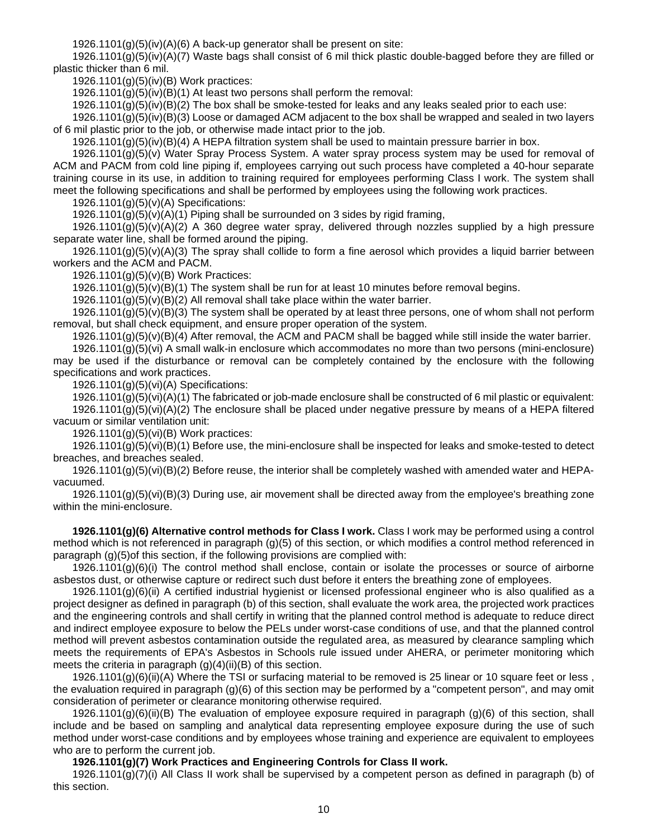1926.1101(g)(5)(iv)(A)(6) A back-up generator shall be present on site:

1926.1101(g)(5)(iv)(A)(7) Waste bags shall consist of 6 mil thick plastic double-bagged before they are filled or plastic thicker than 6 mil.

1926.1101(g)(5)(iv)(B) Work practices:

1926.1101(g)(5)(iv)(B)(1) At least two persons shall perform the removal:

1926.1101(g)(5)(iv)(B)(2) The box shall be smoke-tested for leaks and any leaks sealed prior to each use:

1926.1101(g)(5)(iv)(B)(3) Loose or damaged ACM adjacent to the box shall be wrapped and sealed in two layers of 6 mil plastic prior to the job, or otherwise made intact prior to the job.

1926.1101(g)(5)(iv)(B)(4) A HEPA filtration system shall be used to maintain pressure barrier in box.

1926.1101(g)(5)(v) Water Spray Process System. A water spray process system may be used for removal of ACM and PACM from cold line piping if, employees carrying out such process have completed a 40-hour separate training course in its use, in addition to training required for employees performing Class I work. The system shall meet the following specifications and shall be performed by employees using the following work practices.

1926.1101(g)(5)(v)(A) Specifications:

 $1926.1101(q)(5)(v)(A)(1)$  Piping shall be surrounded on 3 sides by rigid framing,

1926.1101(g)(5)(v)(A)(2) A 360 degree water spray, delivered through nozzles supplied by a high pressure separate water line, shall be formed around the piping.

1926.1101(g)(5)(v)(A)(3) The spray shall collide to form a fine aerosol which provides a liquid barrier between workers and the ACM and PACM.

1926.1101(g)(5)(v)(B) Work Practices:

 $1926.1101(g)(5)(v)(B)(1)$  The system shall be run for at least 10 minutes before removal begins.

 $1926.1101(g)(5)(v)(B)(2)$  All removal shall take place within the water barrier.

1926.1101(g)(5)(v)(B)(3) The system shall be operated by at least three persons, one of whom shall not perform removal, but shall check equipment, and ensure proper operation of the system.

1926.1101(g)(5)(v)(B)(4) After removal, the ACM and PACM shall be bagged while still inside the water barrier.

1926.1101(g)(5)(vi) A small walk-in enclosure which accommodates no more than two persons (mini-enclosure) may be used if the disturbance or removal can be completely contained by the enclosure with the following specifications and work practices.

1926.1101(g)(5)(vi)(A) Specifications:

1926.1101(g)(5)(vi)(A)(1) The fabricated or job-made enclosure shall be constructed of 6 mil plastic or equivalent: 1926.1101(g)(5)(vi)(A)(2) The enclosure shall be placed under negative pressure by means of a HEPA filtered vacuum or similar ventilation unit:

1926.1101(g)(5)(vi)(B) Work practices:

1926.1101(g)(5)(vi)(B)(1) Before use, the mini-enclosure shall be inspected for leaks and smoke-tested to detect breaches, and breaches sealed.

1926.1101(g)(5)(vi)(B)(2) Before reuse, the interior shall be completely washed with amended water and HEPAvacuumed.

1926.1101(g)(5)(vi)(B)(3) During use, air movement shall be directed away from the employee's breathing zone within the mini-enclosure.

**[1926.1101\(g\)\(6\)](http://www.osha.gov/pls/oshaweb/owalink.query_links?src_doc_type=STANDARDS&src_unique_file=1926_1101&src_anchor_name=1926.1101(g)(6)) Alternative control methods for Class I work.** Class I work may be performed using a control method which is not referenced in paragraph (g)(5) of this section, or which modifies a control method referenced in paragraph (g)(5)of this section, if the following provisions are complied with:

1926.1101(g)(6)(i) The control method shall enclose, contain or isolate the processes or source of airborne asbestos dust, or otherwise capture or redirect such dust before it enters the breathing zone of employees.

1926.1101(g)(6)(ii) A certified industrial hygienist or licensed professional engineer who is also qualified as a project designer as defined in paragraph (b) of this section, shall evaluate the work area, the projected work practices and the engineering controls and shall certify in writing that the planned control method is adequate to reduce direct and indirect employee exposure to below the PELs under worst-case conditions of use, and that the planned control method will prevent asbestos contamination outside the regulated area, as measured by clearance sampling which meets the requirements of EPA's Asbestos in Schools rule issued under AHERA, or perimeter monitoring which meets the criteria in paragraph  $(q)(4)(ii)(B)$  of this section.

1926.1101(g)(6)(ii)(A) Where the TSI or surfacing material to be removed is 25 linear or 10 square feet or less , the evaluation required in paragraph (g)(6) of this section may be performed by a "competent person", and may omit consideration of perimeter or clearance monitoring otherwise required.

1926.1101(g)(6)(ii)(B) The evaluation of employee exposure required in paragraph (g)(6) of this section, shall include and be based on sampling and analytical data representing employee exposure during the use of such method under worst-case conditions and by employees whose training and experience are equivalent to employees who are to perform the current job.

### **[1926.1101\(g\)\(7\)](http://www.osha.gov/pls/oshaweb/owalink.query_links?src_doc_type=STANDARDS&src_unique_file=1926_1101&src_anchor_name=1926.1101(g)(7)) Work Practices and Engineering Controls for Class II work.**

1926.1101(g)(7)(i) All Class II work shall be supervised by a competent person as defined in paragraph (b) of this section.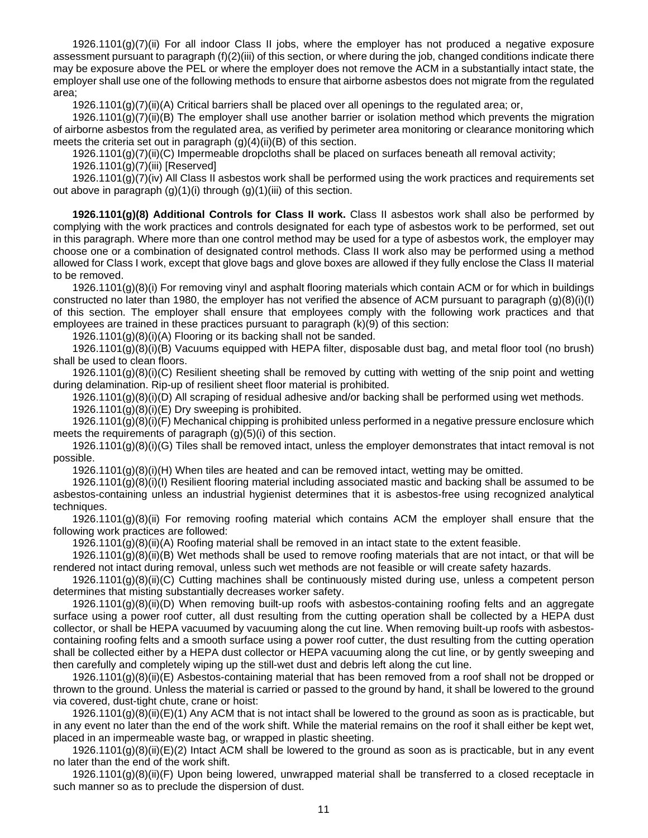1926.1101(g)(7)(ii) For all indoor Class II jobs, where the employer has not produced a negative exposure assessment pursuant to paragraph (f)(2)(iii) of this section, or where during the job, changed conditions indicate there may be exposure above the PEL or where the employer does not remove the ACM in a substantially intact state, the employer shall use one of the following methods to ensure that airborne asbestos does not migrate from the regulated area;

1926.1101(g)(7)(ii)(A) Critical barriers shall be placed over all openings to the regulated area; or,

1926.1101(g)(7)(ii)(B) The employer shall use another barrier or isolation method which prevents the migration of airborne asbestos from the regulated area, as verified by perimeter area monitoring or clearance monitoring which meets the criteria set out in paragraph  $(g)(4)(ii)(B)$  of this section.

1926.1101(g)(7)(ii)(C) Impermeable dropcloths shall be placed on surfaces beneath all removal activity;

1926.1101(g)(7)(iii) [Reserved]

1926.1101(g)(7)(iv) All Class II asbestos work shall be performed using the work practices and requirements set out above in paragraph  $(g)(1)(i)$  through  $(g)(1)(iii)$  of this section.

**[1926.1101\(g\)\(8\)](http://www.osha.gov/pls/oshaweb/owalink.query_links?src_doc_type=STANDARDS&src_unique_file=1926_1101&src_anchor_name=1926.1101(g)(8)) Additional Controls for Class II work.** Class II asbestos work shall also be performed by complying with the work practices and controls designated for each type of asbestos work to be performed, set out in this paragraph. Where more than one control method may be used for a type of asbestos work, the employer may choose one or a combination of designated control methods. Class II work also may be performed using a method allowed for Class I work, except that glove bags and glove boxes are allowed if they fully enclose the Class II material to be removed.

[1926.1101\(g\)\(8\)\(i\)](http://www.osha.gov/pls/oshaweb/owalink.query_links?src_doc_type=STANDARDS&src_unique_file=1926_1101&src_anchor_name=1926.1101(g)(8)(i)) For removing vinyl and asphalt flooring materials which contain ACM or for which in buildings constructed no later than 1980, the employer has not verified the absence of ACM pursuant to paragraph (g)(8)(i)(I) of this section. The employer shall ensure that employees comply with the following work practices and that employees are trained in these practices pursuant to paragraph (k)(9) of this section:

1926.1101(g)(8)(i)(A) Flooring or its backing shall not be sanded.

1926.1101(g)(8)(i)(B) Vacuums equipped with HEPA filter, disposable dust bag, and metal floor tool (no brush) shall be used to clean floors.

1926.1101(g)(8)(i)(C) Resilient sheeting shall be removed by cutting with wetting of the snip point and wetting during delamination. Rip-up of resilient sheet floor material is prohibited.

[1926.1101\(g\)\(8\)\(i\)\(D\)](http://www.osha.gov/pls/oshaweb/owalink.query_links?src_doc_type=STANDARDS&src_unique_file=1926_1101&src_anchor_name=1926.1101(g)(8)(i)(D)) All scraping of residual adhesive and/or backing shall be performed using wet methods.

 $1926.1101(q)(8)(i)(E)$  Dry sweeping is prohibited.

1926.1101(g)(8)(i)(F) Mechanical chipping is prohibited unless performed in a negative pressure enclosure which meets the requirements of paragraph (g)(5)(i) of this section.

1926.1101(g)(8)(i)(G) Tiles shall be removed intact, unless the employer demonstrates that intact removal is not possible.

1926.1101(g)(8)(i)(H) When tiles are heated and can be removed intact, wetting may be omitted.

1926.1101(g)(8)(i)(I) Resilient flooring material including associated mastic and backing shall be assumed to be asbestos-containing unless an industrial hygienist determines that it is asbestos-free using recognized analytical techniques.

[1926.1101\(g\)\(8\)\(ii\)](http://www.osha.gov/pls/oshaweb/owalink.query_links?src_doc_type=STANDARDS&src_unique_file=1926_1101&src_anchor_name=1926.1101(g)(8)(ii)) For removing roofing material which contains ACM the employer shall ensure that the following work practices are followed:

1926.1101(g)(8)(ii)(A) Roofing material shall be removed in an intact state to the extent feasible.

1926.1101(g)(8)(ii)(B) Wet methods shall be used to remove roofing materials that are not intact, or that will be rendered not intact during removal, unless such wet methods are not feasible or will create safety hazards.

1926.1101(g)(8)(ii)(C) Cutting machines shall be continuously misted during use, unless a competent person determines that misting substantially decreases worker safety.

1926.1101(g)(8)(ii)(D) When removing built-up roofs with asbestos-containing roofing felts and an aggregate surface using a power roof cutter, all dust resulting from the cutting operation shall be collected by a HEPA dust collector, or shall be HEPA vacuumed by vacuuming along the cut line. When removing built-up roofs with asbestoscontaining roofing felts and a smooth surface using a power roof cutter, the dust resulting from the cutting operation shall be collected either by a HEPA dust collector or HEPA vacuuming along the cut line, or by gently sweeping and then carefully and completely wiping up the still-wet dust and debris left along the cut line.

1926.1101(g)(8)(ii)(E) Asbestos-containing material that has been removed from a roof shall not be dropped or thrown to the ground. Unless the material is carried or passed to the ground by hand, it shall be lowered to the ground via covered, dust-tight chute, crane or hoist:

1926.1101(g)(8)(ii)(E)(1) Any ACM that is not intact shall be lowered to the ground as soon as is practicable, but in any event no later than the end of the work shift. While the material remains on the roof it shall either be kept wet, placed in an impermeable waste bag, or wrapped in plastic sheeting.

1926.1101(g)(8)(ii)(E)(2) Intact ACM shall be lowered to the ground as soon as is practicable, but in any event no later than the end of the work shift.

1926.1101(g)(8)(ii)(F) Upon being lowered, unwrapped material shall be transferred to a closed receptacle in such manner so as to preclude the dispersion of dust.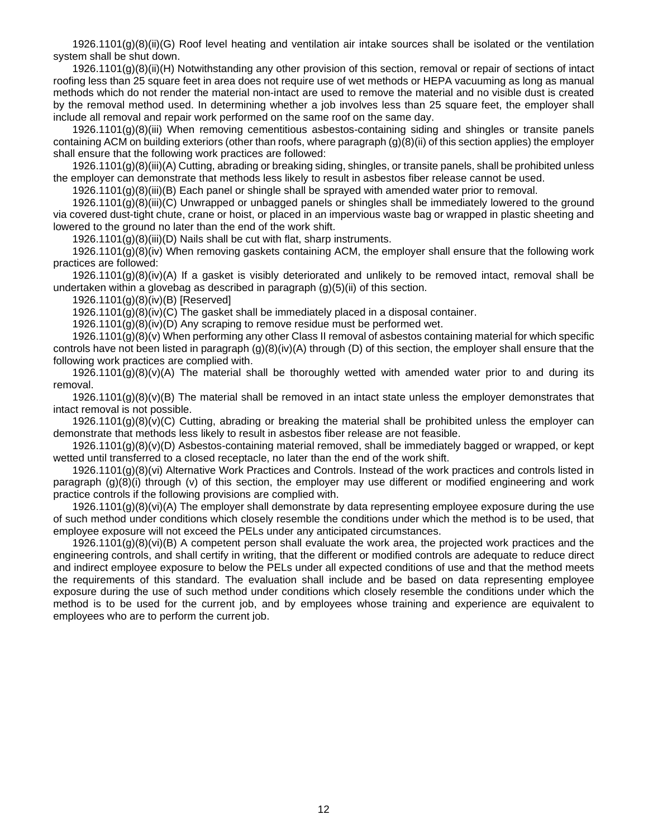1926.1101(g)(8)(ii)(G) Roof level heating and ventilation air intake sources shall be isolated or the ventilation system shall be shut down.

1926.1101(g)(8)(ii)(H) Notwithstanding any other provision of this section, removal or repair of sections of intact roofing less than 25 square feet in area does not require use of wet methods or HEPA vacuuming as long as manual methods which do not render the material non-intact are used to remove the material and no visible dust is created by the removal method used. In determining whether a job involves less than 25 square feet, the employer shall include all removal and repair work performed on the same roof on the same day.

1926.1101(g)(8)(iii) When removing cementitious asbestos-containing siding and shingles or transite panels containing ACM on building exteriors (other than roofs, where paragraph (g)(8)(ii) of this section applies) the employer shall ensure that the following work practices are followed:

1926.1101(g)(8)(iii)(A) Cutting, abrading or breaking siding, shingles, or transite panels, shall be prohibited unless the employer can demonstrate that methods less likely to result in asbestos fiber release cannot be used.

1926.1101(g)(8)(iii)(B) Each panel or shingle shall be sprayed with amended water prior to removal.

1926.1101(g)(8)(iii)(C) Unwrapped or unbagged panels or shingles shall be immediately lowered to the ground via covered dust-tight chute, crane or hoist, or placed in an impervious waste bag or wrapped in plastic sheeting and lowered to the ground no later than the end of the work shift.

 $1926.1101(g)(8)(iii)(D)$  Nails shall be cut with flat, sharp instruments.

1926.1101(g)(8)(iv) When removing gaskets containing ACM, the employer shall ensure that the following work practices are followed:

[1926.1101\(g\)\(8\)\(iv\)\(A\)](http://www.osha.gov/pls/oshaweb/owalink.query_links?src_doc_type=STANDARDS&src_unique_file=1926_1101&src_anchor_name=1926.1101(g)(8)(iv)(A)) If a gasket is visibly deteriorated and unlikely to be removed intact, removal shall be undertaken within a glovebag as described in paragraph (g)(5)(ii) of this section.

1926.1101(g)(8)(iv)(B) [Reserved]

 $1926.1101(g)(8)(iv)(C)$  The gasket shall be immediately placed in a disposal container.

1926.1101(g)(8)(iv)(D) Any scraping to remove residue must be performed wet.

1926.1101(g)(8)(v) When performing any other Class II removal of asbestos containing material for which specific controls have not been listed in paragraph  $(g)(8)(iv)(A)$  through  $(D)$  of this section, the employer shall ensure that the following work practices are complied with.

 $1926.1101(g)(8)(v)(A)$  The material shall be thoroughly wetted with amended water prior to and during its removal.

1926.1101(g)(8)(v)(B) The material shall be removed in an intact state unless the employer demonstrates that intact removal is not possible.

1926.1101(g)(8)(v)(C) Cutting, abrading or breaking the material shall be prohibited unless the employer can demonstrate that methods less likely to result in asbestos fiber release are not feasible.

1926.1101(g)(8)(v)(D) Asbestos-containing material removed, shall be immediately bagged or wrapped, or kept wetted until transferred to a closed receptacle, no later than the end of the work shift.

[1926.1101\(g\)\(8\)\(vi\)](http://www.osha.gov/pls/oshaweb/owalink.query_links?src_doc_type=STANDARDS&src_unique_file=1926_1101&src_anchor_name=1926.1101(g)(8)(vi)) Alternative Work Practices and Controls. Instead of the work practices and controls listed in paragraph (g)(8)(i) through (v) of this section, the employer may use different or modified engineering and work practice controls if the following provisions are complied with.

1926.1101(g)(8)(vi)(A) The employer shall demonstrate by data representing employee exposure during the use of such method under conditions which closely resemble the conditions under which the method is to be used, that employee exposure will not exceed the PELs under any anticipated circumstances.

1926.1101(g)(8)(vi)(B) A competent person shall evaluate the work area, the projected work practices and the engineering controls, and shall certify in writing, that the different or modified controls are adequate to reduce direct and indirect employee exposure to below the PELs under all expected conditions of use and that the method meets the requirements of this standard. The evaluation shall include and be based on data representing employee exposure during the use of such method under conditions which closely resemble the conditions under which the method is to be used for the current job, and by employees whose training and experience are equivalent to employees who are to perform the current job.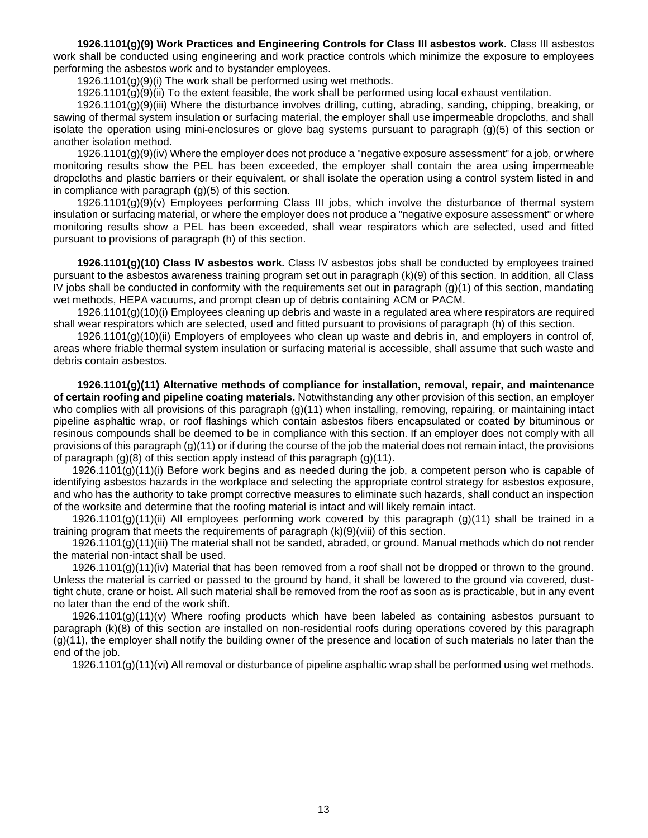**[1926.1101\(g\)\(9\)](http://www.osha.gov/pls/oshaweb/owalink.query_links?src_doc_type=STANDARDS&src_unique_file=1926_1101&src_anchor_name=1926.1101(g)(9)) Work Practices and Engineering Controls for Class III asbestos work.** Class III asbestos work shall be conducted using engineering and work practice controls which minimize the exposure to employees performing the asbestos work and to bystander employees.

[1926.1101\(g\)\(9\)\(i\)](http://www.osha.gov/pls/oshaweb/owalink.query_links?src_doc_type=STANDARDS&src_unique_file=1926_1101&src_anchor_name=1926.1101(g)(9)(i)) The work shall be performed using wet methods.

1926.1101(g)(9)(ii) To the extent feasible, the work shall be performed using local exhaust ventilation.

1926.1101(g)(9)(iii) Where the disturbance involves drilling, cutting, abrading, sanding, chipping, breaking, or sawing of thermal system insulation or surfacing material, the employer shall use impermeable dropcloths, and shall isolate the operation using mini-enclosures or glove bag systems pursuant to paragraph (g)(5) of this section or another isolation method.

[1926.1101\(g\)\(9\)\(iv\) W](http://www.osha.gov/pls/oshaweb/owalink.query_links?src_doc_type=STANDARDS&src_unique_file=1926_1101&src_anchor_name=1926.1101(g)(9)(iv))here the employer does not produce a "negative exposure assessment" for a job, or where monitoring results show the PEL has been exceeded, the employer shall contain the area using impermeable dropcloths and plastic barriers or their equivalent, or shall isolate the operation using a control system listed in and in compliance with paragraph (g)(5) of this section.

[1926.1101\(g\)\(9\)\(v\)](http://www.osha.gov/pls/oshaweb/owalink.query_links?src_doc_type=STANDARDS&src_unique_file=1926_1101&src_anchor_name=1926.1101(g)(9)(v)) Employees performing Class III jobs, which involve the disturbance of thermal system insulation or surfacing material, or where the employer does not produce a "negative exposure assessment" or where monitoring results show a PEL has been exceeded, shall wear respirators which are selected, used and fitted pursuant to provisions of paragraph (h) of this section.

**1926.1101(g)(10) Class IV asbestos work.** Class IV asbestos jobs shall be conducted by employees trained pursuant to the asbestos awareness training program set out in paragraph (k)(9) of this section. In addition, all Class IV jobs shall be conducted in conformity with the requirements set out in paragraph  $(q)(1)$  of this section, mandating wet methods, HEPA vacuums, and prompt clean up of debris containing ACM or PACM.

1926.1101(g)(10)(i) Employees cleaning up debris and waste in a regulated area where respirators are required shall wear respirators which are selected, used and fitted pursuant to provisions of paragraph (h) of this section.

1926.1101(g)(10)(ii) Employers of employees who clean up waste and debris in, and employers in control of, areas where friable thermal system insulation or surfacing material is accessible, shall assume that such waste and debris contain asbestos.

**1926.1101(g)(11) Alternative methods of compliance for installation, removal, repair, and maintenance of certain roofing and pipeline coating materials.** Notwithstanding any other provision of this section, an employer who complies with all provisions of this paragraph (g)(11) when installing, removing, repairing, or maintaining intact pipeline asphaltic wrap, or roof flashings which contain asbestos fibers encapsulated or coated by bituminous or resinous compounds shall be deemed to be in compliance with this section. If an employer does not comply with all provisions of this paragraph (g)(11) or if during the course of the job the material does not remain intact, the provisions of paragraph  $(q)(8)$  of this section apply instead of this paragraph  $(q)(11)$ .

1926.1101(g)(11)(i) Before work begins and as needed during the job, a competent person who is capable of identifying asbestos hazards in the workplace and selecting the appropriate control strategy for asbestos exposure, and who has the authority to take prompt corrective measures to eliminate such hazards, shall conduct an inspection of the worksite and determine that the roofing material is intact and will likely remain intact.

1926.1101(g)(11)(ii) All employees performing work covered by this paragraph (g)(11) shall be trained in a training program that meets the requirements of paragraph (k)(9)(viii) of this section.

1926.1101(g)(11)(iii) The material shall not be sanded, abraded, or ground. Manual methods which do not render the material non-intact shall be used.

1926.1101(g)(11)(iv) Material that has been removed from a roof shall not be dropped or thrown to the ground. Unless the material is carried or passed to the ground by hand, it shall be lowered to the ground via covered, dusttight chute, crane or hoist. All such material shall be removed from the roof as soon as is practicable, but in any event no later than the end of the work shift.

1926.1101(g)(11)(v) Where roofing products which have been labeled as containing asbestos pursuant to paragraph (k)(8) of this section are installed on non-residential roofs during operations covered by this paragraph (g)(11), the employer shall notify the building owner of the presence and location of such materials no later than the end of the job.

1926.1101(g)(11)(vi) All removal or disturbance of pipeline asphaltic wrap shall be performed using wet methods.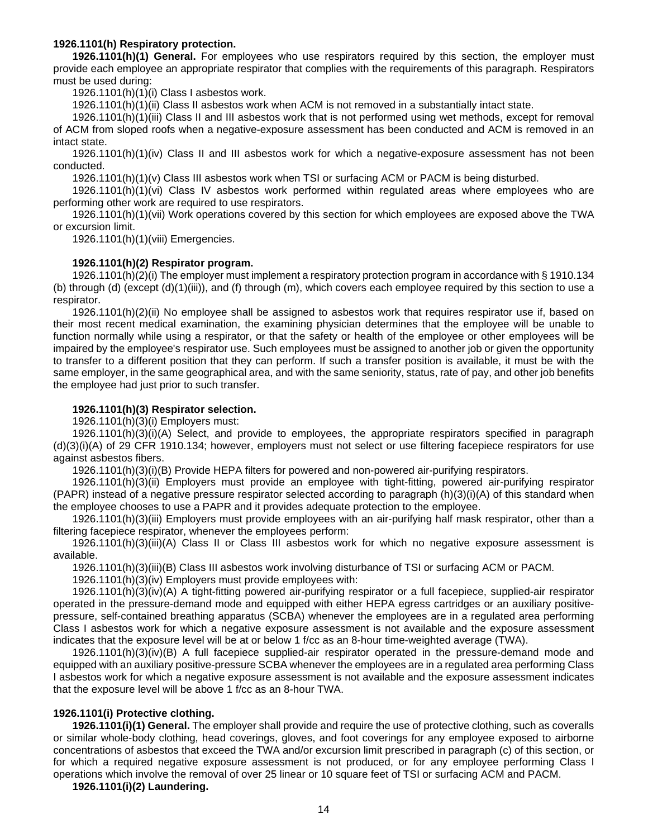### <span id="page-13-0"></span>**[1926.1101\(h\)](http://www.osha.gov/pls/oshaweb/owalink.query_links?src_doc_type=STANDARDS&src_unique_file=1926_1101&src_anchor_name=1926.1101(h)) Respiratory protection.**

**[1926.1101\(h\)\(1\)](http://www.osha.gov/pls/oshaweb/owalink.query_links?src_doc_type=STANDARDS&src_unique_file=1926_1101&src_anchor_name=1926.1101(h)(1)) General.** For employees who use respirators required by this section, the employer must provide each employee an appropriate respirator that complies with the requirements of this paragraph. Respirators must be used during:

1926.1101(h)(1)(i) Class I asbestos work.

1926.1101(h)(1)(ii) Class II asbestos work when ACM is not removed in a substantially intact state.

1926.1101(h)(1)(iii) Class II and III asbestos work that is not performed using wet methods, except for removal of ACM from sloped roofs when a negative-exposure assessment has been conducted and ACM is removed in an intact state.

1926.1101(h)(1)(iv) Class II and III asbestos work for which a negative-exposure assessment has not been conducted.

1926.1101(h)(1)(v) Class III asbestos work when TSI or surfacing ACM or PACM is being disturbed.

1926.1101(h)(1)(vi) Class IV asbestos work performed within regulated areas where employees who are performing other work are required to use respirators.

1926.1101(h)(1)(vii) Work operations covered by this section for which employees are exposed above the TWA or excursion limit.

1926.1101(h)(1)(viii) Emergencies.

#### **[1926.1101\(h\)\(2\)](http://www.osha.gov/pls/oshaweb/owalink.query_links?src_doc_type=STANDARDS&src_unique_file=1926_1101&src_anchor_name=1926.1101(h)(2)) Respirator program.**

1926.1101(h)(2)(i) The employer must implement a respiratory protection program in accordance with § 1910.134 (b) through (d) (except (d)(1)(iii)), and (f) through (m), which covers each employee required by this section to use a respirator.

[1926.1101\(h\)\(2\)\(ii\)](http://www.osha.gov/pls/oshaweb/owalink.query_links?src_doc_type=STANDARDS&src_unique_file=1926_1101&src_anchor_name=1926.1101(h)(2)(ii)) No employee shall be assigned to asbestos work that requires respirator use if, based on their most recent medical examination, the examining physician determines that the employee will be unable to function normally while using a respirator, or that the safety or health of the employee or other employees will be impaired by the employee's respirator use. Such employees must be assigned to another job or given the opportunity to transfer to a different position that they can perform. If such a transfer position is available, it must be with the same employer, in the same geographical area, and with the same seniority, status, rate of pay, and other job benefits the employee had just prior to such transfer.

### **1926.1101(h)(3) Respirator selection.**

1926.1101(h)(3)(i) Employers must:

1926.1101(h)(3)(i)(A) Select, and provide to employees, the appropriate respirators specified in paragraph (d)(3)(i)(A) of 29 CFR 1910.134; however, employers must not select or use filtering facepiece respirators for use against asbestos fibers.

1926.1101(h)(3)(i)(B) Provide HEPA filters for powered and non-powered air-purifying respirators.

1926.1101(h)(3)(ii) Employers must provide an employee with tight-fitting, powered air-purifying respirator (PAPR) instead of a negative pressure respirator selected according to paragraph (h)(3)(i)(A) of this standard when the employee chooses to use a PAPR and it provides adequate protection to the employee.

[1926.1101\(h\)\(3\)\(iii\)](http://www.osha.gov/pls/oshaweb/owalink.query_links?src_doc_type=STANDARDS&src_unique_file=1926_1101&src_anchor_name=1926.1101(h)(3)(iii)) Employers must provide employees with an air-purifying half mask respirator, other than a filtering facepiece respirator, whenever the employees perform:

1926.1101(h)(3)(iii)(A) Class II or Class III asbestos work for which no negative exposure assessment is available.

1926.1101(h)(3)(iii)(B) Class III asbestos work involving disturbance of TSI or surfacing ACM or PACM.

[1926.1101\(h\)\(3\)\(iv\)](http://www.osha.gov/pls/oshaweb/owalink.query_links?src_doc_type=STANDARDS&src_unique_file=1926_1101&src_anchor_name=1926.1101(h)(3)(iv)) Employers must provide employees with:

1926.1101(h)(3)(iv)(A) A tight-fitting powered air-purifying respirator or a full facepiece, supplied-air respirator operated in the pressure-demand mode and equipped with either HEPA egress cartridges or an auxiliary positivepressure, self-contained breathing apparatus (SCBA) whenever the employees are in a regulated area performing Class I asbestos work for which a negative exposure assessment is not available and the exposure assessment indicates that the exposure level will be at or below 1 f/cc as an 8-hour time-weighted average (TWA).

1926.1101(h)(3)(iv)(B) A full facepiece supplied-air respirator operated in the pressure-demand mode and equipped with an auxiliary positive-pressure SCBA whenever the employees are in a regulated area performing Class I asbestos work for which a negative exposure assessment is not available and the exposure assessment indicates that the exposure level will be above 1 f/cc as an 8-hour TWA.

#### <span id="page-13-1"></span>**1926.1101(i) Protective clothing.**

**[1926.1101\(i\)\(1\) G](http://www.osha.gov/pls/oshaweb/owalink.query_links?src_doc_type=STANDARDS&src_unique_file=1926_1101&src_anchor_name=1926.1101(i)(1))eneral.** The employer shall provide and require the use of protective clothing, such as coveralls or similar whole-body clothing, head coverings, gloves, and foot coverings for any employee exposed to airborne concentrations of asbestos that exceed the TWA and/or excursion limit prescribed in paragraph (c) of this section, or for which a required negative exposure assessment is not produced, or for any employee performing Class I operations which involve the removal of over 25 linear or 10 square feet of TSI or surfacing ACM and PACM.

#### **1926.1101(i)(2) Laundering.**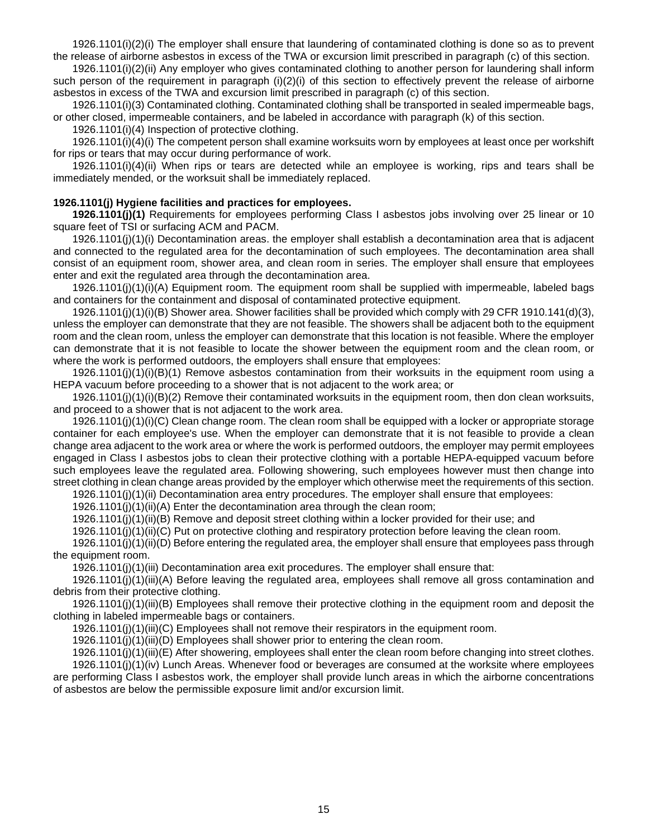1926.1101(i)(2)(i) The employer shall ensure that laundering of contaminated clothing is done so as to prevent the release of airborne asbestos in excess of the TWA or excursion limit prescribed in paragraph (c) of this section.

1926.1101(i)(2)(ii) Any employer who gives contaminated clothing to another person for laundering shall inform such person of the requirement in paragraph (i)(2)(i) of this section to effectively prevent the release of airborne asbestos in excess of the TWA and excursion limit prescribed in paragraph (c) of this section.

1926.1101(i)(3) Contaminated clothing. Contaminated clothing shall be transported in sealed impermeable bags, or other closed, impermeable containers, and be labeled in accordance with paragraph (k) of this section.

1926.1101(i)(4) Inspection of protective clothing.

1926.1101(i)(4)(i) The competent person shall examine worksuits worn by employees at least once per workshift for rips or tears that may occur during performance of work.

1926.1101(i)(4)(ii) When rips or tears are detected while an employee is working, rips and tears shall be immediately mended, or the worksuit shall be immediately replaced.

### <span id="page-14-0"></span>**1926.1101(j) Hygiene facilities and practices for employees.**

**[1926.1101\(j\)\(1\)](http://www.osha.gov/pls/oshaweb/owalink.query_links?src_doc_type=STANDARDS&src_unique_file=1926_1101&src_anchor_name=1926.1101(j)(1))** Requirements for employees performing Class I asbestos jobs involving over 25 linear or 10 square feet of TSI or surfacing ACM and PACM.

1926.1101(j)(1)(i) Decontamination areas. the employer shall establish a decontamination area that is adjacent and connected to the regulated area for the decontamination of such employees. The decontamination area shall consist of an equipment room, shower area, and clean room in series. The employer shall ensure that employees enter and exit the regulated area through the decontamination area.

1926.1101(j)(1)(i)(A) Equipment room. The equipment room shall be supplied with impermeable, labeled bags and containers for the containment and disposal of contaminated protective equipment.

[1926.1101\(j\)\(1\)\(i\)\(B\)](http://www.osha.gov/pls/oshaweb/owalink.query_links?src_doc_type=STANDARDS&src_unique_file=1926_1101&src_anchor_name=1926.1101(j)(1)(i)(B)) Shower area. Shower facilities shall be provided which comply with 29 CFR 1910.141(d)(3), unless the employer can demonstrate that they are not feasible. The showers shall be adjacent both to the equipment room and the clean room, unless the employer can demonstrate that this location is not feasible. Where the employer can demonstrate that it is not feasible to locate the shower between the equipment room and the clean room, or where the work is performed outdoors, the employers shall ensure that employees:

1926.1101(j)(1)(i)(B)(1) Remove asbestos contamination from their worksuits in the equipment room using a HEPA vacuum before proceeding to a shower that is not adjacent to the work area; or

1926.1101(j)(1)(i)(B)(2) Remove their contaminated worksuits in the equipment room, then don clean worksuits, and proceed to a shower that is not adjacent to the work area.

1926.1101(j)(1)(i)(C) Clean change room. The clean room shall be equipped with a locker or appropriate storage container for each employee's use. When the employer can demonstrate that it is not feasible to provide a clean change area adjacent to the work area or where the work is performed outdoors, the employer may permit employees engaged in Class I asbestos jobs to clean their protective clothing with a portable HEPA-equipped vacuum before such employees leave the regulated area. Following showering, such employees however must then change into street clothing in clean change areas provided by the employer which otherwise meet the requirements of this section.

1926.1101(j)(1)(ii) Decontamination area entry procedures. The employer shall ensure that employees:

1926.1101(j)(1)(ii)(A) Enter the decontamination area through the clean room;

1926.1101(j)(1)(ii)(B) Remove and deposit street clothing within a locker provided for their use; and

1926.1101(j)(1)(ii)(C) Put on protective clothing and respiratory protection before leaving the clean room.

1926.1101(j)(1)(ii)(D) Before entering the regulated area, the employer shall ensure that employees pass through the equipment room.

1926.1101(j)(1)(iii) Decontamination area exit procedures. The employer shall ensure that:

1926.1101(j)(1)(iii)(A) Before leaving the regulated area, employees shall remove all gross contamination and debris from their protective clothing.

1926.1101(j)(1)(iii)(B) Employees shall remove their protective clothing in the equipment room and deposit the clothing in labeled impermeable bags or containers.

1926.1101(j)(1)(iii)(C) Employees shall not remove their respirators in the equipment room.

1926.1101(j)(1)(iii)(D) Employees shall shower prior to entering the clean room.

1926.1101(j)(1)(iii)(E) After showering, employees shall enter the clean room before changing into street clothes.

1926.1101(j)(1)(iv) Lunch Areas. Whenever food or beverages are consumed at the worksite where employees are performing Class I asbestos work, the employer shall provide lunch areas in which the airborne concentrations of asbestos are below the permissible exposure limit and/or excursion limit.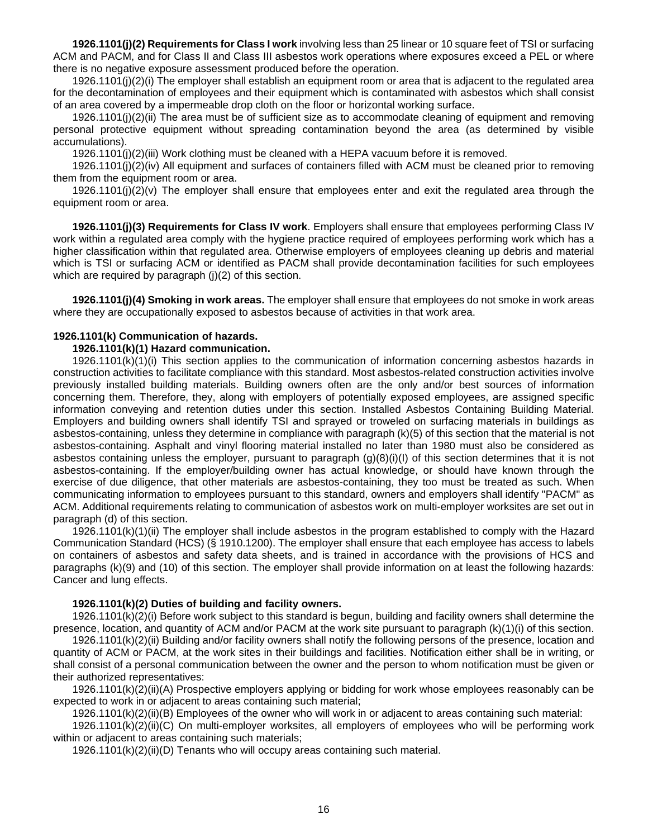**[1926.1101\(j\)\(2\)](http://www.osha.gov/pls/oshaweb/owalink.query_links?src_doc_type=STANDARDS&src_unique_file=1926_1101&src_anchor_name=1926.1101(j)(2)) Requirements for Class I work** involving less than 25 linear or 10 square feet of TSI or surfacing ACM and PACM, and for Class II and Class III asbestos work operations where exposures exceed a PEL or where there is no negative exposure assessment produced before the operation.

1926.1101(j)(2)(i) The employer shall establish an equipment room or area that is adjacent to the regulated area for the decontamination of employees and their equipment which is contaminated with asbestos which shall consist of an area covered by a impermeable drop cloth on the floor or horizontal working surface.

1926.1101(j)(2)(ii) The area must be of sufficient size as to accommodate cleaning of equipment and removing personal protective equipment without spreading contamination beyond the area (as determined by visible accumulations).

1926.1101(j)(2)(iii) Work clothing must be cleaned with a HEPA vacuum before it is removed.

1926.1101(j)(2)(iv) All equipment and surfaces of containers filled with ACM must be cleaned prior to removing them from the equipment room or area.

1926.1101(j)(2)(v) The employer shall ensure that employees enter and exit the regulated area through the equipment room or area.

**1926.1101(j)(3) Requirements for Class IV work**. Employers shall ensure that employees performing Class IV work within a regulated area comply with the hygiene practice required of employees performing work which has a higher classification within that regulated area. Otherwise employers of employees cleaning up debris and material which is TSI or surfacing ACM or identified as PACM shall provide decontamination facilities for such employees which are required by paragraph (j)(2) of this section.

**[1926.1101\(j\)\(4\) S](http://www.osha.gov/pls/oshaweb/owalink.query_links?src_doc_type=STANDARDS&src_unique_file=1926_1101&src_anchor_name=1926.1101(j)(4))moking in work areas.** The employer shall ensure that employees do not smoke in work areas where they are occupationally exposed to asbestos because of activities in that work area.

### <span id="page-15-0"></span>**[1926.1101\(k\)](http://www.osha.gov/pls/oshaweb/owalink.query_links?src_doc_type=STANDARDS&src_unique_file=1926_1101&src_anchor_name=1926.1101(k)) Communication of hazards.**

#### **[1926.1101\(k\)\(1\)](http://www.osha.gov/pls/oshaweb/owalink.query_links?src_doc_type=STANDARDS&src_unique_file=1926_1101&src_anchor_name=1926.1101(k)(1)) Hazard communication.**

1926.1101(k)(1)(i) This section applies to the communication of information concerning asbestos hazards in construction activities to facilitate compliance with this standard. Most asbestos-related construction activities involve previously installed building materials. Building owners often are the only and/or best sources of information concerning them. Therefore, they, along with employers of potentially exposed employees, are assigned specific information conveying and retention duties under this section. Installed Asbestos Containing Building Material. Employers and building owners shall identify TSI and sprayed or troweled on surfacing materials in buildings as asbestos-containing, unless they determine in compliance with paragraph (k)(5) of this section that the material is not asbestos-containing. Asphalt and vinyl flooring material installed no later than 1980 must also be considered as asbestos containing unless the employer, pursuant to paragraph  $(q)(8)(i)(l)$  of this section determines that it is not asbestos-containing. If the employer/building owner has actual knowledge, or should have known through the exercise of due diligence, that other materials are asbestos-containing, they too must be treated as such. When communicating information to employees pursuant to this standard, owners and employers shall identify "PACM" as ACM. Additional requirements relating to communication of asbestos work on multi-employer worksites are set out in paragraph (d) of this section.

1926.1101(k)(1)(ii) The employer shall include asbestos in the program established to comply with the Hazard Communication Standard (HCS) (§ 1910.1200). The employer shall ensure that each employee has access to labels on containers of asbestos and safety data sheets, and is trained in accordance with the provisions of HCS and paragraphs (k)(9) and (10) of this section. The employer shall provide information on at least the following hazards: Cancer and lung effects.

### **[1926.1101\(k\)\(2\)](http://www.osha.gov/pls/oshaweb/owalink.query_links?src_doc_type=STANDARDS&src_unique_file=1926_1101&src_anchor_name=1926.1101(k)(2)) Duties of building and facility owners.**

[1926.1101\(k\)\(2\)\(i\)](http://www.osha.gov/pls/oshaweb/owalink.query_links?src_doc_type=STANDARDS&src_unique_file=1926_1101&src_anchor_name=1926.1101(k)(2)(i)) Before work subject to this standard is begun, building and facility owners shall determine the presence, location, and quantity of ACM and/or PACM at the work site pursuant to paragraph (k)(1)(i) of this section.

[1926.1101\(k\)\(2\)\(ii\)](http://www.osha.gov/pls/oshaweb/owalink.query_links?src_doc_type=STANDARDS&src_unique_file=1926_1101&src_anchor_name=1926.1101(k)(2)(ii)) Building and/or facility owners shall notify the following persons of the presence, location and quantity of ACM or PACM, at the work sites in their buildings and facilities. Notification either shall be in writing, or shall consist of a personal communication between the owner and the person to whom notification must be given or their authorized representatives:

1926.1101(k)(2)(ii)(A) Prospective employers applying or bidding for work whose employees reasonably can be expected to work in or adjacent to areas containing such material;

1926.1101(k)(2)(ii)(B) Employees of the owner who will work in or adjacent to areas containing such material:

1926.1101(k)(2)(ii)(C) On multi-employer worksites, all employers of employees who will be performing work within or adjacent to areas containing such materials;

[1926.1101\(k\)\(2\)\(ii\)\(D\)](http://www.osha.gov/pls/oshaweb/owalink.query_links?src_doc_type=STANDARDS&src_unique_file=1926_1101&src_anchor_name=1926.1101(k)(2)(ii)(D)) Tenants who will occupy areas containing such material.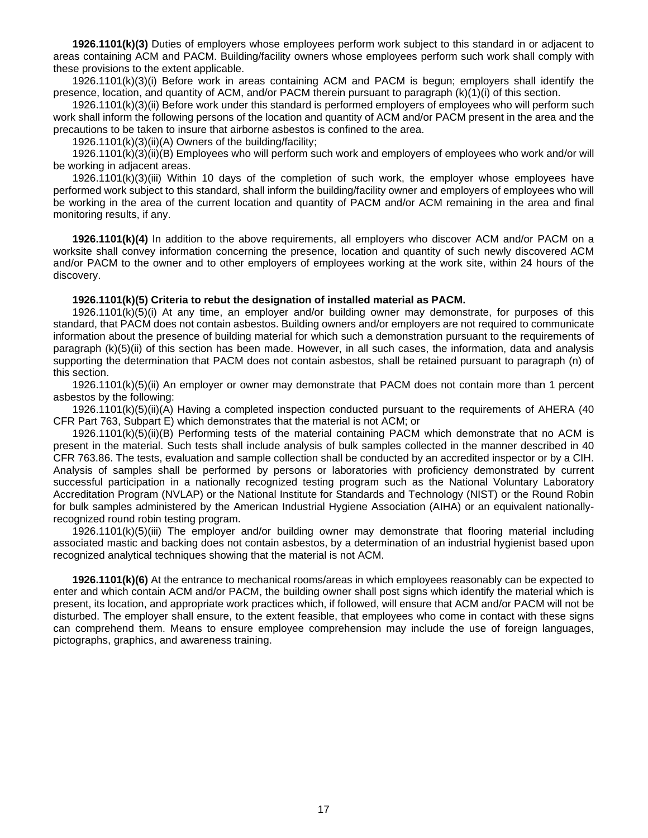**[1926.1101\(k\)\(3\)](http://www.osha.gov/pls/oshaweb/owalink.query_links?src_doc_type=STANDARDS&src_unique_file=1926_1101&src_anchor_name=1926.1101(k)(3))** Duties of employers whose employees perform work subject to this standard in or adjacent to areas containing ACM and PACM. Building/facility owners whose employees perform such work shall comply with these provisions to the extent applicable.

1926.1101(k)(3)(i) Before work in areas containing ACM and PACM is begun; employers shall identify the presence, location, and quantity of ACM, and/or PACM therein pursuant to paragraph (k)(1)(i) of this section.

1926.1101(k)(3)(ii) Before work under this standard is performed employers of employees who will perform such work shall inform the following persons of the location and quantity of ACM and/or PACM present in the area and the precautions to be taken to insure that airborne asbestos is confined to the area.

1926.1101(k)(3)(ii)(A) Owners of the building/facility;

1926.1101(k)(3)(ii)(B) Employees who will perform such work and employers of employees who work and/or will be working in adjacent areas.

1926.1101(k)(3)(iii) Within 10 days of the completion of such work, the employer whose employees have performed work subject to this standard, shall inform the building/facility owner and employers of employees who will be working in the area of the current location and quantity of PACM and/or ACM remaining in the area and final monitoring results, if any.

**1926.1101(k)(4)** In addition to the above requirements, all employers who discover ACM and/or PACM on a worksite shall convey information concerning the presence, location and quantity of such newly discovered ACM and/or PACM to the owner and to other employers of employees working at the work site, within 24 hours of the discovery.

### **1926.1101(k)(5) Criteria to rebut the designation of installed material as PACM.**

1926.1101(k)(5)(i) At any time, an employer and/or building owner may demonstrate, for purposes of this standard, that PACM does not contain asbestos. Building owners and/or employers are not required to communicate information about the presence of building material for which such a demonstration pursuant to the requirements of paragraph (k)(5)(ii) of this section has been made. However, in all such cases, the information, data and analysis supporting the determination that PACM does not contain asbestos, shall be retained pursuant to paragraph (n) of this section.

1926.1101(k)(5)(ii) An employer or owner may demonstrate that PACM does not contain more than 1 percent asbestos by the following:

1926.1101(k)(5)(ii)(A) Having a completed inspection conducted pursuant to the requirements of AHERA (40 CFR Part 763, Subpart E) which demonstrates that the material is not ACM; or

[1926.1101\(k\)\(5\)\(ii\)\(B\)](http://www.osha.gov/pls/oshaweb/owalink.query_links?src_doc_type=STANDARDS&src_unique_file=1926_1101&src_anchor_name=1926.1101(k)(5)(ii)(B)) Performing tests of the material containing PACM which demonstrate that no ACM is present in the material. Such tests shall include analysis of bulk samples collected in the manner described in 40 CFR 763.86. The tests, evaluation and sample collection shall be conducted by an accredited inspector or by a CIH. Analysis of samples shall be performed by persons or laboratories with proficiency demonstrated by current successful participation in a nationally recognized testing program such as the National Voluntary Laboratory Accreditation Program (NVLAP) or the National Institute for Standards and Technology (NIST) or the Round Robin for bulk samples administered by the American Industrial Hygiene Association (AIHA) or an equivalent nationallyrecognized round robin testing program.

1926.1101(k)(5)(iii) The employer and/or building owner may demonstrate that flooring material including associated mastic and backing does not contain asbestos, by a determination of an industrial hygienist based upon recognized analytical techniques showing that the material is not ACM.

**1926.1101(k)(6)** At the entrance to mechanical rooms/areas in which employees reasonably can be expected to enter and which contain ACM and/or PACM, the building owner shall post signs which identify the material which is present, its location, and appropriate work practices which, if followed, will ensure that ACM and/or PACM will not be disturbed. The employer shall ensure, to the extent feasible, that employees who come in contact with these signs can comprehend them. Means to ensure employee comprehension may include the use of foreign languages, pictographs, graphics, and awareness training.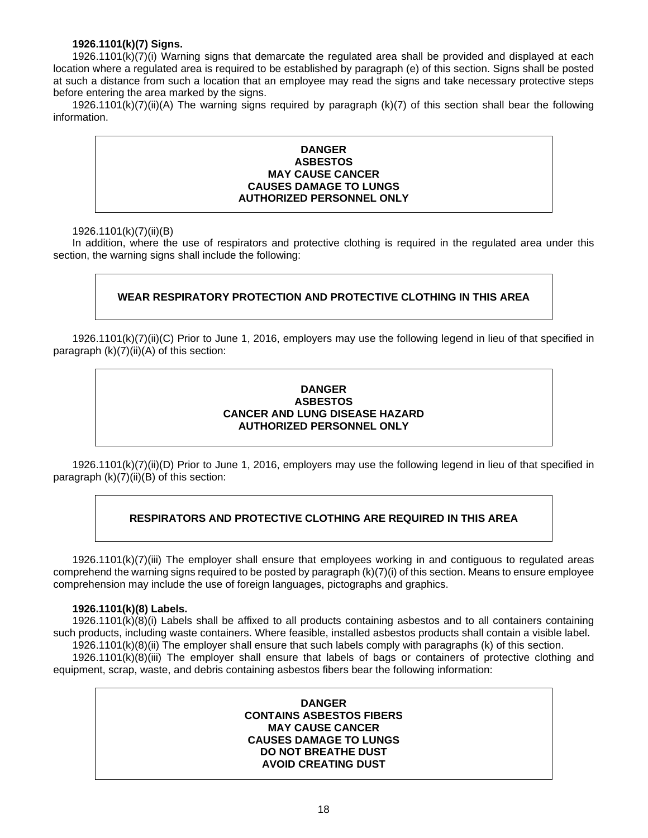### **[1926.1101\(k\)\(7\)](http://www.osha.gov/pls/oshaweb/owalink.query_links?src_doc_type=STANDARDS&src_unique_file=1926_1101&src_anchor_name=1926.1101(k)(7)) Signs.**

1926.1101(k)(7)(i) Warning signs that demarcate the regulated area shall be provided and displayed at each location where a regulated area is required to be established by paragraph (e) of this section. Signs shall be posted at such a distance from such a location that an employee may read the signs and take necessary protective steps before entering the area marked by the signs.

1926.1101(k)(7)(ii)(A) The warning signs required by paragraph (k)(7) of this section shall bear the following information.

### **DANGER ASBESTOS MAY CAUSE CANCER CAUSES DAMAGE TO LUNGS AUTHORIZED PERSONNEL ONLY**

#### 1926.1101(k)(7)(ii)(B)

In addition, where the use of respirators and protective clothing is required in the regulated area under this section, the warning signs shall include the following:

# **WEAR RESPIRATORY PROTECTION AND PROTECTIVE CLOTHING IN THIS AREA**

1926.1101(k)(7)(ii)(C) Prior to June 1, 2016, employers may use the following legend in lieu of that specified in paragraph  $(k)(7)(ii)(A)$  of this section:

# **DANGER ASBESTOS CANCER AND LUNG DISEASE HAZARD AUTHORIZED PERSONNEL ONLY**

1926.1101(k)(7)(ii)(D) Prior to June 1, 2016, employers may use the following legend in lieu of that specified in paragraph (k)(7)(ii)(B) of this section:

# **RESPIRATORS AND PROTECTIVE CLOTHING ARE REQUIRED IN THIS AREA**

1926.1101(k)(7)(iii) The employer shall ensure that employees working in and contiguous to regulated areas comprehend the warning signs required to be posted by paragraph (k)(7)(i) of this section. Means to ensure employee comprehension may include the use of foreign languages, pictographs and graphics.

#### **[1926.1101\(k\)\(8\)](http://www.osha.gov/pls/oshaweb/owalink.query_links?src_doc_type=STANDARDS&src_unique_file=1926_1101&src_anchor_name=1926.1101(k)(8)) Labels.**

[1926.1101\(k\)\(8\)\(i\)](http://www.osha.gov/pls/oshaweb/owalink.query_links?src_doc_type=STANDARDS&src_unique_file=1926_1101&src_anchor_name=1926.1101(k)(8)(i)) Labels shall be affixed to all products containing asbestos and to all containers containing such products, including waste containers. Where feasible, installed asbestos products shall contain a visible label. 1926.1101(k)(8)(ii) The employer shall ensure that such labels comply with paragraphs (k) of this section.

[1926.1101\(k\)\(8\)\(iii\)](http://www.osha.gov/pls/oshaweb/owalink.query_links?src_doc_type=STANDARDS&src_unique_file=1926_1101&src_anchor_name=1926.1101(k)(8)(iii)) The employer shall ensure that labels of bags or containers of protective clothing and equipment, scrap, waste, and debris containing asbestos fibers bear the following information:

### **DANGER CONTAINS ASBESTOS FIBERS MAY CAUSE CANCER CAUSES DAMAGE TO LUNGS DO NOT BREATHE DUST AVOID CREATING DUST**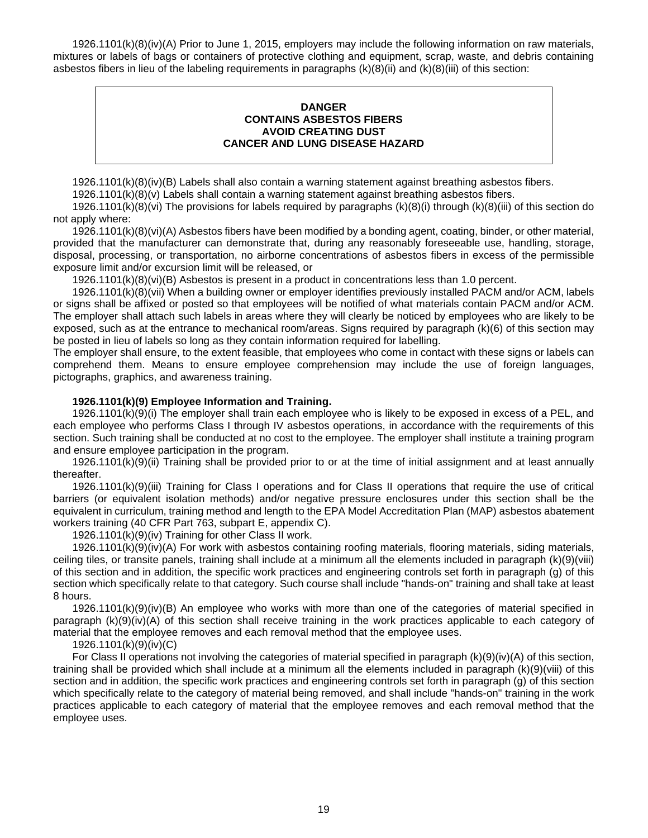1926.1101(k)(8)(iv)(A) Prior to June 1, 2015, employers may include the following information on raw materials, mixtures or labels of bags or containers of protective clothing and equipment, scrap, waste, and debris containing asbestos fibers in lieu of the labeling requirements in paragraphs (k)(8)(ii) and (k)(8)(iii) of this section:

### **DANGER CONTAINS ASBESTOS FIBERS AVOID CREATING DUST CANCER AND LUNG DISEASE HAZARD**

1926.1101(k)(8)(iv)(B) Labels shall also contain a warning statement against breathing asbestos fibers.

1926.1101(k)(8)(v) Labels shall contain a warning statement against breathing asbestos fibers.

1926.1101(k)(8)(vi) The provisions for labels required by paragraphs (k)(8)(i) through (k)(8)(iii) of this section do not apply where:

[1926.1101\(k\)\(8\)\(vi\)\(A\)](http://www.osha.gov/pls/oshaweb/owalink.query_links?src_doc_type=STANDARDS&src_unique_file=1926_1101&src_anchor_name=1926.1101(k)(8)(vi)(A)) Asbestos fibers have been modified by a bonding agent, coating, binder, or other material, provided that the manufacturer can demonstrate that, during any reasonably foreseeable use, handling, storage, disposal, processing, or transportation, no airborne concentrations of asbestos fibers in excess of the permissible exposure limit and/or excursion limit will be released, or

1926.1101(k)(8)(vi)(B) Asbestos is present in a product in concentrations less than 1.0 percent.

1926.1101(k)(8)(vii) When a building owner or employer identifies previously installed PACM and/or ACM, labels or signs shall be affixed or posted so that employees will be notified of what materials contain PACM and/or ACM. The employer shall attach such labels in areas where they will clearly be noticed by employees who are likely to be exposed, such as at the entrance to mechanical room/areas. Signs required by paragraph (k)(6) of this section may be posted in lieu of labels so long as they contain information required for labelling.

The employer shall ensure, to the extent feasible, that employees who come in contact with these signs or labels can comprehend them. Means to ensure employee comprehension may include the use of foreign languages, pictographs, graphics, and awareness training.

# **[1926.1101\(k\)\(9\)](http://www.osha.gov/pls/oshaweb/owalink.query_links?src_doc_type=STANDARDS&src_unique_file=1926_1101&src_anchor_name=1926.1101(k)(9)) Employee Information and Training.**

1926.1101(k)(9)(i) The employer shall train each employee who is likely to be exposed in excess of a PEL, and each employee who performs Class I through IV asbestos operations, in accordance with the requirements of this section. Such training shall be conducted at no cost to the employee. The employer shall institute a training program and ensure employee participation in the program.

[1926.1101\(k\)\(9\)\(ii\)](http://www.osha.gov/pls/oshaweb/owalink.query_links?src_doc_type=STANDARDS&src_unique_file=1926_1101&src_anchor_name=1926.1101(k)(9)(ii)) Training shall be provided prior to or at the time of initial assignment and at least annually thereafter.

1926.1101(k)(9)(iii) Training for Class I operations and for Class II operations that require the use of critical barriers (or equivalent isolation methods) and/or negative pressure enclosures under this section shall be the equivalent in curriculum, training method and length to the EPA Model Accreditation Plan (MAP) asbestos abatement workers training (40 CFR Part 763, subpart E, appendix C).

1926.1101(k)(9)(iv) Training for other Class II work.

1926.1101(k)(9)(iv)(A) For work with asbestos containing roofing materials, flooring materials, siding materials, ceiling tiles, or transite panels, training shall include at a minimum all the elements included in paragraph (k)(9)(viii) of this section and in addition, the specific work practices and engineering controls set forth in paragraph (g) of this section which specifically relate to that category. Such course shall include "hands-on" training and shall take at least 8 hours.

1926.1101(k)(9)(iv)(B) An employee who works with more than one of the categories of material specified in paragraph (k)(9)(iv)(A) of this section shall receive training in the work practices applicable to each category of material that the employee removes and each removal method that the employee uses.

1926.1101(k)(9)(iv)(C)

For Class II operations not involving the categories of material specified in paragraph (k)(9)(iv)(A) of this section, training shall be provided which shall include at a minimum all the elements included in paragraph (k)(9)(viii) of this section and in addition, the specific work practices and engineering controls set forth in paragraph (g) of this section which specifically relate to the category of material being removed, and shall include "hands-on" training in the work practices applicable to each category of material that the employee removes and each removal method that the employee uses.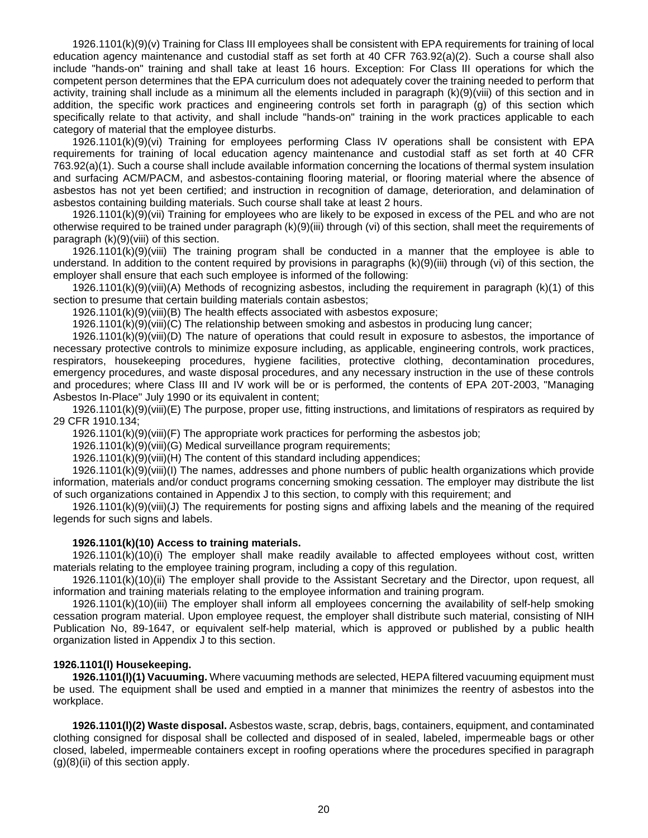[1926.1101\(k\)\(9\)\(v\)](http://www.osha.gov/pls/oshaweb/owalink.query_links?src_doc_type=STANDARDS&src_unique_file=1926_1101&src_anchor_name=1926.1101(k)(9)(v)) Training for Class III employees shall be consistent with EPA requirements for training of local education agency maintenance and custodial staff as set forth at 40 CFR 763.92(a)(2). Such a course shall also include "hands-on" training and shall take at least 16 hours. Exception: For Class III operations for which the competent person determines that the EPA curriculum does not adequately cover the training needed to perform that activity, training shall include as a minimum all the elements included in paragraph (k)(9)(viii) of this section and in addition, the specific work practices and engineering controls set forth in paragraph (g) of this section which specifically relate to that activity, and shall include "hands-on" training in the work practices applicable to each category of material that the employee disturbs.

1926.1101(k)(9)(vi) Training for employees performing Class IV operations shall be consistent with EPA requirements for training of local education agency maintenance and custodial staff as set forth at 40 CFR 763.92(a)(1). Such a course shall include available information concerning the locations of thermal system insulation and surfacing ACM/PACM, and asbestos-containing flooring material, or flooring material where the absence of asbestos has not yet been certified; and instruction in recognition of damage, deterioration, and delamination of asbestos containing building materials. Such course shall take at least 2 hours.

1926.1101(k)(9)(vii) Training for employees who are likely to be exposed in excess of the PEL and who are not otherwise required to be trained under paragraph (k)(9)(iii) through (vi) of this section, shall meet the requirements of paragraph (k)(9)(viii) of this section.

[1926.1101\(k\)\(9\)\(viii\)](http://www.osha.gov/pls/oshaweb/owalink.query_links?src_doc_type=STANDARDS&src_unique_file=1926_1101&src_anchor_name=1926.1101(k)(9)(viii)) The training program shall be conducted in a manner that the employee is able to understand. In addition to the content required by provisions in paragraphs (k)(9)(iii) through (vi) of this section, the employer shall ensure that each such employee is informed of the following:

1926.1101(k)(9)(viii)(A) Methods of recognizing asbestos, including the requirement in paragraph (k)(1) of this section to presume that certain building materials contain asbestos;

1926.1101(k)(9)(viii)(B) The health effects associated with asbestos exposure;

1926.1101(k)(9)(viii)(C) The relationship between smoking and asbestos in producing lung cancer;

1926.1101(k)(9)(viii)(D) The nature of operations that could result in exposure to asbestos, the importance of necessary protective controls to minimize exposure including, as applicable, engineering controls, work practices, respirators, housekeeping procedures, hygiene facilities, protective clothing, decontamination procedures, emergency procedures, and waste disposal procedures, and any necessary instruction in the use of these controls and procedures; where Class III and IV work will be or is performed, the contents of EPA 20T-2003, "Managing Asbestos In-Place" July 1990 or its equivalent in content;

1926.1101(k)(9)(viii)(E) The purpose, proper use, fitting instructions, and limitations of respirators as required by 29 CFR 1910.134;

1926.1101(k)(9)(viii)(F) The appropriate work practices for performing the asbestos job;

1926.1101(k)(9)(viii)(G) Medical surveillance program requirements;

1926.1101(k)(9)(viii)(H) The content of this standard including appendices;

1926.1101(k)(9)(viii)(I) The names, addresses and phone numbers of public health organizations which provide information, materials and/or conduct programs concerning smoking cessation. The employer may distribute the list of such organizations contained in Appendix J to this section, to comply with this requirement; and

1926.1101(k)(9)(viii)(J) The requirements for posting signs and affixing labels and the meaning of the required legends for such signs and labels.

### **1926.1101(k)(10) Access to training materials.**

1926.1101(k)(10)(i) The employer shall make readily available to affected employees without cost, written materials relating to the employee training program, including a copy of this regulation.

1926.1101(k)(10)(ii) The employer shall provide to the Assistant Secretary and the Director, upon request, all information and training materials relating to the employee information and training program.

1926.1101(k)(10)(iii) The employer shall inform all employees concerning the availability of self-help smoking cessation program material. Upon employee request, the employer shall distribute such material, consisting of NIH Publication No, 89-1647, or equivalent self-help material, which is approved or published by a public health organization listed in Appendix J to this section.

### <span id="page-19-0"></span>**1926.1101(l) Housekeeping.**

**[1926.1101\(l\)\(1\) V](http://www.osha.gov/pls/oshaweb/owalink.query_links?src_doc_type=STANDARDS&src_unique_file=1926_1101&src_anchor_name=1926.1101(l)(1))acuuming.** Where vacuuming methods are selected, HEPA filtered vacuuming equipment must be used. The equipment shall be used and emptied in a manner that minimizes the reentry of asbestos into the workplace.

**[1926.1101\(l\)\(2\) W](http://www.osha.gov/pls/oshaweb/owalink.query_links?src_doc_type=STANDARDS&src_unique_file=1926_1101&src_anchor_name=1926.1101(l)(2))aste disposal.** Asbestos waste, scrap, debris, bags, containers, equipment, and contaminated clothing consigned for disposal shall be collected and disposed of in sealed, labeled, impermeable bags or other closed, labeled, impermeable containers except in roofing operations where the procedures specified in paragraph (g)(8)(ii) of this section apply.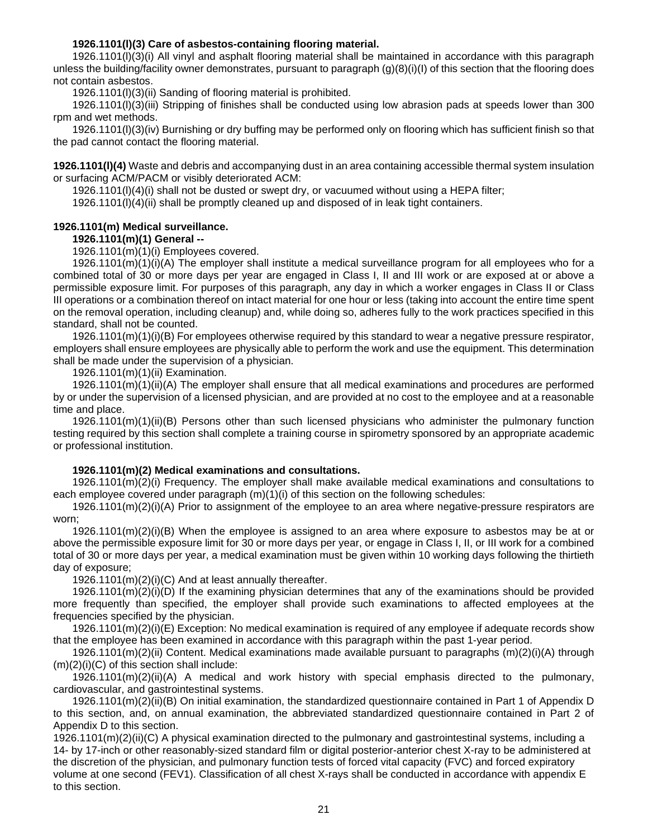### **[1926.1101\(l\)\(3\)](http://www.osha.gov/pls/oshaweb/owalink.query_links?src_doc_type=STANDARDS&src_unique_file=1926_1101&src_anchor_name=1926.1101(l)(3)) Care of asbestos-containing flooring material.**

1926.1101(l)(3)(i) All vinyl and asphalt flooring material shall be maintained in accordance with this paragraph unless the building/facility owner demonstrates, pursuant to paragraph  $(g)(8)(i)(l)$  of this section that the flooring does not contain asbestos.

1926.1101(l)(3)(ii) Sanding of flooring material is prohibited.

1926.1101(l)(3)(iii) Stripping of finishes shall be conducted using low abrasion pads at speeds lower than 300 rpm and wet methods.

1926.1101(l)(3)(iv) Burnishing or dry buffing may be performed only on flooring which has sufficient finish so that the pad cannot contact the flooring material.

**[1926.1101\(l\)\(4\)](http://www.osha.gov/pls/oshaweb/owalink.query_links?src_doc_type=STANDARDS&src_unique_file=1926_1101&src_anchor_name=1926.1101(l)(4))** Waste and debris and accompanying dust in an area containing accessible thermal system insulation or surfacing ACM/PACM or visibly deteriorated ACM:

1926.1101(l)(4)(i) shall not be dusted or swept dry, or vacuumed without using a HEPA filter;

1926.1101(l)(4)(ii) shall be promptly cleaned up and disposed of in leak tight containers.

#### <span id="page-20-0"></span>**[1926.1101\(m\)](http://www.osha.gov/pls/oshaweb/owalink.query_links?src_doc_type=STANDARDS&src_unique_file=1926_1101&src_anchor_name=1926.1101(m)) Medical surveillance.**

**1926.1101(m)(1) General --** 

[1926.1101\(m\)\(1\)\(i\)](http://www.osha.gov/pls/oshaweb/owalink.query_links?src_doc_type=STANDARDS&src_unique_file=1926_1101&src_anchor_name=1926.1101(m)(1)(i)) Employees covered.

1926.1101(m)(1)(i)(A) The employer shall institute a medical surveillance program for all employees who for a combined total of 30 or more days per year are engaged in Class I, II and III work or are exposed at or above a permissible exposure limit. For purposes of this paragraph, any day in which a worker engages in Class II or Class III operations or a combination thereof on intact material for one hour or less (taking into account the entire time spent on the removal operation, including cleanup) and, while doing so, adheres fully to the work practices specified in this standard, shall not be counted.

1926.1101(m)(1)(i)(B) For employees otherwise required by this standard to wear a negative pressure respirator, employers shall ensure employees are physically able to perform the work and use the equipment. This determination shall be made under the supervision of a physician.

1926.1101(m)(1)(ii) Examination.

1926.1101(m)(1)(ii)(A) The employer shall ensure that all medical examinations and procedures are performed by or under the supervision of a licensed physician, and are provided at no cost to the employee and at a reasonable time and place.

1926.1101(m)(1)(ii)(B) Persons other than such licensed physicians who administer the pulmonary function testing required by this section shall complete a training course in spirometry sponsored by an appropriate academic or professional institution.

#### **1926.1101(m)(2) Medical examinations and consultations.**

1926.1101(m)(2)(i) Frequency. The employer shall make available medical examinations and consultations to each employee covered under paragraph  $(m)(1)(i)$  of this section on the following schedules:

1926.1101(m)(2)(i)(A) Prior to assignment of the employee to an area where negative-pressure respirators are worn;

1926.1101(m)(2)(i)(B) When the employee is assigned to an area where exposure to asbestos may be at or above the permissible exposure limit for 30 or more days per year, or engage in Class I, II, or III work for a combined total of 30 or more days per year, a medical examination must be given within 10 working days following the thirtieth day of exposure;

1926.1101(m)(2)(i)(C) And at least annually thereafter.

1926.1101(m)(2)(i)(D) If the examining physician determines that any of the examinations should be provided more frequently than specified, the employer shall provide such examinations to affected employees at the frequencies specified by the physician.

1926.1101(m)(2)(i)(E) Exception: No medical examination is required of any employee if adequate records show that the employee has been examined in accordance with this paragraph within the past 1-year period.

1926.1101(m)(2)(ii) Content. Medical examinations made available pursuant to paragraphs (m)(2)(i)(A) through (m)(2)(i)(C) of this section shall include:

1926.1101(m)(2)(ii)(A) A medical and work history with special emphasis directed to the pulmonary, cardiovascular, and gastrointestinal systems.

1926.1101(m)(2)(ii)(B) On initial examination, the standardized questionnaire contained in Part 1 of Appendix D to this section, and, on annual examination, the abbreviated standardized questionnaire contained in Part 2 of Appendix D to this section.

[1926.1101\(m\)\(2\)\(ii\)\(C\)](http://www.osha.gov/pls/oshaweb/owalink.query_links?src_doc_type=STANDARDS&src_unique_file=1926_1101&src_anchor_name=1926.1101(m)(2)(ii)(C)) A physical examination directed to the pulmonary and gastrointestinal systems, including a 14- by 17-inch or other reasonably-sized standard film or digital posterior-anterior chest X-ray to be administered at the discretion of the physician, and pulmonary function tests of forced vital capacity (FVC) and forced expiratory volume at one second (FEV1). Classification of all chest X-rays shall be conducted in accordance with appendix E to this section.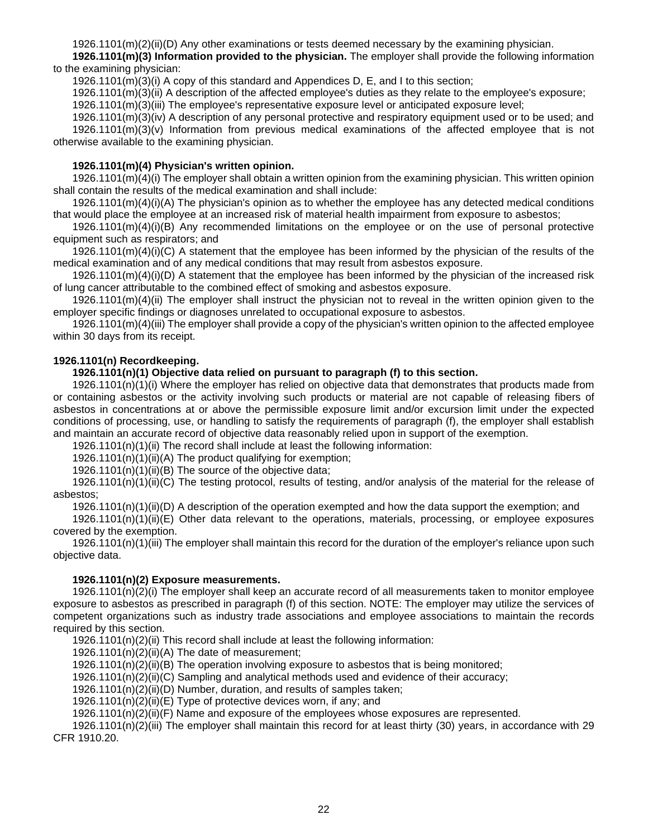1926.1101(m)(2)(ii)(D) Any other examinations or tests deemed necessary by the examining physician.

**1926.1101(m)(3) Information provided to the physician.** The employer shall provide the following information to the examining physician:

1926.1101(m)(3)(i) A copy of this standard and Appendices D, E, and I to this section;

1926.1101(m)(3)(ii) A description of the affected employee's duties as they relate to the employee's exposure;

1926.1101(m)(3)(iii) The employee's representative exposure level or anticipated exposure level;

1926.1101(m)(3)(iv) A description of any personal protective and respiratory equipment used or to be used; and 1926.1101(m)(3)(v) Information from previous medical examinations of the affected employee that is not otherwise available to the examining physician.

### **[1926.1101\(m\)\(4\)](http://www.osha.gov/pls/oshaweb/owalink.query_links?src_doc_type=STANDARDS&src_unique_file=1926_1101&src_anchor_name=1926.1101(m)(4)) Physician's written opinion.**

[1926.1101\(m\)\(4\)\(i\) T](http://www.osha.gov/pls/oshaweb/owalink.query_links?src_doc_type=STANDARDS&src_unique_file=1926_1101&src_anchor_name=1926.1101(m)(4)(i))he employer shall obtain a written opinion from the examining physician. This written opinion shall contain the results of the medical examination and shall include:

1926.1101(m)(4)(i)(A) The physician's opinion as to whether the employee has any detected medical conditions that would place the employee at an increased risk of material health impairment from exposure to asbestos;

1926.1101(m)(4)(i)(B) Any recommended limitations on the employee or on the use of personal protective equipment such as respirators; and

1926.1101(m)(4)(i)(C) A statement that the employee has been informed by the physician of the results of the medical examination and of any medical conditions that may result from asbestos exposure.

1926.1101(m)(4)(i)(D) A statement that the employee has been informed by the physician of the increased risk of lung cancer attributable to the combined effect of smoking and asbestos exposure.

1926.1101(m)(4)(ii) The employer shall instruct the physician not to reveal in the written opinion given to the employer specific findings or diagnoses unrelated to occupational exposure to asbestos.

1926.1101(m)(4)(iii) The employer shall provide a copy of the physician's written opinion to the affected employee within 30 days from its receipt.

# <span id="page-21-0"></span>**[1926.1101\(n\)](http://www.osha.gov/pls/oshaweb/owalink.query_links?src_doc_type=STANDARDS&src_unique_file=1926_1101&src_anchor_name=1926.1101(n)) Recordkeeping.**

### **1926.1101(n)(1) Objective data relied on pursuant to paragraph (f) to this section.**

1926.1101(n)(1)(i) Where the employer has relied on objective data that demonstrates that products made from or containing asbestos or the activity involving such products or material are not capable of releasing fibers of asbestos in concentrations at or above the permissible exposure limit and/or excursion limit under the expected conditions of processing, use, or handling to satisfy the requirements of paragraph (f), the employer shall establish and maintain an accurate record of objective data reasonably relied upon in support of the exemption.

1926.1101(n)(1)(ii) The record shall include at least the following information:

1926.1101(n)(1)(ii)(A) The product qualifying for exemption;

1926.1101(n)(1)(ii)(B) The source of the objective data;

1926.1101(n)(1)(ii)(C) The testing protocol, results of testing, and/or analysis of the material for the release of asbestos;

1926.1101(n)(1)(ii)(D) A description of the operation exempted and how the data support the exemption; and

1926.1101(n)(1)(ii)(E) Other data relevant to the operations, materials, processing, or employee exposures covered by the exemption.

1926.1101(n)(1)(iii) The employer shall maintain this record for the duration of the employer's reliance upon such objective data.

### **[1926.1101\(n\)\(2\)](http://www.osha.gov/pls/oshaweb/owalink.query_links?src_doc_type=STANDARDS&src_unique_file=1926_1101&src_anchor_name=1926.1101(n)(2)) Exposure measurements.**

1926.1101(n)(2)(i) The employer shall keep an accurate record of all measurements taken to monitor employee exposure to asbestos as prescribed in paragraph (f) of this section. NOTE: The employer may utilize the services of competent organizations such as industry trade associations and employee associations to maintain the records required by this section.

1926.1101(n)(2)(ii) This record shall include at least the following information:

1926.1101(n)(2)(ii)(A) The date of measurement;

1926.1101(n)(2)(ii)(B) The operation involving exposure to asbestos that is being monitored;

1926.1101(n)(2)(ii)(C) Sampling and analytical methods used and evidence of their accuracy;

1926.1101(n)(2)(ii)(D) Number, duration, and results of samples taken;

1926.1101(n)(2)(ii)(E) Type of protective devices worn, if any; and

[1926.1101\(n\)\(2\)\(ii\)\(F\)](http://www.osha.gov/pls/oshaweb/owalink.query_links?src_doc_type=STANDARDS&src_unique_file=1926_1101&src_anchor_name=1926.1101(n)(2)(ii)(F)) Name and exposure of the employees whose exposures are represented.

1926.1101(n)(2)(iii) The employer shall maintain this record for at least thirty (30) years, in accordance with 29 CFR 1910.20.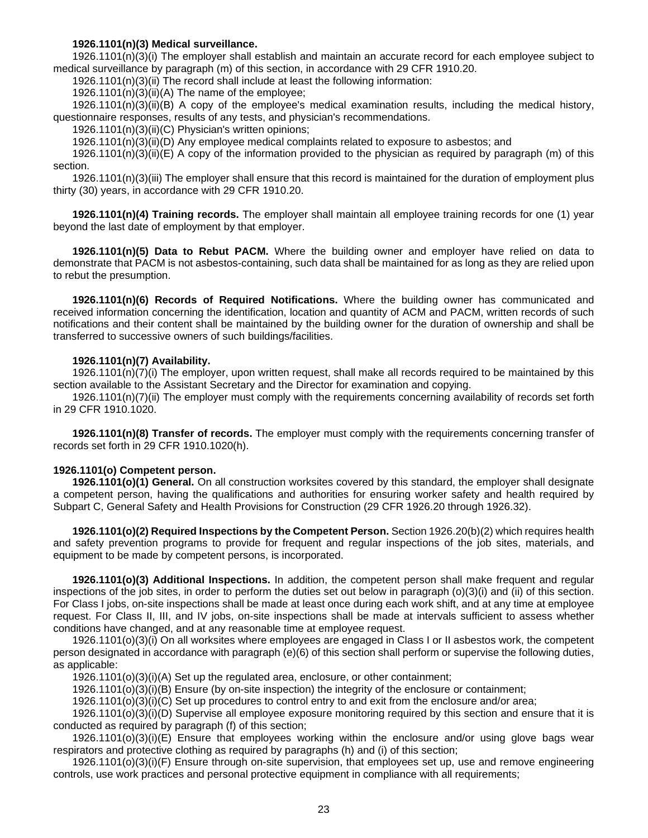### **1926.1101(n)(3) Medical surveillance.**

1926.1101(n)(3)(i) The employer shall establish and maintain an accurate record for each employee subject to medical surveillance by paragraph (m) of this section, in accordance with 29 CFR 1910.20.

1926.1101(n)(3)(ii) The record shall include at least the following information:

1926.1101(n)(3)(ii)(A) The name of the employee;

1926.1101(n)(3)(ii)(B) A copy of the employee's medical examination results, including the medical history, questionnaire responses, results of any tests, and physician's recommendations.

1926.1101(n)(3)(ii)(C) Physician's written opinions;

1926.1101(n)(3)(ii)(D) Any employee medical complaints related to exposure to asbestos; and

1926.1101(n)(3)(ii)(E) A copy of the information provided to the physician as required by paragraph (m) of this section.

1926.1101(n)(3)(iii) The employer shall ensure that this record is maintained for the duration of employment plus thirty (30) years, in accordance with 29 CFR 1910.20.

**1926.1101(n)(4) Training records.** The employer shall maintain all employee training records for one (1) year beyond the last date of employment by that employer.

**1926.1101(n)(5) Data to Rebut PACM.** Where the building owner and employer have relied on data to demonstrate that PACM is not asbestos-containing, such data shall be maintained for as long as they are relied upon to rebut the presumption.

**1926.1101(n)(6) Records of Required Notifications.** Where the building owner has communicated and received information concerning the identification, location and quantity of ACM and PACM, written records of such notifications and their content shall be maintained by the building owner for the duration of ownership and shall be transferred to successive owners of such buildings/facilities.

#### **1926.1101(n)(7) Availability.**

1926.1101(n)(7)(i) The employer, upon written request, shall make all records required to be maintained by this section available to the Assistant Secretary and the Director for examination and copying.

1926.1101(n)(7)(ii) The employer must comply with the requirements concerning availability of records set forth in 29 CFR 1910.1020.

**1926.1101(n)(8) Transfer of records.** The employer must comply with the requirements concerning transfer of records set forth in 29 CFR 1910.1020(h).

### <span id="page-22-0"></span>**1926.1101(o) Competent person.**

**1926.1101(o)(1) General.** On all construction worksites covered by this standard, the employer shall designate a competent person, having the qualifications and authorities for ensuring worker safety and health required by Subpart C, General Safety and Health Provisions for Construction (29 CFR 1926.20 through 1926.32).

**1926.1101(o)(2) Required Inspections by the Competent Person.** Section 1926.20(b)(2) which requires health and safety prevention programs to provide for frequent and regular inspections of the job sites, materials, and equipment to be made by competent persons, is incorporated.

**[1926.1101\(o\)\(3\)](http://www.osha.gov/pls/oshaweb/owalink.query_links?src_doc_type=STANDARDS&src_unique_file=1926_1101&src_anchor_name=1926.1101(o)(3)) Additional Inspections.** In addition, the competent person shall make frequent and regular inspections of the job sites, in order to perform the duties set out below in paragraph (o)(3)(i) and (ii) of this section. For Class I jobs, on-site inspections shall be made at least once during each work shift, and at any time at employee request. For Class II, III, and IV jobs, on-site inspections shall be made at intervals sufficient to assess whether conditions have changed, and at any reasonable time at employee request.

[1926.1101\(o\)\(3\)\(i\)](http://www.osha.gov/pls/oshaweb/owalink.query_links?src_doc_type=STANDARDS&src_unique_file=1926_1101&src_anchor_name=1926.1101(o)(3)(i)) On all worksites where employees are engaged in Class I or II asbestos work, the competent person designated in accordance with paragraph (e)(6) of this section shall perform or supervise the following duties, as applicable:

1926.1101(o)(3)(i)(A) Set up the regulated area, enclosure, or other containment;

1926.1101(o)(3)(i)(B) Ensure (by on-site inspection) the integrity of the enclosure or containment;

1926.1101(o)(3)(i)(C) Set up procedures to control entry to and exit from the enclosure and/or area;

1926.1101(o)(3)(i)(D) Supervise all employee exposure monitoring required by this section and ensure that it is conducted as required by paragraph (f) of this section;

1926.1101(o)(3)(i)(E) Ensure that employees working within the enclosure and/or using glove bags wear respirators and protective clothing as required by paragraphs (h) and (i) of this section;

1926.1101(o)(3)(i)(F) Ensure through on-site supervision, that employees set up, use and remove engineering controls, use work practices and personal protective equipment in compliance with all requirements;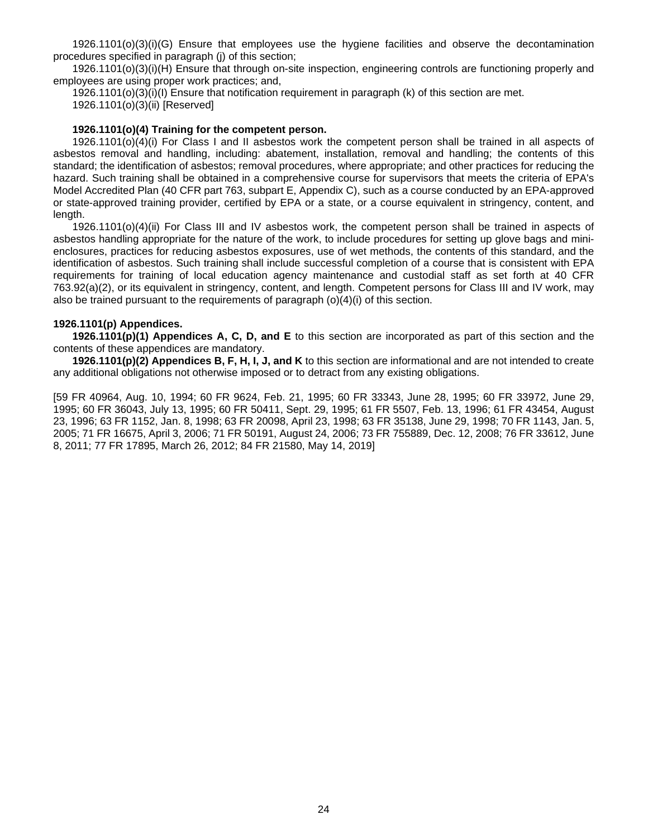1926.1101(o)(3)(i)(G) Ensure that employees use the hygiene facilities and observe the decontamination procedures specified in paragraph (j) of this section;

1926.1101(o)(3)(i)(H) Ensure that through on-site inspection, engineering controls are functioning properly and employees are using proper work practices; and,

1926.1101(o)(3)(i)(I) Ensure that notification requirement in paragraph (k) of this section are met.

1926.1101(o)(3)(ii) [Reserved]

### **[1926.1101\(o\)\(4\)](http://www.osha.gov/pls/oshaweb/owalink.query_links?src_doc_type=STANDARDS&src_unique_file=1926_1101&src_anchor_name=1926.1101(o)(4)) Training for the competent person.**

1926.1101(o)(4)(i) For Class I and II asbestos work the competent person shall be trained in all aspects of asbestos removal and handling, including: abatement, installation, removal and handling; the contents of this standard; the identification of asbestos; removal procedures, where appropriate; and other practices for reducing the hazard. Such training shall be obtained in a comprehensive course for supervisors that meets the criteria of EPA's Model Accredited Plan (40 CFR part 763, subpart E, Appendix C), such as a course conducted by an EPA-approved or state-approved training provider, certified by EPA or a state, or a course equivalent in stringency, content, and length.

1926.1101(o)(4)(ii) For Class III and IV asbestos work, the competent person shall be trained in aspects of asbestos handling appropriate for the nature of the work, to include procedures for setting up glove bags and minienclosures, practices for reducing asbestos exposures, use of wet methods, the contents of this standard, and the identification of asbestos. Such training shall include successful completion of a course that is consistent with EPA requirements for training of local education agency maintenance and custodial staff as set forth at 40 CFR 763.92(a)(2), or its equivalent in stringency, content, and length. Competent persons for Class III and IV work, may also be trained pursuant to the requirements of paragraph (o)(4)(i) of this section.

#### <span id="page-23-0"></span>**1926.1101(p) Appendices.**

**1926.1101(p)(1) Appendices A, C, D, and E** to this section are incorporated as part of this section and the contents of these appendices are mandatory.

**1926.1101(p)(2) Appendices B, F, H, I, J, and K** to this section are informational and are not intended to create any additional obligations not otherwise imposed or to detract from any existing obligations.

<span id="page-23-1"></span>[59 FR 40964, Aug. 10, 1994; 60 FR 9624, Feb. 21, 1995; 60 FR 33343, June 28, 1995; 60 FR 33972, June 29, 1995; 60 FR 36043, July 13, 1995; 60 FR 50411, Sept. 29, 1995; 61 FR 5507, Feb. 13, 1996; 61 FR 43454, August 23, 1996; 63 FR 1152, Jan. 8, 1998; 63 FR 20098, April 23, 1998; 63 FR 35138, June 29, 1998; 70 FR 1143, Jan. 5, 2005; 71 FR 16675, April 3, 2006; 71 FR 50191, August 24, 2006; 73 FR 755889, Dec. 12, 2008; 76 FR 33612, June 8, 2011; 77 FR 17895, March 26, 2012; 84 FR 21580, May 14, 2019]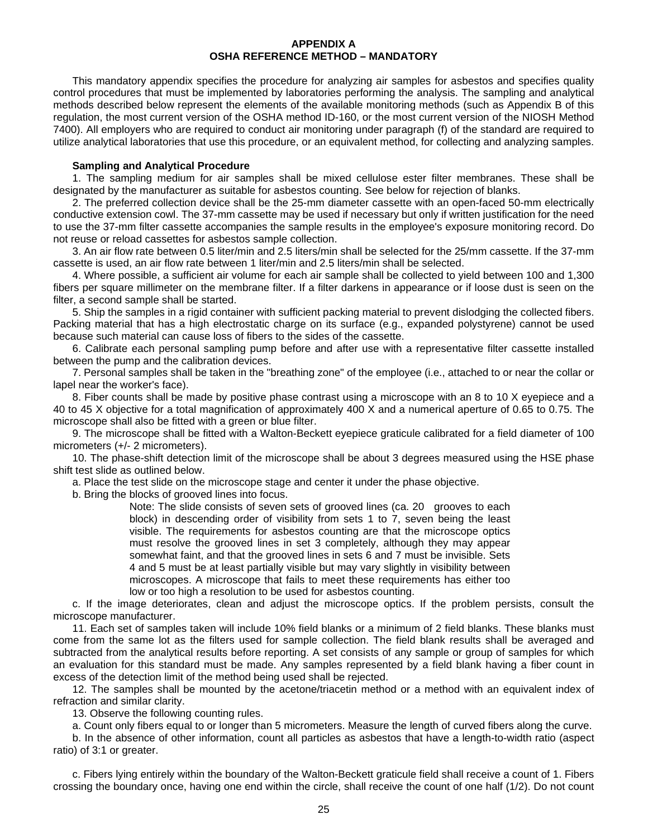#### **APPENDIX A OSHA REFERENCE METHOD – MANDATORY**

<span id="page-24-0"></span>This mandatory appendix specifies the procedure for analyzing air samples for asbestos and specifies quality control procedures that must be implemented by laboratories performing the analysis. The sampling and analytical methods described below represent the elements of the available monitoring methods (such as Appendix B of this regulation, the most current version of the OSHA method ID-160, or the most current version of the NIOSH Method 7400). All employers who are required to conduct air monitoring under paragraph (f) of the standard are required to utilize analytical laboratories that use this procedure, or an equivalent method, for collecting and analyzing samples.

#### **Sampling and Analytical Procedure**

1. The sampling medium for air samples shall be mixed cellulose ester filter membranes. These shall be designated by the manufacturer as suitable for asbestos counting. See below for rejection of blanks.

2. The preferred collection device shall be the 25-mm diameter cassette with an open-faced 50-mm electrically conductive extension cowl. The 37-mm cassette may be used if necessary but only if written justification for the need to use the 37-mm filter cassette accompanies the sample results in the employee's exposure monitoring record. Do not reuse or reload cassettes for asbestos sample collection.

3. An air flow rate between 0.5 liter/min and 2.5 liters/min shall be selected for the 25/mm cassette. If the 37-mm cassette is used, an air flow rate between 1 liter/min and 2.5 liters/min shall be selected.

4. Where possible, a sufficient air volume for each air sample shall be collected to yield between 100 and 1,300 fibers per square millimeter on the membrane filter. If a filter darkens in appearance or if loose dust is seen on the filter, a second sample shall be started.

5. Ship the samples in a rigid container with sufficient packing material to prevent dislodging the collected fibers. Packing material that has a high electrostatic charge on its surface (e.g., expanded polystyrene) cannot be used because such material can cause loss of fibers to the sides of the cassette.

6. Calibrate each personal sampling pump before and after use with a representative filter cassette installed between the pump and the calibration devices.

7. Personal samples shall be taken in the "breathing zone" of the employee (i.e., attached to or near the collar or lapel near the worker's face).

8. Fiber counts shall be made by positive phase contrast using a microscope with an 8 to 10 X eyepiece and a 40 to 45 X objective for a total magnification of approximately 400 X and a numerical aperture of 0.65 to 0.75. The microscope shall also be fitted with a green or blue filter.

9. The microscope shall be fitted with a Walton-Beckett eyepiece graticule calibrated for a field diameter of 100 micrometers (+/- 2 micrometers).

10. The phase-shift detection limit of the microscope shall be about 3 degrees measured using the HSE phase shift test slide as outlined below.

a. Place the test slide on the microscope stage and center it under the phase objective.

b. Bring the blocks of grooved lines into focus.

Note: The slide consists of seven sets of grooved lines (ca. 20 grooves to each block) in descending order of visibility from sets 1 to 7, seven being the least visible. The requirements for asbestos counting are that the microscope optics must resolve the grooved lines in set 3 completely, although they may appear somewhat faint, and that the grooved lines in sets 6 and 7 must be invisible. Sets 4 and 5 must be at least partially visible but may vary slightly in visibility between microscopes. A microscope that fails to meet these requirements has either too low or too high a resolution to be used for asbestos counting.

c. If the image deteriorates, clean and adjust the microscope optics. If the problem persists, consult the microscope manufacturer.

11. Each set of samples taken will include 10% field blanks or a minimum of 2 field blanks. These blanks must come from the same lot as the filters used for sample collection. The field blank results shall be averaged and subtracted from the analytical results before reporting. A set consists of any sample or group of samples for which an evaluation for this standard must be made. Any samples represented by a field blank having a fiber count in excess of the detection limit of the method being used shall be rejected.

12. The samples shall be mounted by the acetone/triacetin method or a method with an equivalent index of refraction and similar clarity.

13. Observe the following counting rules.

a. Count only fibers equal to or longer than 5 micrometers. Measure the length of curved fibers along the curve.

b. In the absence of other information, count all particles as asbestos that have a length-to-width ratio (aspect ratio) of 3:1 or greater.

c. Fibers lying entirely within the boundary of the Walton-Beckett graticule field shall receive a count of 1. Fibers crossing the boundary once, having one end within the circle, shall receive the count of one half (1/2). Do not count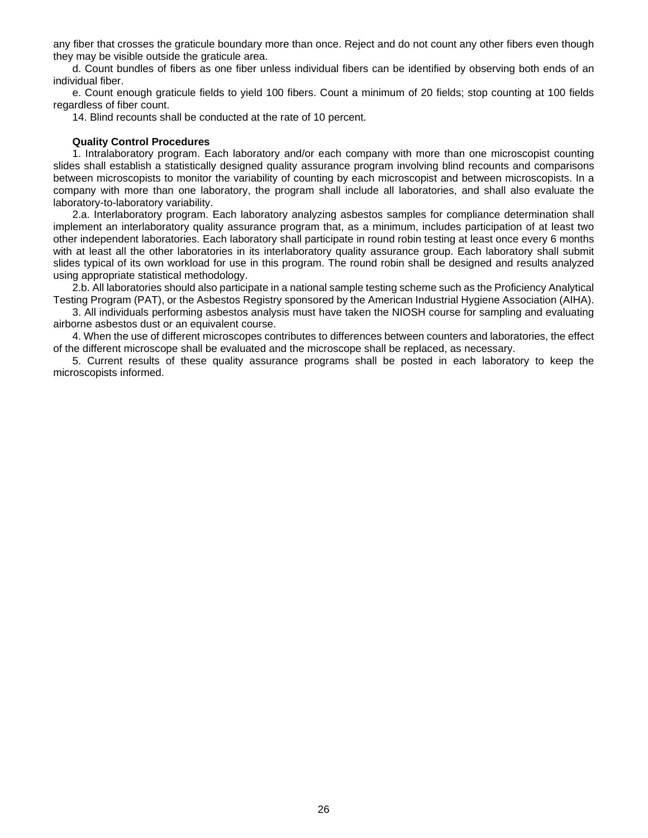any fiber that crosses the graticule boundary more than once. Reject and do not count any other fibers even though they may be visible outside the graticule area.

d. Count bundles of fibers as one fiber unless individual fibers can be identified by observing both ends of an individual fiber.

e. Count enough graticule fields to yield 100 fibers. Count a minimum of 20 fields; stop counting at 100 fields regardless of fiber count.

14. Blind recounts shall be conducted at the rate of 10 percent.

#### **Quality Control Procedures**

1. Intralaboratory program. Each laboratory and/or each company with more than one microscopist counting slides shall establish a statistically designed quality assurance program involving blind recounts and comparisons between microscopists to monitor the variability of counting by each microscopist and between microscopists. In a company with more than one laboratory, the program shall include all laboratories, and shall also evaluate the laboratory-to-laboratory variability.

2.a. Interlaboratory program. Each laboratory analyzing asbestos samples for compliance determination shall implement an interlaboratory quality assurance program that, as a minimum, includes participation of at least two other independent laboratories. Each laboratory shall participate in round robin testing at least once every 6 months with at least all the other laboratories in its interlaboratory quality assurance group. Each laboratory shall submit slides typical of its own workload for use in this program. The round robin shall be designed and results analyzed using appropriate statistical methodology.

2.b. All laboratories should also participate in a national sample testing scheme such as the Proficiency Analytical Testing Program (PAT), or the Asbestos Registry sponsored by the American Industrial Hygiene Association (AIHA).

3. All individuals performing asbestos analysis must have taken the NIOSH course for sampling and evaluating airborne asbestos dust or an equivalent course.

4. When the use of different microscopes contributes to differences between counters and laboratories, the effect of the different microscope shall be evaluated and the microscope shall be replaced, as necessary.

<span id="page-25-0"></span>5. Current results of these quality assurance programs shall be posted in each laboratory to keep the microscopists informed.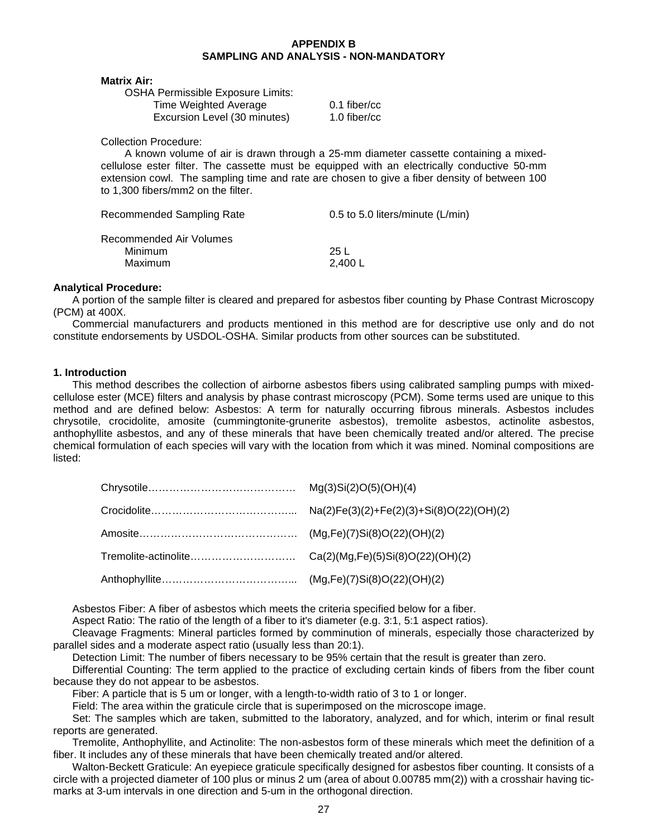### **APPENDIX B SAMPLING AND ANALYSIS - NON-MANDATORY**

#### <span id="page-26-0"></span>**Matrix Air:**

| <b>OSHA Permissible Exposure Limits:</b> |                |
|------------------------------------------|----------------|
| Time Weighted Average                    | $0.1$ fiber/cc |
| Excursion Level (30 minutes)             | $1.0$ fiber/cc |

Collection Procedure:

A known volume of air is drawn through a 25-mm diameter cassette containing a mixedcellulose ester filter. The cassette must be equipped with an electrically conductive 50-mm extension cowl. The sampling time and rate are chosen to give a fiber density of between 100 to 1,300 fibers/mm2 on the filter.

| Recommended Sampling Rate | 0.5 to 5.0 liters/minute $(L/min)$ |  |
|---------------------------|------------------------------------|--|
| Recommended Air Volumes   |                                    |  |
| Minimum                   | 25 L                               |  |
| Maximum                   | 2.400 L                            |  |

### **Analytical Procedure:**

A portion of the sample filter is cleared and prepared for asbestos fiber counting by Phase Contrast Microscopy (PCM) at 400X.

Commercial manufacturers and products mentioned in this method are for descriptive use only and do not constitute endorsements by USDOL-OSHA. Similar products from other sources can be substituted.

### **1. Introduction**

This method describes the collection of airborne asbestos fibers using calibrated sampling pumps with mixedcellulose ester (MCE) filters and analysis by phase contrast microscopy (PCM). Some terms used are unique to this method and are defined below: Asbestos: A term for naturally occurring fibrous minerals. Asbestos includes chrysotile, crocidolite, amosite (cummingtonite-grunerite asbestos), tremolite asbestos, actinolite asbestos, anthophyllite asbestos, and any of these minerals that have been chemically treated and/or altered. The precise chemical formulation of each species will vary with the location from which it was mined. Nominal compositions are listed:

|                                                      | Mg(3)Si(2)O(5)(OH)(4)                      |
|------------------------------------------------------|--------------------------------------------|
|                                                      | $Na(2)Fe(3)(2)+Fe(2)(3)+Si(8)O(22)(OH)(2)$ |
|                                                      | (Mg,Fe)(7)Si(8)O(22)(OH)(2)                |
| Tremolite-actinoliteCa(2)(Mg,Fe)(5)Si(8)O(22)(OH)(2) |                                            |
|                                                      | (Mg,Fe)(7)Si(8)O(22)(OH)(2)                |

Asbestos Fiber: A fiber of asbestos which meets the criteria specified below for a fiber.

Aspect Ratio: The ratio of the length of a fiber to it's diameter (e.g. 3:1, 5:1 aspect ratios).

Cleavage Fragments: Mineral particles formed by comminution of minerals, especially those characterized by parallel sides and a moderate aspect ratio (usually less than 20:1).

Detection Limit: The number of fibers necessary to be 95% certain that the result is greater than zero.

Differential Counting: The term applied to the practice of excluding certain kinds of fibers from the fiber count because they do not appear to be asbestos.

Fiber: A particle that is 5 um or longer, with a length-to-width ratio of 3 to 1 or longer.

Field: The area within the graticule circle that is superimposed on the microscope image.

Set: The samples which are taken, submitted to the laboratory, analyzed, and for which, interim or final result reports are generated.

Tremolite, Anthophyllite, and Actinolite: The non-asbestos form of these minerals which meet the definition of a fiber. It includes any of these minerals that have been chemically treated and/or altered.

Walton-Beckett Graticule: An eyepiece graticule specifically designed for asbestos fiber counting. It consists of a circle with a projected diameter of 100 plus or minus 2 um (area of about 0.00785 mm(2)) with a crosshair having ticmarks at 3-um intervals in one direction and 5-um in the orthogonal direction.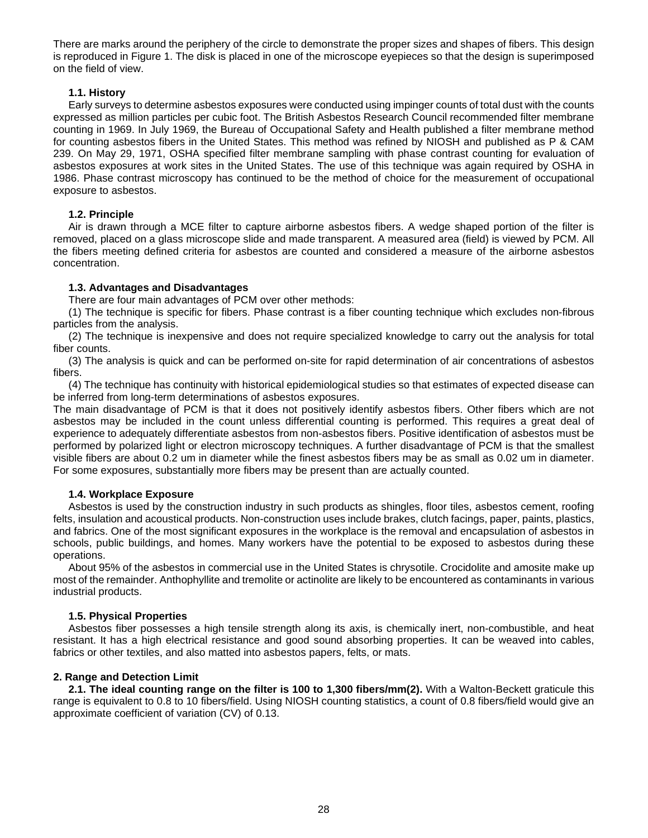There are marks around the periphery of the circle to demonstrate the proper sizes and shapes of fibers. This design is reproduced in Figure 1. The disk is placed in one of the microscope eyepieces so that the design is superimposed on the field of view.

# **1.1. History**

 Early surveys to determine asbestos exposures were conducted using impinger counts of total dust with the counts expressed as million particles per cubic foot. The British Asbestos Research Council recommended filter membrane counting in 1969. In July 1969, the Bureau of Occupational Safety and Health published a filter membrane method for counting asbestos fibers in the United States. This method was refined by NIOSH and published as P & CAM 239. On May 29, 1971, OSHA specified filter membrane sampling with phase contrast counting for evaluation of asbestos exposures at work sites in the United States. The use of this technique was again required by OSHA in 1986. Phase contrast microscopy has continued to be the method of choice for the measurement of occupational exposure to asbestos.

# **1.2. Principle**

 Air is drawn through a MCE filter to capture airborne asbestos fibers. A wedge shaped portion of the filter is removed, placed on a glass microscope slide and made transparent. A measured area (field) is viewed by PCM. All the fibers meeting defined criteria for asbestos are counted and considered a measure of the airborne asbestos concentration.

# **1.3. Advantages and Disadvantages**

There are four main advantages of PCM over other methods:

 (1) The technique is specific for fibers. Phase contrast is a fiber counting technique which excludes non-fibrous particles from the analysis.

 (2) The technique is inexpensive and does not require specialized knowledge to carry out the analysis for total fiber counts.

 (3) The analysis is quick and can be performed on-site for rapid determination of air concentrations of asbestos fibers.

 (4) The technique has continuity with historical epidemiological studies so that estimates of expected disease can be inferred from long-term determinations of asbestos exposures.

The main disadvantage of PCM is that it does not positively identify asbestos fibers. Other fibers which are not asbestos may be included in the count unless differential counting is performed. This requires a great deal of experience to adequately differentiate asbestos from non-asbestos fibers. Positive identification of asbestos must be performed by polarized light or electron microscopy techniques. A further disadvantage of PCM is that the smallest visible fibers are about 0.2 um in diameter while the finest asbestos fibers may be as small as 0.02 um in diameter. For some exposures, substantially more fibers may be present than are actually counted.

### **1.4. Workplace Exposure**

 Asbestos is used by the construction industry in such products as shingles, floor tiles, asbestos cement, roofing felts, insulation and acoustical products. Non-construction uses include brakes, clutch facings, paper, paints, plastics, and fabrics. One of the most significant exposures in the workplace is the removal and encapsulation of asbestos in schools, public buildings, and homes. Many workers have the potential to be exposed to asbestos during these operations.

 About 95% of the asbestos in commercial use in the United States is chrysotile. Crocidolite and amosite make up most of the remainder. Anthophyllite and tremolite or actinolite are likely to be encountered as contaminants in various industrial products.

### **1.5. Physical Properties**

 Asbestos fiber possesses a high tensile strength along its axis, is chemically inert, non-combustible, and heat resistant. It has a high electrical resistance and good sound absorbing properties. It can be weaved into cables, fabrics or other textiles, and also matted into asbestos papers, felts, or mats.

### **2. Range and Detection Limit**

 **2.1. The ideal counting range on the filter is 100 to 1,300 fibers/mm(2).** With a Walton-Beckett graticule this range is equivalent to 0.8 to 10 fibers/field. Using NIOSH counting statistics, a count of 0.8 fibers/field would give an approximate coefficient of variation (CV) of 0.13.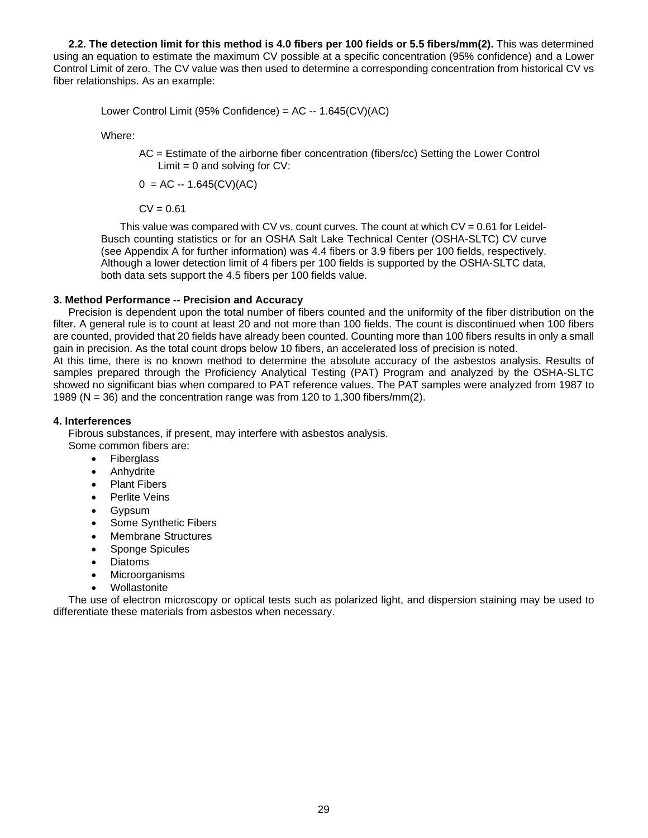**2.2. The detection limit for this method is 4.0 fibers per 100 fields or 5.5 fibers/mm(2).** This was determined using an equation to estimate the maximum CV possible at a specific concentration (95% confidence) and a Lower Control Limit of zero. The CV value was then used to determine a corresponding concentration from historical CV vs fiber relationships. As an example:

Lower Control Limit (95% Confidence) = AC -- 1.645(CV)(AC)

Where:

AC = Estimate of the airborne fiber concentration (fibers/cc) Setting the Lower Control Limit  $= 0$  and solving for CV:

 $0 = AC - 1.645(CV)(AC)$ 

 $CV = 0.61$ 

This value was compared with CV vs. count curves. The count at which  $CV = 0.61$  for Leidel-Busch counting statistics or for an OSHA Salt Lake Technical Center (OSHA-SLTC) CV curve (see Appendix A for further information) was 4.4 fibers or 3.9 fibers per 100 fields, respectively. Although a lower detection limit of 4 fibers per 100 fields is supported by the OSHA-SLTC data, both data sets support the 4.5 fibers per 100 fields value.

### **3. Method Performance -- Precision and Accuracy**

 Precision is dependent upon the total number of fibers counted and the uniformity of the fiber distribution on the filter. A general rule is to count at least 20 and not more than 100 fields. The count is discontinued when 100 fibers are counted, provided that 20 fields have already been counted. Counting more than 100 fibers results in only a small gain in precision. As the total count drops below 10 fibers, an accelerated loss of precision is noted.

At this time, there is no known method to determine the absolute accuracy of the asbestos analysis. Results of samples prepared through the Proficiency Analytical Testing (PAT) Program and analyzed by the OSHA-SLTC showed no significant bias when compared to PAT reference values. The PAT samples were analyzed from 1987 to 1989 (N = 36) and the concentration range was from 120 to 1,300 fibers/mm(2).

#### **4. Interferences**

Fibrous substances, if present, may interfere with asbestos analysis.

Some common fibers are:

- Fiberglass
- Anhydrite
- Plant Fibers
- Perlite Veins
- Gypsum
- Some Synthetic Fibers
- Membrane Structures
- Sponge Spicules
- Diatoms
- **Microorganisms**
- **Wollastonite**

 The use of electron microscopy or optical tests such as polarized light, and dispersion staining may be used to differentiate these materials from asbestos when necessary.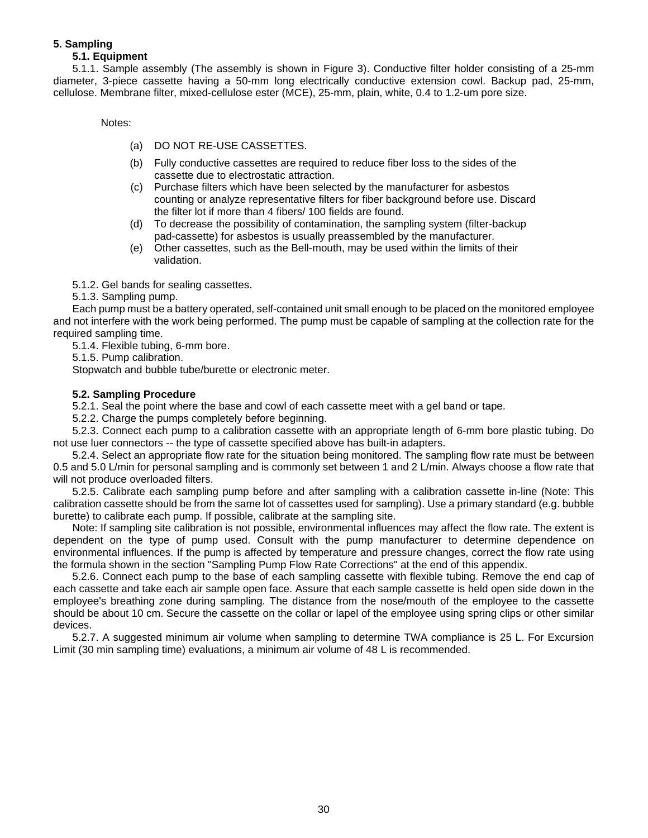# **5. Sampling**

# **5.1. Equipment**

5.1.1. Sample assembly (The assembly is shown in Figure 3). Conductive filter holder consisting of a 25-mm diameter, 3-piece cassette having a 50-mm long electrically conductive extension cowl. Backup pad, 25-mm, cellulose. Membrane filter, mixed-cellulose ester (MCE), 25-mm, plain, white, 0.4 to 1.2-um pore size.

Notes:

- (a) DO NOT RE-USE CASSETTES.
- (b) Fully conductive cassettes are required to reduce fiber loss to the sides of the cassette due to electrostatic attraction.
- (c) Purchase filters which have been selected by the manufacturer for asbestos counting or analyze representative filters for fiber background before use. Discard the filter lot if more than 4 fibers/ 100 fields are found.
- (d) To decrease the possibility of contamination, the sampling system (filter-backup pad-cassette) for asbestos is usually preassembled by the manufacturer.
- (e) Other cassettes, such as the Bell-mouth, may be used within the limits of their validation.

5.1.2. Gel bands for sealing cassettes.

5.1.3. Sampling pump.

Each pump must be a battery operated, self-contained unit small enough to be placed on the monitored employee and not interfere with the work being performed. The pump must be capable of sampling at the collection rate for the required sampling time.

5.1.4. Flexible tubing, 6-mm bore.

5.1.5. Pump calibration.

Stopwatch and bubble tube/burette or electronic meter.

# **5.2. Sampling Procedure**

5.2.1. Seal the point where the base and cowl of each cassette meet with a gel band or tape.

5.2.2. Charge the pumps completely before beginning.

5.2.3. Connect each pump to a calibration cassette with an appropriate length of 6-mm bore plastic tubing. Do not use luer connectors -- the type of cassette specified above has built-in adapters.

5.2.4. Select an appropriate flow rate for the situation being monitored. The sampling flow rate must be between 0.5 and 5.0 L/min for personal sampling and is commonly set between 1 and 2 L/min. Always choose a flow rate that will not produce overloaded filters.

5.2.5. Calibrate each sampling pump before and after sampling with a calibration cassette in-line (Note: This calibration cassette should be from the same lot of cassettes used for sampling). Use a primary standard (e.g. bubble burette) to calibrate each pump. If possible, calibrate at the sampling site.

Note: If sampling site calibration is not possible, environmental influences may affect the flow rate. The extent is dependent on the type of pump used. Consult with the pump manufacturer to determine dependence on environmental influences. If the pump is affected by temperature and pressure changes, correct the flow rate using the formula shown in the section "Sampling Pump Flow Rate Corrections" at the end of this appendix.

5.2.6. Connect each pump to the base of each sampling cassette with flexible tubing. Remove the end cap of each cassette and take each air sample open face. Assure that each sample cassette is held open side down in the employee's breathing zone during sampling. The distance from the nose/mouth of the employee to the cassette should be about 10 cm. Secure the cassette on the collar or lapel of the employee using spring clips or other similar devices.

5.2.7. A suggested minimum air volume when sampling to determine TWA compliance is 25 L. For Excursion Limit (30 min sampling time) evaluations, a minimum air volume of 48 L is recommended.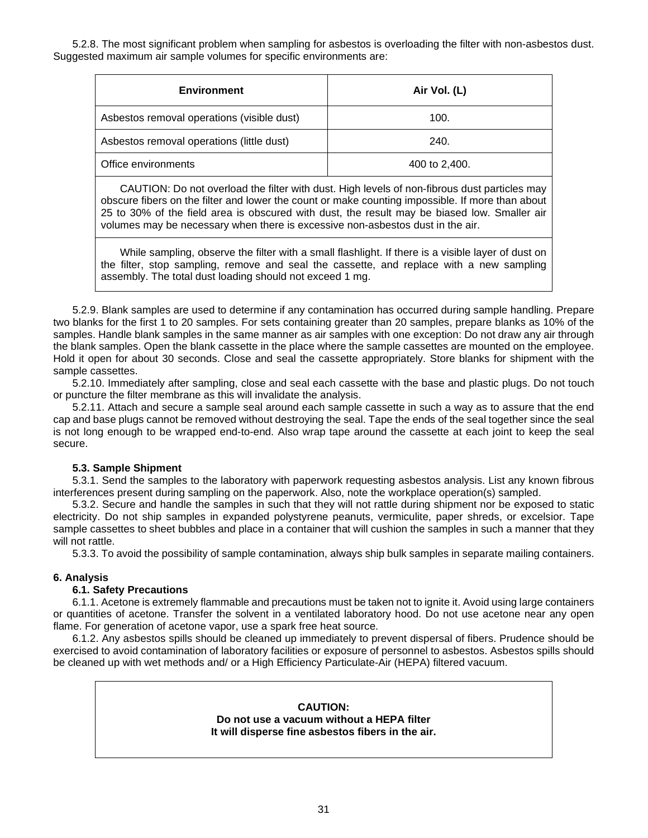5.2.8. The most significant problem when sampling for asbestos is overloading the filter with non-asbestos dust. Suggested maximum air sample volumes for specific environments are:

| <b>Environment</b>                         | Air Vol. (L)  |
|--------------------------------------------|---------------|
| Asbestos removal operations (visible dust) | 100.          |
| Asbestos removal operations (little dust)  | 240.          |
| Office environments                        | 400 to 2,400. |

CAUTION: Do not overload the filter with dust. High levels of non-fibrous dust particles may obscure fibers on the filter and lower the count or make counting impossible. If more than about 25 to 30% of the field area is obscured with dust, the result may be biased low. Smaller air volumes may be necessary when there is excessive non-asbestos dust in the air.

While sampling, observe the filter with a small flashlight. If there is a visible layer of dust on the filter, stop sampling, remove and seal the cassette, and replace with a new sampling assembly. The total dust loading should not exceed 1 mg.

5.2.9. Blank samples are used to determine if any contamination has occurred during sample handling. Prepare two blanks for the first 1 to 20 samples. For sets containing greater than 20 samples, prepare blanks as 10% of the samples. Handle blank samples in the same manner as air samples with one exception: Do not draw any air through the blank samples. Open the blank cassette in the place where the sample cassettes are mounted on the employee. Hold it open for about 30 seconds. Close and seal the cassette appropriately. Store blanks for shipment with the sample cassettes.

5.2.10. Immediately after sampling, close and seal each cassette with the base and plastic plugs. Do not touch or puncture the filter membrane as this will invalidate the analysis.

5.2.11. Attach and secure a sample seal around each sample cassette in such a way as to assure that the end cap and base plugs cannot be removed without destroying the seal. Tape the ends of the seal together since the seal is not long enough to be wrapped end-to-end. Also wrap tape around the cassette at each joint to keep the seal secure.

# **5.3. Sample Shipment**

5.3.1. Send the samples to the laboratory with paperwork requesting asbestos analysis. List any known fibrous interferences present during sampling on the paperwork. Also, note the workplace operation(s) sampled.

5.3.2. Secure and handle the samples in such that they will not rattle during shipment nor be exposed to static electricity. Do not ship samples in expanded polystyrene peanuts, vermiculite, paper shreds, or excelsior. Tape sample cassettes to sheet bubbles and place in a container that will cushion the samples in such a manner that they will not rattle.

5.3.3. To avoid the possibility of sample contamination, always ship bulk samples in separate mailing containers.

# **6. Analysis**

### **6.1. Safety Precautions**

6.1.1. Acetone is extremely flammable and precautions must be taken not to ignite it. Avoid using large containers or quantities of acetone. Transfer the solvent in a ventilated laboratory hood. Do not use acetone near any open flame. For generation of acetone vapor, use a spark free heat source.

6.1.2. Any asbestos spills should be cleaned up immediately to prevent dispersal of fibers. Prudence should be exercised to avoid contamination of laboratory facilities or exposure of personnel to asbestos. Asbestos spills should be cleaned up with wet methods and/ or a High Efficiency Particulate-Air (HEPA) filtered vacuum.

# **CAUTION:**

**Do not use a vacuum without a HEPA filter It will disperse fine asbestos fibers in the air.**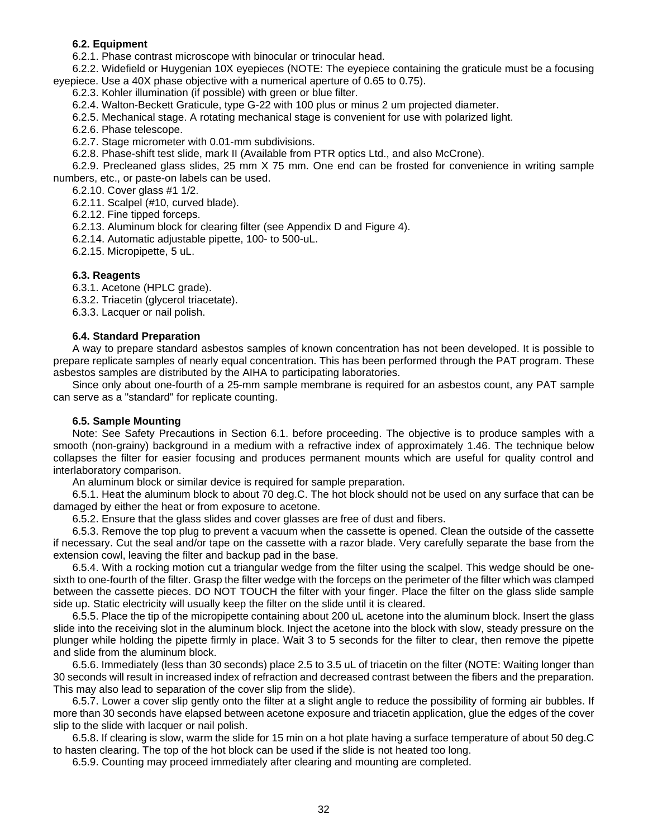### **6.2. Equipment**

6.2.1. Phase contrast microscope with binocular or trinocular head.

6.2.2. Widefield or Huygenian 10X eyepieces (NOTE: The eyepiece containing the graticule must be a focusing eyepiece. Use a 40X phase objective with a numerical aperture of 0.65 to 0.75).

6.2.3. Kohler illumination (if possible) with green or blue filter.

6.2.4. Walton-Beckett Graticule, type G-22 with 100 plus or minus 2 um projected diameter.

6.2.5. Mechanical stage. A rotating mechanical stage is convenient for use with polarized light.

6.2.6. Phase telescope.

6.2.7. Stage micrometer with 0.01-mm subdivisions.

6.2.8. Phase-shift test slide, mark II (Available from PTR optics Ltd., and also McCrone).

6.2.9. Precleaned glass slides, 25 mm X 75 mm. One end can be frosted for convenience in writing sample numbers, etc., or paste-on labels can be used.

6.2.10. Cover glass #1 1/2.

6.2.11. Scalpel (#10, curved blade).

6.2.12. Fine tipped forceps.

6.2.13. Aluminum block for clearing filter (see Appendix D and Figure 4).

6.2.14. Automatic adjustable pipette, 100- to 500-uL.

6.2.15. Micropipette, 5 uL.

### **6.3. Reagents**

6.3.1. Acetone (HPLC grade).

6.3.2. Triacetin (glycerol triacetate).

6.3.3. Lacquer or nail polish.

#### **6.4. Standard Preparation**

A way to prepare standard asbestos samples of known concentration has not been developed. It is possible to prepare replicate samples of nearly equal concentration. This has been performed through the PAT program. These asbestos samples are distributed by the AIHA to participating laboratories.

Since only about one-fourth of a 25-mm sample membrane is required for an asbestos count, any PAT sample can serve as a "standard" for replicate counting.

### **6.5. Sample Mounting**

Note: See Safety Precautions in Section 6.1. before proceeding. The objective is to produce samples with a smooth (non-grainy) background in a medium with a refractive index of approximately 1.46. The technique below collapses the filter for easier focusing and produces permanent mounts which are useful for quality control and interlaboratory comparison.

An aluminum block or similar device is required for sample preparation.

6.5.1. Heat the aluminum block to about 70 deg.C. The hot block should not be used on any surface that can be damaged by either the heat or from exposure to acetone.

6.5.2. Ensure that the glass slides and cover glasses are free of dust and fibers.

6.5.3. Remove the top plug to prevent a vacuum when the cassette is opened. Clean the outside of the cassette if necessary. Cut the seal and/or tape on the cassette with a razor blade. Very carefully separate the base from the extension cowl, leaving the filter and backup pad in the base.

6.5.4. With a rocking motion cut a triangular wedge from the filter using the scalpel. This wedge should be onesixth to one-fourth of the filter. Grasp the filter wedge with the forceps on the perimeter of the filter which was clamped between the cassette pieces. DO NOT TOUCH the filter with your finger. Place the filter on the glass slide sample side up. Static electricity will usually keep the filter on the slide until it is cleared.

6.5.5. Place the tip of the micropipette containing about 200 uL acetone into the aluminum block. Insert the glass slide into the receiving slot in the aluminum block. Inject the acetone into the block with slow, steady pressure on the plunger while holding the pipette firmly in place. Wait 3 to 5 seconds for the filter to clear, then remove the pipette and slide from the aluminum block.

6.5.6. Immediately (less than 30 seconds) place 2.5 to 3.5 uL of triacetin on the filter (NOTE: Waiting longer than 30 seconds will result in increased index of refraction and decreased contrast between the fibers and the preparation. This may also lead to separation of the cover slip from the slide).

6.5.7. Lower a cover slip gently onto the filter at a slight angle to reduce the possibility of forming air bubbles. If more than 30 seconds have elapsed between acetone exposure and triacetin application, glue the edges of the cover slip to the slide with lacquer or nail polish.

6.5.8. If clearing is slow, warm the slide for 15 min on a hot plate having a surface temperature of about 50 deg.C to hasten clearing. The top of the hot block can be used if the slide is not heated too long.

6.5.9. Counting may proceed immediately after clearing and mounting are completed.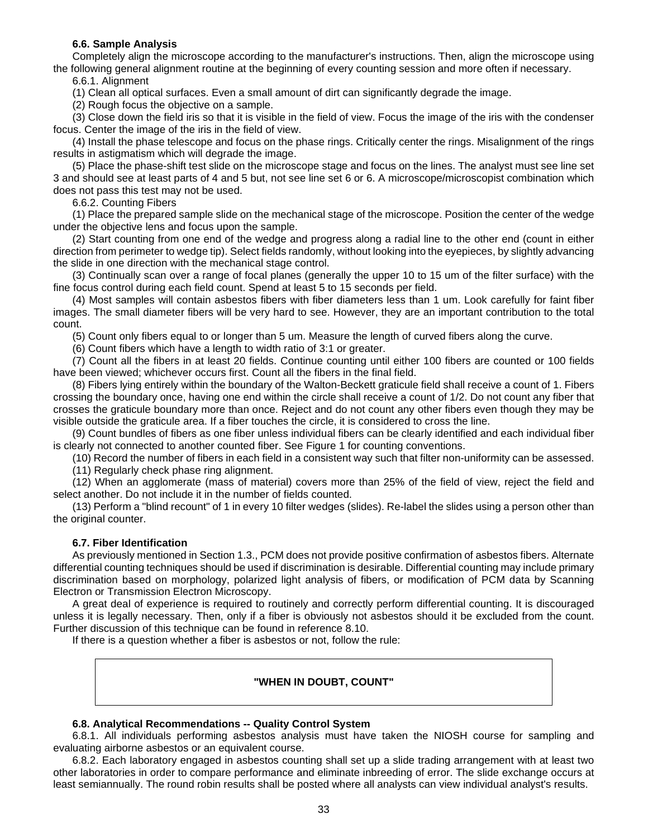### **6.6. Sample Analysis**

Completely align the microscope according to the manufacturer's instructions. Then, align the microscope using the following general alignment routine at the beginning of every counting session and more often if necessary.

6.6.1. Alignment

(1) Clean all optical surfaces. Even a small amount of dirt can significantly degrade the image.

(2) Rough focus the objective on a sample.

(3) Close down the field iris so that it is visible in the field of view. Focus the image of the iris with the condenser focus. Center the image of the iris in the field of view.

(4) Install the phase telescope and focus on the phase rings. Critically center the rings. Misalignment of the rings results in astigmatism which will degrade the image.

(5) Place the phase-shift test slide on the microscope stage and focus on the lines. The analyst must see line set 3 and should see at least parts of 4 and 5 but, not see line set 6 or 6. A microscope/microscopist combination which does not pass this test may not be used.

6.6.2. Counting Fibers

(1) Place the prepared sample slide on the mechanical stage of the microscope. Position the center of the wedge under the objective lens and focus upon the sample.

(2) Start counting from one end of the wedge and progress along a radial line to the other end (count in either direction from perimeter to wedge tip). Select fields randomly, without looking into the eyepieces, by slightly advancing the slide in one direction with the mechanical stage control.

(3) Continually scan over a range of focal planes (generally the upper 10 to 15 um of the filter surface) with the fine focus control during each field count. Spend at least 5 to 15 seconds per field.

(4) Most samples will contain asbestos fibers with fiber diameters less than 1 um. Look carefully for faint fiber images. The small diameter fibers will be very hard to see. However, they are an important contribution to the total count.

(5) Count only fibers equal to or longer than 5 um. Measure the length of curved fibers along the curve.

(6) Count fibers which have a length to width ratio of 3:1 or greater.

(7) Count all the fibers in at least 20 fields. Continue counting until either 100 fibers are counted or 100 fields have been viewed; whichever occurs first. Count all the fibers in the final field.

(8) Fibers lying entirely within the boundary of the Walton-Beckett graticule field shall receive a count of 1. Fibers crossing the boundary once, having one end within the circle shall receive a count of 1/2. Do not count any fiber that crosses the graticule boundary more than once. Reject and do not count any other fibers even though they may be visible outside the graticule area. If a fiber touches the circle, it is considered to cross the line.

(9) Count bundles of fibers as one fiber unless individual fibers can be clearly identified and each individual fiber is clearly not connected to another counted fiber. See Figure 1 for counting conventions.

(10) Record the number of fibers in each field in a consistent way such that filter non-uniformity can be assessed. (11) Regularly check phase ring alignment.

(12) When an agglomerate (mass of material) covers more than 25% of the field of view, reject the field and select another. Do not include it in the number of fields counted.

(13) Perform a "blind recount" of 1 in every 10 filter wedges (slides). Re-label the slides using a person other than the original counter.

### **6.7. Fiber Identification**

As previously mentioned in Section 1.3., PCM does not provide positive confirmation of asbestos fibers. Alternate differential counting techniques should be used if discrimination is desirable. Differential counting may include primary discrimination based on morphology, polarized light analysis of fibers, or modification of PCM data by Scanning Electron or Transmission Electron Microscopy.

A great deal of experience is required to routinely and correctly perform differential counting. It is discouraged unless it is legally necessary. Then, only if a fiber is obviously not asbestos should it be excluded from the count. Further discussion of this technique can be found in reference 8.10.

If there is a question whether a fiber is asbestos or not, follow the rule:

# **"WHEN IN DOUBT, COUNT"**

### **6.8. Analytical Recommendations -- Quality Control System**

6.8.1. All individuals performing asbestos analysis must have taken the NIOSH course for sampling and evaluating airborne asbestos or an equivalent course.

6.8.2. Each laboratory engaged in asbestos counting shall set up a slide trading arrangement with at least two other laboratories in order to compare performance and eliminate inbreeding of error. The slide exchange occurs at least semiannually. The round robin results shall be posted where all analysts can view individual analyst's results.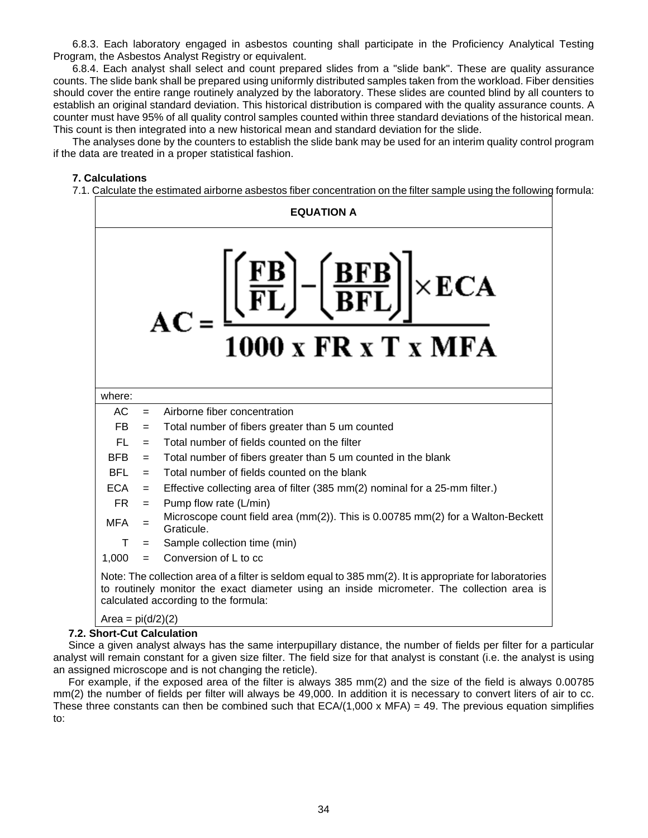6.8.3. Each laboratory engaged in asbestos counting shall participate in the Proficiency Analytical Testing Program, the Asbestos Analyst Registry or equivalent.

6.8.4. Each analyst shall select and count prepared slides from a "slide bank". These are quality assurance counts. The slide bank shall be prepared using uniformly distributed samples taken from the workload. Fiber densities should cover the entire range routinely analyzed by the laboratory. These slides are counted blind by all counters to establish an original standard deviation. This historical distribution is compared with the quality assurance counts. A counter must have 95% of all quality control samples counted within three standard deviations of the historical mean. This count is then integrated into a new historical mean and standard deviation for the slide.

The analyses done by the counters to establish the slide bank may be used for an interim quality control program if the data are treated in a proper statistical fashion.

### **7. Calculations**

7.1. Calculate the estimated airborne asbestos fiber concentration on the filter sample using the following formula:



Area =  $pi(d/2)(2)$ 

#### **7.2. Short-Cut Calculation**

 Since a given analyst always has the same interpupillary distance, the number of fields per filter for a particular analyst will remain constant for a given size filter. The field size for that analyst is constant (i.e. the analyst is using an assigned microscope and is not changing the reticle).

 For example, if the exposed area of the filter is always 385 mm(2) and the size of the field is always 0.00785 mm(2) the number of fields per filter will always be 49,000. In addition it is necessary to convert liters of air to cc. These three constants can then be combined such that  $ECA/(1,000 \times MFA) = 49$ . The previous equation simplifies to: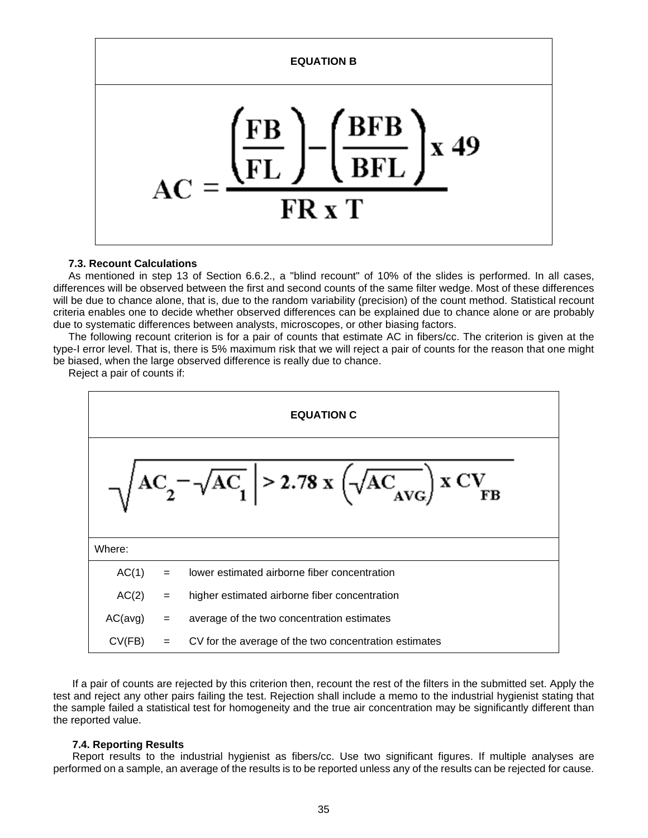

#### **7.3. Recount Calculations**

 As mentioned in step 13 of Section 6.6.2., a "blind recount" of 10% of the slides is performed. In all cases, differences will be observed between the first and second counts of the same filter wedge. Most of these differences will be due to chance alone, that is, due to the random variability (precision) of the count method. Statistical recount criteria enables one to decide whether observed differences can be explained due to chance alone or are probably due to systematic differences between analysts, microscopes, or other biasing factors.

 The following recount criterion is for a pair of counts that estimate AC in fibers/cc. The criterion is given at the type-I error level. That is, there is 5% maximum risk that we will reject a pair of counts for the reason that one might be biased, when the large observed difference is really due to chance.

Reject a pair of counts if:



If a pair of counts are rejected by this criterion then, recount the rest of the filters in the submitted set. Apply the test and reject any other pairs failing the test. Rejection shall include a memo to the industrial hygienist stating that the sample failed a statistical test for homogeneity and the true air concentration may be significantly different than the reported value.

#### **7.4. Reporting Results**

Report results to the industrial hygienist as fibers/cc. Use two significant figures. If multiple analyses are performed on a sample, an average of the results is to be reported unless any of the results can be rejected for cause.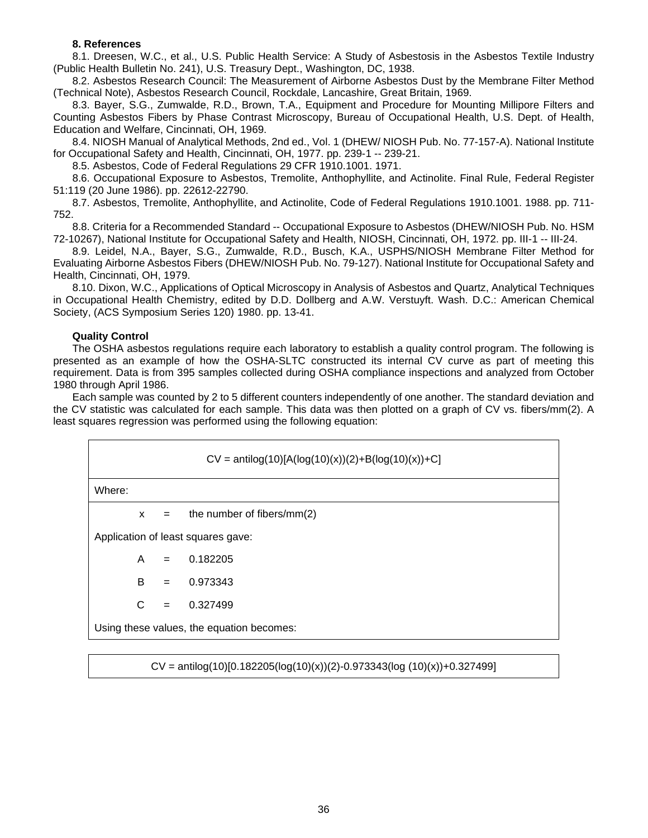#### **8. References**

8.1. Dreesen, W.C., et al., U.S. Public Health Service: A Study of Asbestosis in the Asbestos Textile Industry (Public Health Bulletin No. 241), U.S. Treasury Dept., Washington, DC, 1938.

8.2. Asbestos Research Council: The Measurement of Airborne Asbestos Dust by the Membrane Filter Method (Technical Note), Asbestos Research Council, Rockdale, Lancashire, Great Britain, 1969.

8.3. Bayer, S.G., Zumwalde, R.D., Brown, T.A., Equipment and Procedure for Mounting Millipore Filters and Counting Asbestos Fibers by Phase Contrast Microscopy, Bureau of Occupational Health, U.S. Dept. of Health, Education and Welfare, Cincinnati, OH, 1969.

8.4. NIOSH Manual of Analytical Methods, 2nd ed., Vol. 1 (DHEW/ NIOSH Pub. No. 77-157-A). National Institute for Occupational Safety and Health, Cincinnati, OH, 1977. pp. 239-1 -- 239-21.

8.5. Asbestos, Code of Federal Regulations 29 CFR 1910.1001. 1971.

8.6. Occupational Exposure to Asbestos, Tremolite, Anthophyllite, and Actinolite. Final Rule, Federal Register 51:119 (20 June 1986). pp. 22612-22790.

8.7. Asbestos, Tremolite, Anthophyllite, and Actinolite, Code of Federal Regulations 1910.1001. 1988. pp. 711- 752.

8.8. Criteria for a Recommended Standard -- Occupational Exposure to Asbestos (DHEW/NIOSH Pub. No. HSM 72-10267), National Institute for Occupational Safety and Health, NIOSH, Cincinnati, OH, 1972. pp. III-1 -- III-24.

8.9. Leidel, N.A., Bayer, S.G., Zumwalde, R.D., Busch, K.A., USPHS/NIOSH Membrane Filter Method for Evaluating Airborne Asbestos Fibers (DHEW/NIOSH Pub. No. 79-127). National Institute for Occupational Safety and Health, Cincinnati, OH, 1979.

8.10. Dixon, W.C., Applications of Optical Microscopy in Analysis of Asbestos and Quartz, Analytical Techniques in Occupational Health Chemistry, edited by D.D. Dollberg and A.W. Verstuyft. Wash. D.C.: American Chemical Society, (ACS Symposium Series 120) 1980. pp. 13-41.

### **Quality Control**

The OSHA asbestos regulations require each laboratory to establish a quality control program. The following is presented as an example of how the OSHA-SLTC constructed its internal CV curve as part of meeting this requirement. Data is from 395 samples collected during OSHA compliance inspections and analyzed from October 1980 through April 1986.

Each sample was counted by 2 to 5 different counters independently of one another. The standard deviation and the CV statistic was calculated for each sample. This data was then plotted on a graph of CV vs. fibers/mm(2). A least squares regression was performed using the following equation:

| $CV = antilog(10)[A(log(10)(x))(2)+B(log(10)(x))+C]$ |   |     |                            |
|------------------------------------------------------|---|-----|----------------------------|
| Where:                                               |   |     |                            |
|                                                      | X | $=$ | the number of fibers/mm(2) |
| Application of least squares gave:                   |   |     |                            |
|                                                      | A | $=$ | 0.182205                   |
|                                                      | B | $=$ | 0.973343                   |
|                                                      | C | $=$ | 0.327499                   |
| Using these values, the equation becomes:            |   |     |                            |

 $CV = antilog(10)[0.182205(log(10)(x))(2)-0.973343(log (10)(x))+0.327499]$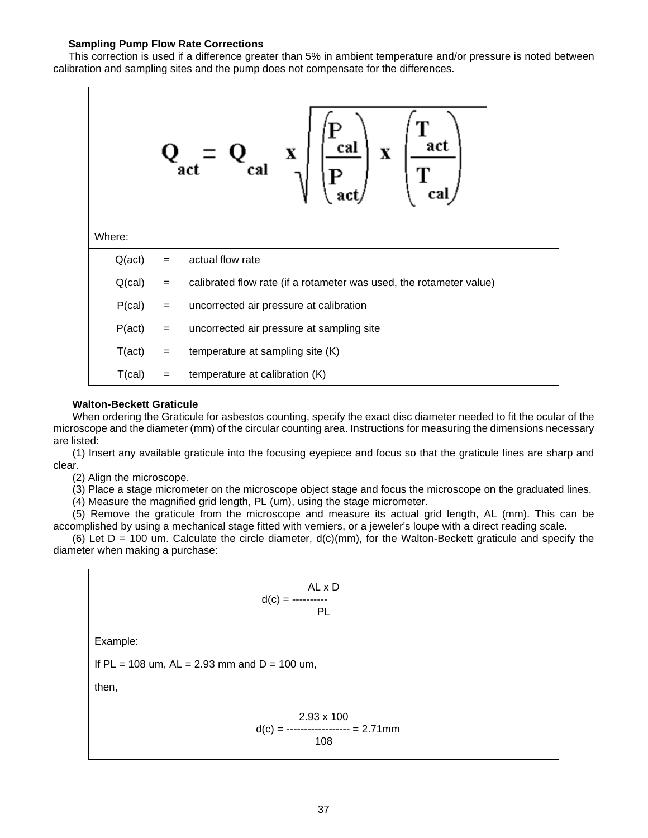# **Sampling Pump Flow Rate Corrections**

 This correction is used if a difference greater than 5% in ambient temperature and/or pressure is noted between calibration and sampling sites and the pump does not compensate for the differences.

|                 |     | cal<br>act<br>X<br>X<br>cal                                         |  |  |  |
|-----------------|-----|---------------------------------------------------------------------|--|--|--|
| Where:          |     |                                                                     |  |  |  |
| $Q(\text{act})$ | $=$ | actual flow rate                                                    |  |  |  |
| Q(cal)          | $=$ | calibrated flow rate (if a rotameter was used, the rotameter value) |  |  |  |
| P(cal)          | $=$ | uncorrected air pressure at calibration                             |  |  |  |
| $P(\text{act})$ | $=$ | uncorrected air pressure at sampling site                           |  |  |  |
| $T(\text{act})$ | $=$ | temperature at sampling site (K)                                    |  |  |  |
| T(cal)          | $=$ | temperature at calibration (K)                                      |  |  |  |

## **Walton-Beckett Graticule**

When ordering the Graticule for asbestos counting, specify the exact disc diameter needed to fit the ocular of the microscope and the diameter (mm) of the circular counting area. Instructions for measuring the dimensions necessary are listed:

(1) Insert any available graticule into the focusing eyepiece and focus so that the graticule lines are sharp and clear.

(2) Align the microscope.

(3) Place a stage micrometer on the microscope object stage and focus the microscope on the graduated lines.

(4) Measure the magnified grid length, PL (um), using the stage micrometer.

(5) Remove the graticule from the microscope and measure its actual grid length, AL (mm). This can be accomplished by using a mechanical stage fitted with verniers, or a jeweler's loupe with a direct reading scale.

(6) Let  $D = 100$  um. Calculate the circle diameter,  $d(c)(mm)$ , for the Walton-Beckett graticule and specify the diameter when making a purchase:

$$
A L \times D
$$
  
 
$$
d(c) = \frac{AL \times D}{PL}
$$
  
Example:  
If PL = 108 um, AL = 2.93 mm and D = 100 um,  
then,  

$$
2.93 \times 100
$$
  

$$
d(c) = \frac{2.93 \times 100}{100}
$$

$$
\color{red}108
$$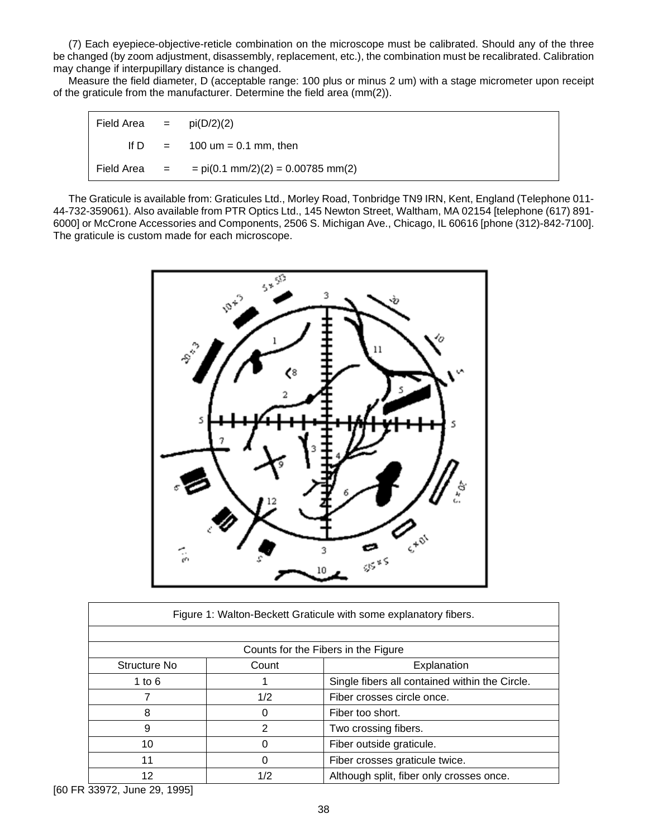(7) Each eyepiece-objective-reticle combination on the microscope must be calibrated. Should any of the three be changed (by zoom adjustment, disassembly, replacement, etc.), the combination must be recalibrated. Calibration may change if interpupillary distance is changed.

 Measure the field diameter, D (acceptable range: 100 plus or minus 2 um) with a stage micrometer upon receipt of the graticule from the manufacturer. Determine the field area (mm(2)).

| Field Area $=$ pi(D/2)(2) |                                                     |
|---------------------------|-----------------------------------------------------|
|                           | If $D = 100 \text{ um} = 0.1 \text{ mm}$ , then     |
| Field Area       =        | $= pi(0.1 \text{ mm}/2)(2) = 0.00785 \text{ mm}(2)$ |

 The Graticule is available from: Graticules Ltd., Morley Road, Tonbridge TN9 IRN, Kent, England (Telephone 011- 44-732-359061). Also available from PTR Optics Ltd., 145 Newton Street, Waltham, MA 02154 [telephone (617) 891- 6000] or McCrone Accessories and Components, 2506 S. Michigan Ave., Chicago, IL 60616 [phone (312)-842-7100]. The graticule is custom made for each microscope.



| Figure 1: Walton-Beckett Graticule with some explanatory fibers. |                                     |                                                |  |  |  |  |  |  |
|------------------------------------------------------------------|-------------------------------------|------------------------------------------------|--|--|--|--|--|--|
|                                                                  |                                     |                                                |  |  |  |  |  |  |
|                                                                  | Counts for the Fibers in the Figure |                                                |  |  |  |  |  |  |
| Structure No<br>Count<br>Explanation                             |                                     |                                                |  |  |  |  |  |  |
| 1 to $6$                                                         |                                     | Single fibers all contained within the Circle. |  |  |  |  |  |  |
|                                                                  | 1/2                                 | Fiber crosses circle once.                     |  |  |  |  |  |  |
| 8                                                                | Ω                                   | Fiber too short.                               |  |  |  |  |  |  |
| 9                                                                | 2                                   | Two crossing fibers.                           |  |  |  |  |  |  |
| 10                                                               | O                                   | Fiber outside graticule.                       |  |  |  |  |  |  |
| 11                                                               | 0                                   | Fiber crosses graticule twice.                 |  |  |  |  |  |  |
| 12                                                               | 1/2                                 | Although split, fiber only crosses once.       |  |  |  |  |  |  |

[60 FR 33972, June 29, 1995]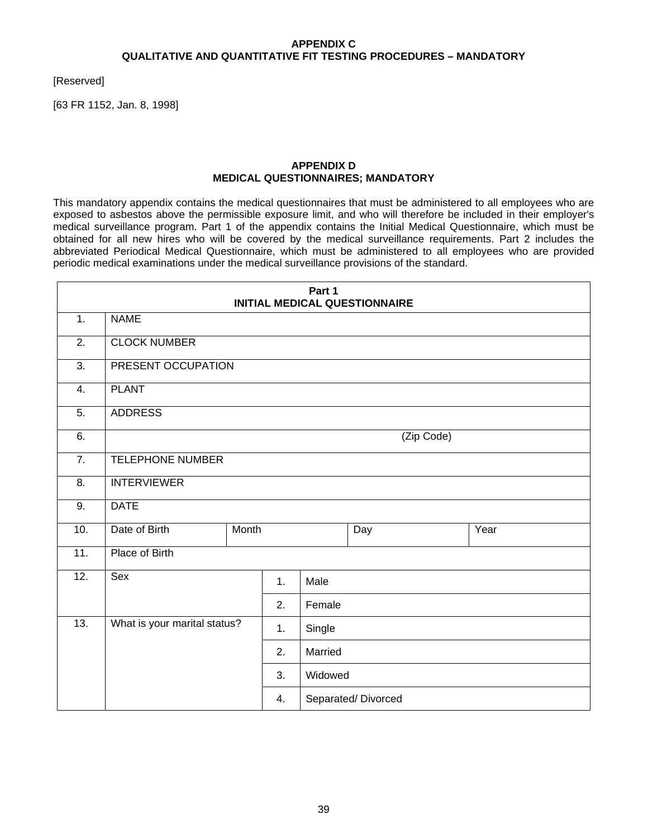# **APPENDIX C QUALITATIVE AND QUANTITATIVE FIT TESTING PROCEDURES – MANDATORY**

[Reserved]

[63 FR 1152, Jan. 8, 1998]

## **APPENDIX D MEDICAL QUESTIONNAIRES; MANDATORY**

This mandatory appendix contains the medical questionnaires that must be administered to all employees who are exposed to asbestos above the permissible exposure limit, and who will therefore be included in their employer's medical surveillance program. Part 1 of the appendix contains the Initial Medical Questionnaire, which must be obtained for all new hires who will be covered by the medical surveillance requirements. Part 2 includes the abbreviated Periodical Medical Questionnaire, which must be administered to all employees who are provided periodic medical examinations under the medical surveillance provisions of the standard.

|                  | Part 1<br><b>INITIAL MEDICAL QUESTIONNAIRE</b> |       |              |        |                    |            |  |  |
|------------------|------------------------------------------------|-------|--------------|--------|--------------------|------------|--|--|
| 1.               | <b>NAME</b>                                    |       |              |        |                    |            |  |  |
| $\overline{2}$ . | <b>CLOCK NUMBER</b>                            |       |              |        |                    |            |  |  |
| $\overline{3}$ . | PRESENT OCCUPATION                             |       |              |        |                    |            |  |  |
| $\overline{4}$ . | <b>PLANT</b>                                   |       |              |        |                    |            |  |  |
| $\overline{5}$ . | <b>ADDRESS</b>                                 |       |              |        |                    |            |  |  |
| 6.               |                                                |       |              |        |                    | (Zip Code) |  |  |
| $\overline{7}$ . | <b>TELEPHONE NUMBER</b>                        |       |              |        |                    |            |  |  |
| $\overline{8}$ . | <b>INTERVIEWER</b>                             |       |              |        |                    |            |  |  |
| 9.               | <b>DATE</b>                                    |       |              |        |                    |            |  |  |
| 10.              | Date of Birth                                  | Month |              |        | Day                | Year       |  |  |
| 11.              | Place of Birth                                 |       |              |        |                    |            |  |  |
| 12.              | Sex                                            |       | 1.           | Male   |                    |            |  |  |
|                  |                                                |       | 2.           | Female |                    |            |  |  |
| 13.              | What is your marital status?                   |       | 1.<br>Single |        |                    |            |  |  |
|                  | 2.<br>Married                                  |       |              |        |                    |            |  |  |
|                  | 3.<br>Widowed                                  |       |              |        |                    |            |  |  |
|                  |                                                |       | 4.           |        | Separated/Divorced |            |  |  |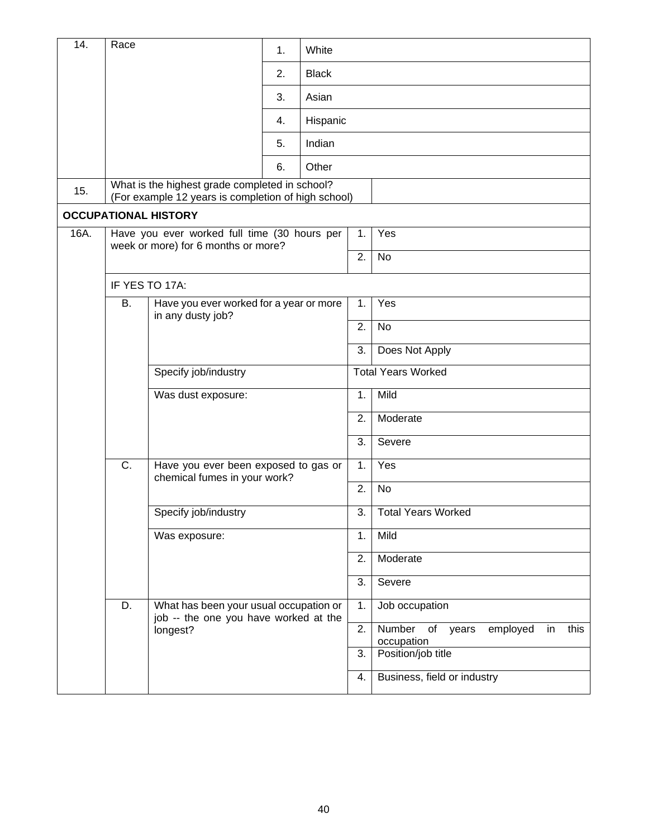| $\overline{14}$ . | Race      |                                                                                    | 1. | White        |                           |                                                 |  |
|-------------------|-----------|------------------------------------------------------------------------------------|----|--------------|---------------------------|-------------------------------------------------|--|
|                   |           |                                                                                    | 2. | <b>Black</b> |                           |                                                 |  |
|                   |           |                                                                                    | 3. | Asian        |                           |                                                 |  |
|                   |           |                                                                                    | 4. | Hispanic     |                           |                                                 |  |
|                   |           |                                                                                    | 5. | Indian       |                           |                                                 |  |
|                   |           |                                                                                    | 6. | Other        |                           |                                                 |  |
| 15.               |           | What is the highest grade completed in school?                                     |    |              |                           |                                                 |  |
|                   |           | (For example 12 years is completion of high school)<br><b>OCCUPATIONAL HISTORY</b> |    |              |                           |                                                 |  |
| 16A.              |           | Have you ever worked full time (30 hours per                                       |    |              | 1.                        | Yes                                             |  |
|                   |           | week or more) for 6 months or more?                                                |    |              | 2.                        | No                                              |  |
|                   |           | IF YES TO 17A:                                                                     |    |              |                           |                                                 |  |
|                   | <b>B.</b> | Have you ever worked for a year or more                                            |    |              | 1.                        | Yes                                             |  |
|                   |           | in any dusty job?                                                                  |    |              | 2.                        | No                                              |  |
|                   |           |                                                                                    |    |              | 3.                        | Does Not Apply                                  |  |
|                   |           | Specify job/industry                                                               |    |              | <b>Total Years Worked</b> |                                                 |  |
|                   |           | Was dust exposure:                                                                 |    |              | 1.                        | Mild                                            |  |
|                   |           |                                                                                    |    |              | 2.                        | Moderate                                        |  |
|                   |           |                                                                                    |    |              | 3.                        | Severe                                          |  |
|                   | C.        | Have you ever been exposed to gas or                                               |    |              | 1.                        | Yes                                             |  |
|                   |           | chemical fumes in your work?                                                       |    |              | 2.                        | No                                              |  |
|                   |           | Specify job/industry                                                               |    |              | 3.                        | <b>Total Years Worked</b>                       |  |
|                   |           | Was exposure:                                                                      |    |              | 1.                        | Mild                                            |  |
|                   |           |                                                                                    |    |              | 2.                        | Moderate                                        |  |
|                   |           |                                                                                    |    |              | 3.                        | Severe                                          |  |
|                   | D.        | What has been your usual occupation or                                             |    |              | 1.                        | Job occupation                                  |  |
|                   |           | job -- the one you have worked at the<br>longest?                                  |    |              | 2.                        | Number<br>of<br>employed<br>this<br>years<br>in |  |
|                   |           |                                                                                    |    |              | 3.                        | occupation<br>Position/job title                |  |
|                   |           |                                                                                    |    |              |                           |                                                 |  |
|                   |           |                                                                                    |    |              | 4.                        | Business, field or industry                     |  |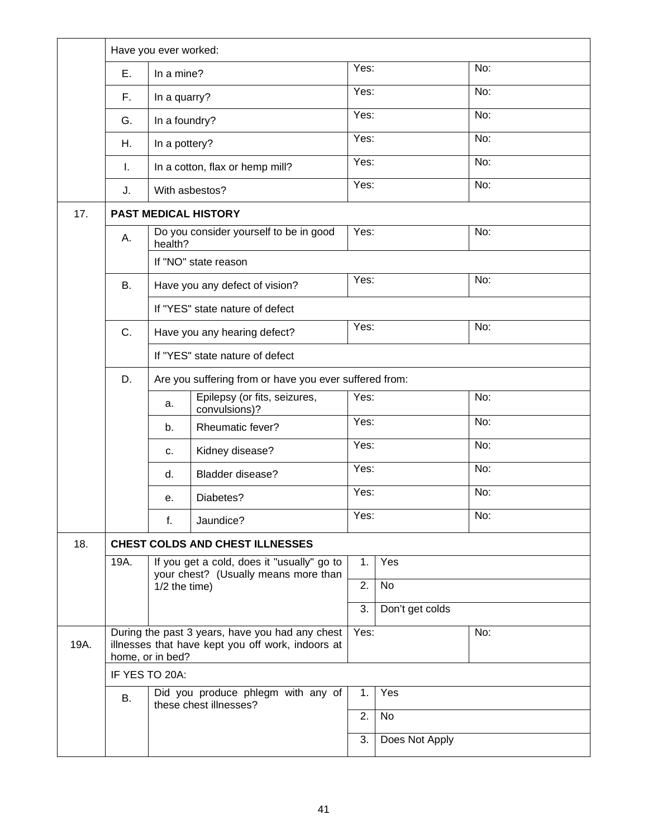|      |           | Have you ever worked:                                                                                                    |                                                                                    |      |                   |  |
|------|-----------|--------------------------------------------------------------------------------------------------------------------------|------------------------------------------------------------------------------------|------|-------------------|--|
|      | Ε.        | In a mine?                                                                                                               |                                                                                    | Yes: | No:               |  |
|      | F.        |                                                                                                                          | In a quarry?                                                                       |      | Yes:<br>No:       |  |
|      | G.        | In a foundry?                                                                                                            |                                                                                    | Yes: | No:               |  |
|      | Η.        | In a pottery?                                                                                                            |                                                                                    | Yes: | No:               |  |
|      | T.        |                                                                                                                          | In a cotton, flax or hemp mill?                                                    | Yes: | No:               |  |
|      | J.        |                                                                                                                          | With asbestos?                                                                     | Yes: | No:               |  |
| 17.  |           |                                                                                                                          | <b>PAST MEDICAL HISTORY</b>                                                        |      |                   |  |
|      | Α.        | health?                                                                                                                  | Do you consider yourself to be in good                                             | Yes: | No:               |  |
|      |           |                                                                                                                          | If "NO" state reason                                                               |      |                   |  |
|      | <b>B.</b> |                                                                                                                          | Have you any defect of vision?                                                     | Yes: | No:               |  |
|      |           |                                                                                                                          | If "YES" state nature of defect                                                    |      |                   |  |
|      | C.        |                                                                                                                          | Have you any hearing defect?                                                       | Yes: | No:               |  |
|      |           |                                                                                                                          | If "YES" state nature of defect                                                    |      |                   |  |
|      | D.        |                                                                                                                          | Are you suffering from or have you ever suffered from:                             |      |                   |  |
|      |           | a.                                                                                                                       | Epilepsy (or fits, seizures,<br>convulsions)?                                      | Yes: | No:               |  |
|      |           | b.                                                                                                                       | Rheumatic fever?                                                                   | Yes: | No:               |  |
|      |           | c.                                                                                                                       | Kidney disease?                                                                    | Yes: | No:               |  |
|      |           | d.                                                                                                                       | Bladder disease?                                                                   | Yes: | No:               |  |
|      |           | е.                                                                                                                       | Diabetes?                                                                          | Yes: | $\overline{N}$ o: |  |
|      |           | f.                                                                                                                       | Jaundice?                                                                          | Yes: | No:               |  |
| 18.  |           |                                                                                                                          | CHEST COLDS AND CHEST ILLNESSES                                                    |      |                   |  |
|      | 19A.      |                                                                                                                          | If you get a cold, does it "usually" go to<br>your chest? (Usually means more than | 1.   | Yes               |  |
|      |           | $1/2$ the time)                                                                                                          |                                                                                    | 2.   | No                |  |
|      |           |                                                                                                                          |                                                                                    | 3.   | Don't get colds   |  |
| 19A. |           | During the past 3 years, have you had any chest<br>illnesses that have kept you off work, indoors at<br>home, or in bed? |                                                                                    |      | Yes:<br>No:       |  |
|      |           | IF YES TO 20A:                                                                                                           |                                                                                    |      |                   |  |
|      | В.        |                                                                                                                          | Did you produce phlegm with any of<br>these chest illnesses?                       | 1.   | Yes               |  |
|      |           |                                                                                                                          |                                                                                    | 2.   | No                |  |
|      |           |                                                                                                                          |                                                                                    | 3.   | Does Not Apply    |  |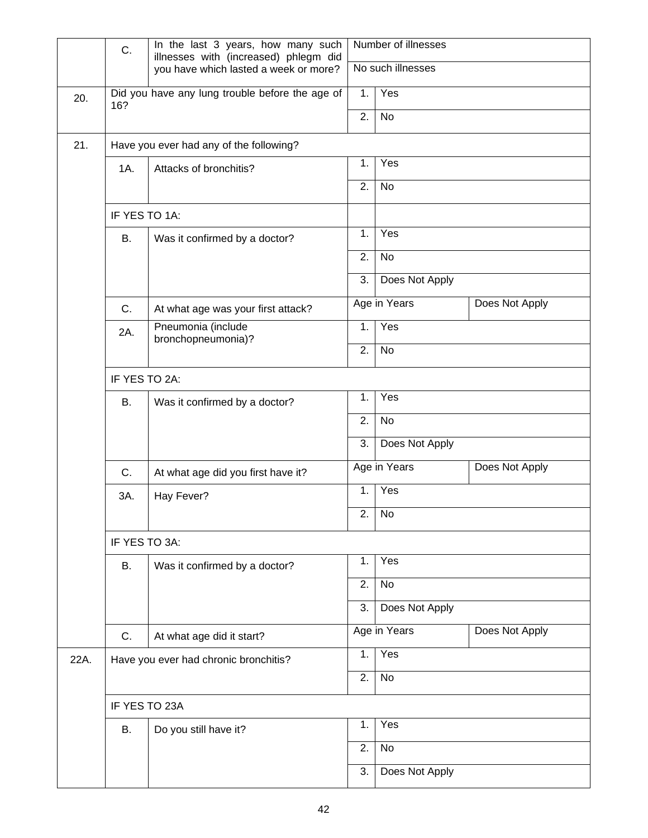|      | C.            | In the last 3 years, how many such<br>illnesses with (increased) phlegm did | Number of illnesses<br>No such illnesses |                |                |  |
|------|---------------|-----------------------------------------------------------------------------|------------------------------------------|----------------|----------------|--|
|      |               | you have which lasted a week or more?                                       |                                          |                |                |  |
| 20.  | 16?           | Did you have any lung trouble before the age of                             | 1.                                       | Yes            |                |  |
|      |               |                                                                             | 2.                                       | <b>No</b>      |                |  |
| 21.  |               | Have you ever had any of the following?                                     |                                          |                |                |  |
|      | 1A.           | Attacks of bronchitis?                                                      | 1.                                       | Yes            |                |  |
|      |               |                                                                             | 2.                                       | <b>No</b>      |                |  |
|      | IF YES TO 1A: |                                                                             |                                          |                |                |  |
|      | <b>B.</b>     | Was it confirmed by a doctor?                                               | 1.                                       | Yes            |                |  |
|      |               |                                                                             | 2.                                       | <b>No</b>      |                |  |
|      |               |                                                                             | 3.                                       | Does Not Apply |                |  |
|      | C.            | At what age was your first attack?                                          |                                          | Age in Years   | Does Not Apply |  |
|      | 2A.           | Pneumonia (include<br>bronchopneumonia)?                                    | 1.                                       | Yes            |                |  |
|      |               |                                                                             | 2.                                       | No             |                |  |
|      | IF YES TO 2A: |                                                                             |                                          |                |                |  |
|      | В.            | Was it confirmed by a doctor?                                               | 1.                                       | Yes            |                |  |
|      |               |                                                                             | 2.                                       | <b>No</b>      |                |  |
|      |               |                                                                             | 3.                                       | Does Not Apply |                |  |
|      | C.            | At what age did you first have it?                                          |                                          | Age in Years   | Does Not Apply |  |
|      | 3A.           | Hay Fever?                                                                  | 1.                                       | Yes            |                |  |
|      |               |                                                                             | 2.                                       | No             |                |  |
|      | IF YES TO 3A: |                                                                             |                                          |                |                |  |
|      | В.            | Was it confirmed by a doctor?                                               | 1.                                       | Yes            |                |  |
|      |               |                                                                             | 2.                                       | No             |                |  |
|      |               |                                                                             | 3.                                       | Does Not Apply |                |  |
|      | C.            | At what age did it start?                                                   |                                          | Age in Years   | Does Not Apply |  |
| 22A. |               | Have you ever had chronic bronchitis?                                       | 1.                                       | Yes            |                |  |
|      |               |                                                                             | 2.                                       | <b>No</b>      |                |  |
|      |               | IF YES TO 23A                                                               |                                          |                |                |  |
|      | В.            | Do you still have it?                                                       | 1.                                       | Yes            |                |  |
|      |               |                                                                             | 2.                                       | No             |                |  |
|      |               |                                                                             | 3.                                       | Does Not Apply |                |  |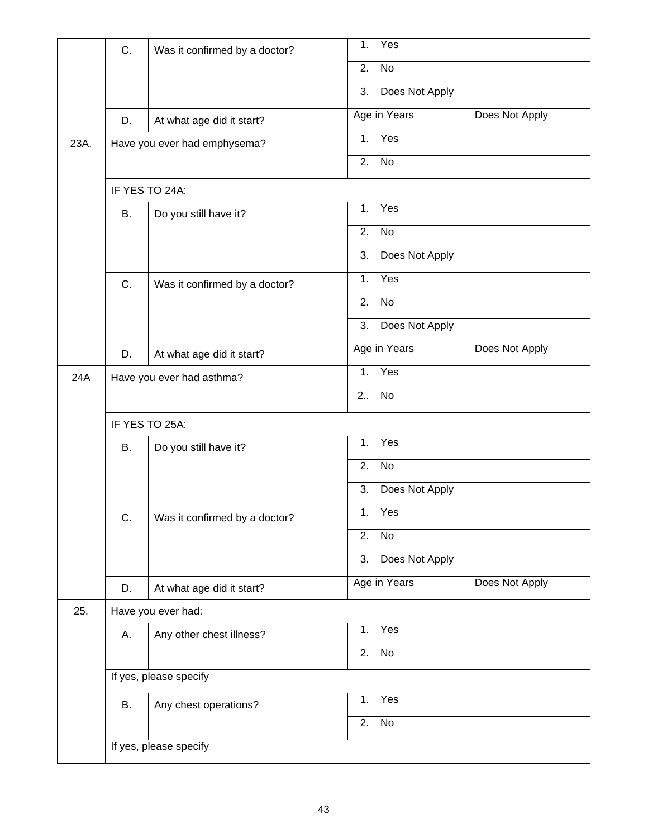|      | C.        | Was it confirmed by a doctor? | 1. | Yes            |                |
|------|-----------|-------------------------------|----|----------------|----------------|
|      |           |                               | 2. | $\overline{N}$ |                |
|      |           |                               | 3. | Does Not Apply |                |
|      | D.        | At what age did it start?     |    | Age in Years   | Does Not Apply |
| 23A. |           | Have you ever had emphysema?  | 1. | Yes            |                |
|      |           |                               | 2. | <b>No</b>      |                |
|      |           | IF YES TO 24A:                |    |                |                |
|      | <b>B.</b> | Do you still have it?         | 1. | Yes            |                |
|      |           |                               | 2. | <b>No</b>      |                |
|      |           |                               | 3. | Does Not Apply |                |
|      | C.        | Was it confirmed by a doctor? | 1. | Yes            |                |
|      |           |                               | 2. | <b>No</b>      |                |
|      |           |                               | 3. | Does Not Apply |                |
|      | D.        | At what age did it start?     |    | Age in Years   | Does Not Apply |
| 24A  |           | Have you ever had asthma?     | 1. | Yes            |                |
|      |           |                               | 2. | No             |                |
|      |           | IF YES TO 25A:                |    |                |                |
|      | <b>B.</b> | Do you still have it?         | 1. | Yes            |                |
|      |           |                               | 2. | <b>No</b>      |                |
|      |           |                               | 3. | Does Not Apply |                |
|      | C.        | Was it confirmed by a doctor? | 1. | Yes            |                |
|      |           |                               | 2. | No             |                |
|      |           |                               | 3. | Does Not Apply |                |
|      | D.        | At what age did it start?     |    | Age in Years   | Does Not Apply |
| 25.  |           | Have you ever had:            |    |                |                |
|      | Α.        | Any other chest illness?      | 1. | Yes            |                |
|      |           |                               | 2. | No             |                |
|      |           | If yes, please specify        |    |                |                |
|      | В.        | Any chest operations?         | 1. | Yes            |                |
|      |           |                               | 2. | No             |                |
|      |           | If yes, please specify        |    |                |                |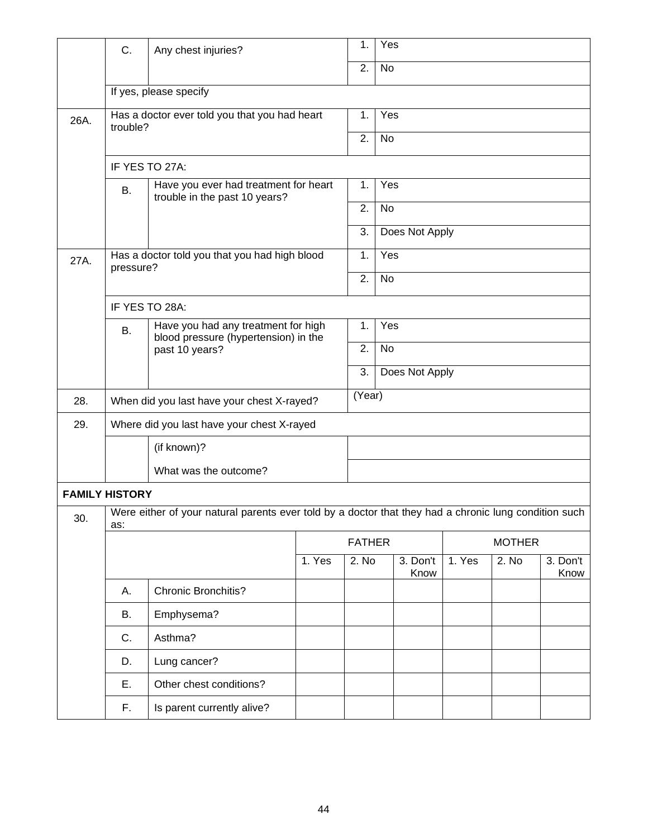|      | C.                    | Any chest injuries?                                                                                   |        | 1.            | Yes            |                  |               |       |                  |
|------|-----------------------|-------------------------------------------------------------------------------------------------------|--------|---------------|----------------|------------------|---------------|-------|------------------|
|      |                       |                                                                                                       |        | 2.            | No             |                  |               |       |                  |
|      |                       | If yes, please specify                                                                                |        |               |                |                  |               |       |                  |
| 26A. | trouble?              | Has a doctor ever told you that you had heart                                                         |        | 1.            | Yes            |                  |               |       |                  |
|      |                       |                                                                                                       |        | 2.            | No             |                  |               |       |                  |
|      |                       | IF YES TO 27A:                                                                                        |        |               |                |                  |               |       |                  |
|      | В.                    | Have you ever had treatment for heart                                                                 |        | 1.            | Yes            |                  |               |       |                  |
|      |                       | trouble in the past 10 years?                                                                         |        | 2.            | <b>No</b>      |                  |               |       |                  |
|      |                       |                                                                                                       |        | 3.            |                | Does Not Apply   |               |       |                  |
| 27A. | pressure?             | Has a doctor told you that you had high blood                                                         |        | 1.            | Yes            |                  |               |       |                  |
|      |                       |                                                                                                       |        | 2.            | No             |                  |               |       |                  |
|      |                       | IF YES TO 28A:                                                                                        |        |               |                |                  |               |       |                  |
|      | <b>B.</b>             | Have you had any treatment for high<br>blood pressure (hypertension) in the                           |        | 1.            |                | Yes              |               |       |                  |
|      |                       | past 10 years?                                                                                        |        | 2.            | No             |                  |               |       |                  |
|      |                       |                                                                                                       |        |               | Does Not Apply |                  |               |       |                  |
| 28.  |                       | When did you last have your chest X-rayed?                                                            |        | (Year)        |                |                  |               |       |                  |
| 29.  |                       | Where did you last have your chest X-rayed                                                            |        |               |                |                  |               |       |                  |
|      |                       | (if known)?                                                                                           |        |               |                |                  |               |       |                  |
|      |                       | What was the outcome?                                                                                 |        |               |                |                  |               |       |                  |
|      | <b>FAMILY HISTORY</b> |                                                                                                       |        |               |                |                  |               |       |                  |
| 30.  | as:                   | Were either of your natural parents ever told by a doctor that they had a chronic lung condition such |        |               |                |                  |               |       |                  |
|      |                       |                                                                                                       |        | <b>FATHER</b> |                |                  | <b>MOTHER</b> |       |                  |
|      |                       |                                                                                                       | 1. Yes | 2. No         |                | 3. Don't<br>Know | 1. Yes        | 2. No | 3. Don't<br>Know |
|      | Α.                    | <b>Chronic Bronchitis?</b>                                                                            |        |               |                |                  |               |       |                  |
|      | B.                    | Emphysema?                                                                                            |        |               |                |                  |               |       |                  |
|      | C.                    | Asthma?                                                                                               |        |               |                |                  |               |       |                  |
|      | D.                    | Lung cancer?                                                                                          |        |               |                |                  |               |       |                  |
|      | Е.                    | Other chest conditions?                                                                               |        |               |                |                  |               |       |                  |
|      | F.                    | Is parent currently alive?                                                                            |        |               |                |                  |               |       |                  |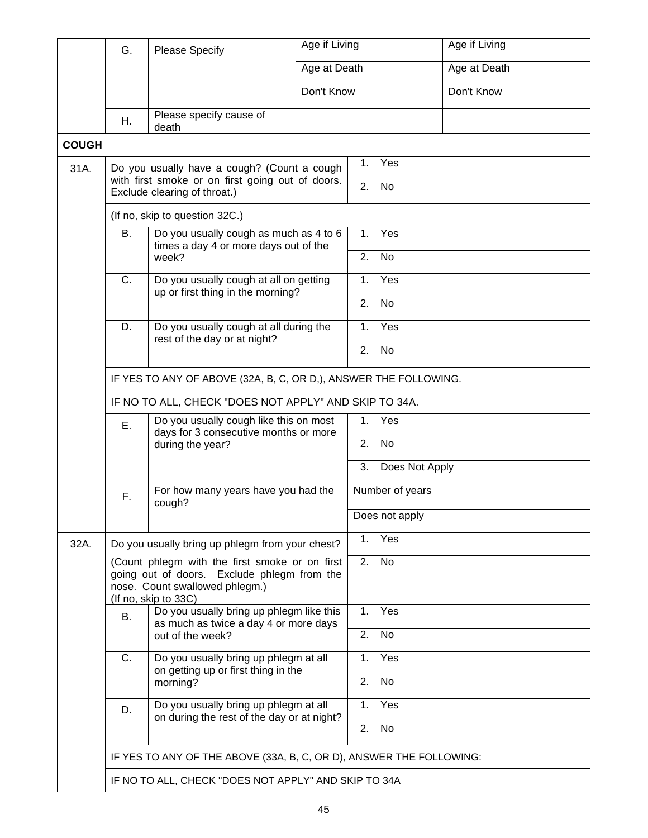|              | G.        | <b>Please Specify</b>                                                                         | Age if Living |                 |                | Age if Living |  |
|--------------|-----------|-----------------------------------------------------------------------------------------------|---------------|-----------------|----------------|---------------|--|
|              |           |                                                                                               | Age at Death  |                 |                | Age at Death  |  |
|              |           |                                                                                               | Don't Know    |                 |                | Don't Know    |  |
|              | Η.        | Please specify cause of<br>death                                                              |               |                 |                |               |  |
| <b>COUGH</b> |           |                                                                                               |               |                 |                |               |  |
| 31A.         |           | Do you usually have a cough? (Count a cough                                                   |               | 1.              | Yes            |               |  |
|              |           | with first smoke or on first going out of doors.<br>Exclude clearing of throat.)              |               | 2.              | No             |               |  |
|              |           | (If no, skip to question 32C.)                                                                |               |                 |                |               |  |
|              | <b>B.</b> | Do you usually cough as much as 4 to 6<br>times a day 4 or more days out of the               |               | 1.              | Yes            |               |  |
|              |           | week?                                                                                         |               | 2.              | <b>No</b>      |               |  |
|              | C.        | Do you usually cough at all on getting<br>up or first thing in the morning?                   |               | $\mathbf 1$ .   | Yes            |               |  |
|              |           |                                                                                               |               | 2.              | <b>No</b>      |               |  |
|              | D.        | Do you usually cough at all during the<br>rest of the day or at night?                        |               | $\mathbf 1$ .   | Yes            |               |  |
|              |           |                                                                                               |               | 2.              | <b>No</b>      |               |  |
|              |           | IF YES TO ANY OF ABOVE (32A, B, C, OR D,), ANSWER THE FOLLOWING.                              |               |                 |                |               |  |
|              |           | IF NO TO ALL, CHECK "DOES NOT APPLY" AND SKIP TO 34A.                                         |               |                 |                |               |  |
|              | Ε.        | Do you usually cough like this on most<br>days for 3 consecutive months or more               |               | 1.              | Yes            |               |  |
|              |           | during the year?                                                                              |               | 2.              | <b>No</b>      |               |  |
|              |           |                                                                                               |               | 3.              | Does Not Apply |               |  |
|              | F.        | For how many years have you had the<br>cough?                                                 |               | Number of years |                |               |  |
|              |           |                                                                                               |               | Does not apply  |                |               |  |
| 32A.         |           | Do you usually bring up phlegm from your chest?                                               |               | 1.              | Yes            |               |  |
|              |           | (Count phlegm with the first smoke or on first<br>going out of doors. Exclude phlegm from the |               | 2.              | No             |               |  |
|              |           | nose. Count swallowed phlegm.)<br>(If no, skip to 33C)                                        |               |                 |                |               |  |
|              | <b>B.</b> | Do you usually bring up phlegm like this<br>as much as twice a day 4 or more days             |               | 1.              | Yes            |               |  |
|              |           | out of the week?                                                                              |               | 2.              | <b>No</b>      |               |  |
|              | C.        | Do you usually bring up phlegm at all                                                         |               | 1.              | Yes            |               |  |
|              |           | on getting up or first thing in the<br>morning?                                               |               | 2.              | No             |               |  |
|              | D.        | Do you usually bring up phlegm at all                                                         |               | 1.              | Yes            |               |  |
|              |           | on during the rest of the day or at night?                                                    |               | 2.              | No             |               |  |
|              |           | IF YES TO ANY OF THE ABOVE (33A, B, C, OR D), ANSWER THE FOLLOWING:                           |               |                 |                |               |  |
|              |           | IF NO TO ALL, CHECK "DOES NOT APPLY" AND SKIP TO 34A                                          |               |                 |                |               |  |
|              |           |                                                                                               |               |                 |                |               |  |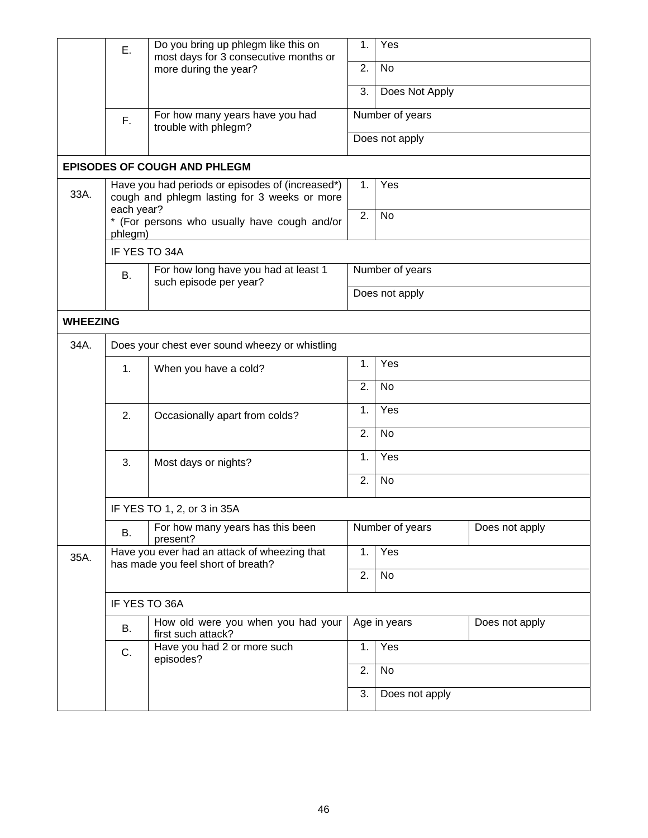|                 | Ε.            | Do you bring up phlegm like this on<br>most days for 3 consecutive months or                     | 1. | Yes             |                |
|-----------------|---------------|--------------------------------------------------------------------------------------------------|----|-----------------|----------------|
|                 |               | more during the year?                                                                            | 2. | <b>No</b>       |                |
|                 |               |                                                                                                  | 3. | Does Not Apply  |                |
|                 | F.            | For how many years have you had<br>trouble with phlegm?                                          |    | Number of years |                |
|                 |               |                                                                                                  |    | Does not apply  |                |
|                 |               | <b>EPISODES OF COUGH AND PHLEGM</b>                                                              |    |                 |                |
| 33A.            | each year?    | Have you had periods or episodes of (increased*)<br>cough and phlegm lasting for 3 weeks or more | 1. | Yes             |                |
|                 | phlegm)       | * (For persons who usually have cough and/or                                                     | 2. | <b>No</b>       |                |
|                 | IF YES TO 34A |                                                                                                  |    |                 |                |
|                 | В.            | For how long have you had at least 1<br>such episode per year?                                   |    | Number of years |                |
|                 |               |                                                                                                  |    | Does not apply  |                |
| <b>WHEEZING</b> |               |                                                                                                  |    |                 |                |
| 34A.            |               | Does your chest ever sound wheezy or whistling                                                   |    |                 |                |
|                 | 1.            | When you have a cold?                                                                            | 1. | Yes             |                |
|                 |               |                                                                                                  | 2. | No              |                |
|                 | 2.            | Occasionally apart from colds?                                                                   | 1. | Yes             |                |
|                 |               |                                                                                                  | 2. | No              |                |
|                 | 3.            | Most days or nights?                                                                             | 1. | Yes             |                |
|                 |               |                                                                                                  | 2. | No              |                |
|                 |               | IF YES TO 1, 2, or 3 in 35A                                                                      |    |                 |                |
|                 | В.            | For how many years has this been<br>present?                                                     |    | Number of years | Does not apply |
| 35A.            |               | Have you ever had an attack of wheezing that<br>has made you feel short of breath?               | 1. | Yes             |                |
|                 |               |                                                                                                  | 2. | No              |                |
|                 | IF YES TO 36A |                                                                                                  |    |                 |                |
|                 | В.            | How old were you when you had your<br>first such attack?                                         |    | Age in years    | Does not apply |
|                 | C.            | Have you had 2 or more such<br>episodes?                                                         | 1. | Yes             |                |
|                 |               |                                                                                                  | 2. | No              |                |
|                 |               |                                                                                                  | 3. | Does not apply  |                |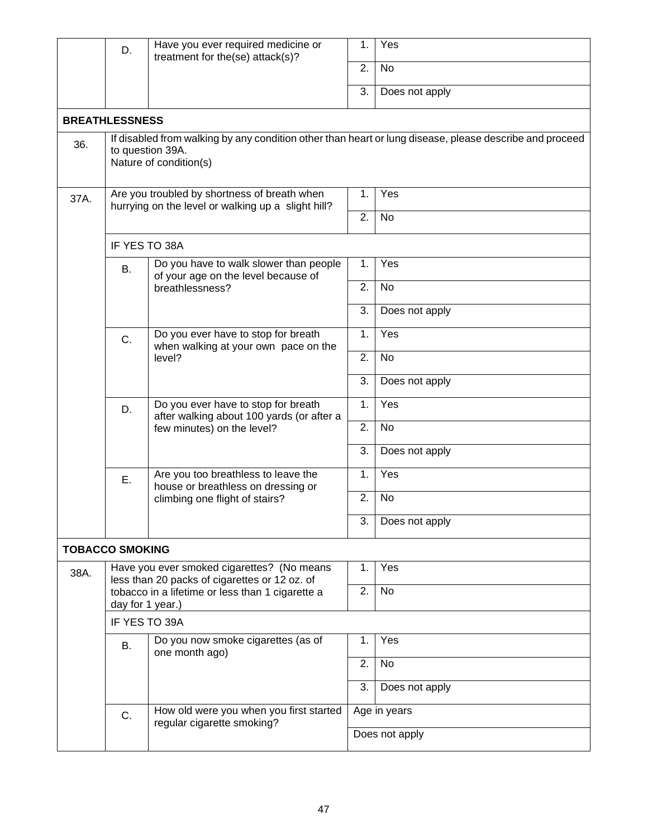|      | D.                         | Have you ever required medicine or<br>treatment for the(se) attack(s)?                             | 1.<br>2.       | Yes                                                                                                     |  |
|------|----------------------------|----------------------------------------------------------------------------------------------------|----------------|---------------------------------------------------------------------------------------------------------|--|
|      |                            |                                                                                                    |                | No                                                                                                      |  |
|      |                            |                                                                                                    | 3.             | Does not apply                                                                                          |  |
|      | <b>BREATHLESSNESS</b>      |                                                                                                    |                |                                                                                                         |  |
| 36.  |                            | to question 39A.<br>Nature of condition(s)                                                         |                | If disabled from walking by any condition other than heart or lung disease, please describe and proceed |  |
| 37A. |                            | Are you troubled by shortness of breath when<br>hurrying on the level or walking up a slight hill? | 1.<br>2.       | Yes                                                                                                     |  |
|      |                            |                                                                                                    |                | No                                                                                                      |  |
|      |                            | IF YES TO 38A                                                                                      |                |                                                                                                         |  |
|      | <b>B.</b>                  | Do you have to walk slower than people<br>of your age on the level because of                      | 1.             | Yes                                                                                                     |  |
|      |                            | breathlessness?                                                                                    | 2.             | No                                                                                                      |  |
|      |                            |                                                                                                    | 3.             | Does not apply                                                                                          |  |
|      | C.                         | Do you ever have to stop for breath<br>when walking at your own pace on the                        | 1.             | Yes                                                                                                     |  |
|      | level?                     |                                                                                                    | 2.             | No                                                                                                      |  |
|      |                            |                                                                                                    | 3.             | Does not apply                                                                                          |  |
|      | D.                         | Do you ever have to stop for breath<br>after walking about 100 yards (or after a                   | 1.             | Yes                                                                                                     |  |
|      |                            | few minutes) on the level?                                                                         | 2.             | No                                                                                                      |  |
|      |                            |                                                                                                    | 3.             | Does not apply                                                                                          |  |
|      | Ε.                         | Are you too breathless to leave the<br>house or breathless on dressing or                          | 1.             | Yes                                                                                                     |  |
|      |                            | climbing one flight of stairs?                                                                     | 2.             | No                                                                                                      |  |
|      |                            |                                                                                                    | 3.             | Does not apply                                                                                          |  |
|      | <b>TOBACCO SMOKING</b>     |                                                                                                    |                |                                                                                                         |  |
| 38A. |                            | Have you ever smoked cigarettes? (No means<br>less than 20 packs of cigarettes or 12 oz. of        | 1.             | Yes                                                                                                     |  |
|      | day for 1 year.)           | tobacco in a lifetime or less than 1 cigarette a                                                   | 2.             | No                                                                                                      |  |
|      |                            | IF YES TO 39A                                                                                      |                |                                                                                                         |  |
|      | <b>B.</b>                  | Do you now smoke cigarettes (as of<br>one month ago)                                               | 1.             | Yes                                                                                                     |  |
|      |                            |                                                                                                    | 2.             | No                                                                                                      |  |
|      |                            |                                                                                                    | 3.             | Does not apply                                                                                          |  |
|      | C.                         | How old were you when you first started                                                            |                | Age in years                                                                                            |  |
|      | regular cigarette smoking? |                                                                                                    | Does not apply |                                                                                                         |  |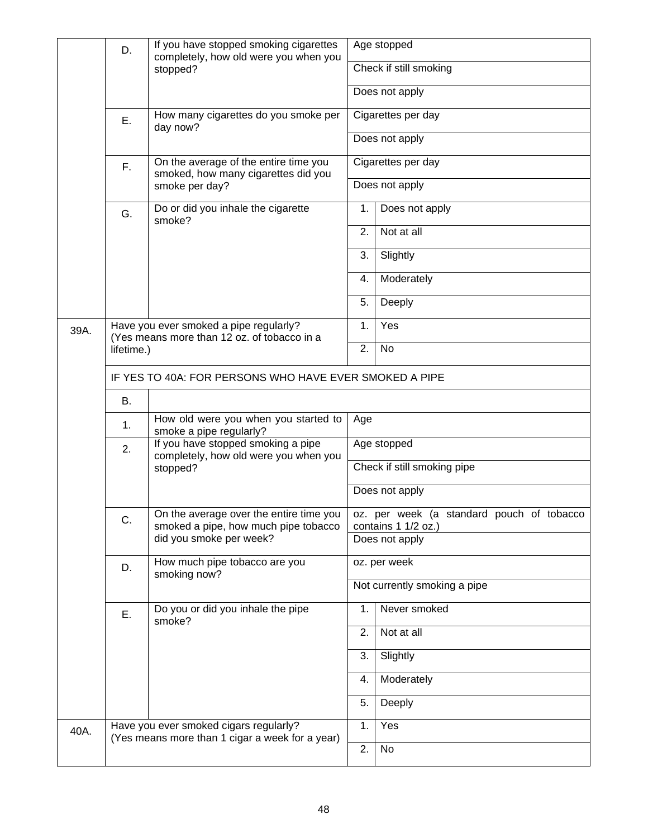|      | D.                                                                                                                                                            | If you have stopped smoking cigarettes<br>completely, how old were you when you         |                                       | Age stopped                               |  |  |  |
|------|---------------------------------------------------------------------------------------------------------------------------------------------------------------|-----------------------------------------------------------------------------------------|---------------------------------------|-------------------------------------------|--|--|--|
|      |                                                                                                                                                               | stopped?                                                                                | Check if still smoking                |                                           |  |  |  |
|      |                                                                                                                                                               |                                                                                         |                                       | Does not apply                            |  |  |  |
|      | Ε.                                                                                                                                                            | How many cigarettes do you smoke per<br>day now?                                        |                                       | Cigarettes per day                        |  |  |  |
|      |                                                                                                                                                               |                                                                                         |                                       | Does not apply                            |  |  |  |
|      | F.                                                                                                                                                            | On the average of the entire time you                                                   |                                       | Cigarettes per day                        |  |  |  |
|      |                                                                                                                                                               | smoked, how many cigarettes did you<br>smoke per day?                                   | Does not apply                        |                                           |  |  |  |
|      | G.                                                                                                                                                            | Do or did you inhale the cigarette<br>smoke?                                            | 1.                                    | Does not apply                            |  |  |  |
|      |                                                                                                                                                               |                                                                                         | 2.                                    | Not at all                                |  |  |  |
|      |                                                                                                                                                               |                                                                                         | 3.                                    | Slightly                                  |  |  |  |
|      |                                                                                                                                                               |                                                                                         | 4.                                    | Moderately                                |  |  |  |
|      |                                                                                                                                                               |                                                                                         | 5.                                    | Deeply                                    |  |  |  |
| 39A. | Have you ever smoked a pipe regularly?<br>(Yes means more than 12 oz. of tobacco in a<br>lifetime.)<br>IF YES TO 40A: FOR PERSONS WHO HAVE EVER SMOKED A PIPE |                                                                                         | 1.                                    | Yes                                       |  |  |  |
|      |                                                                                                                                                               |                                                                                         | 2.                                    | No                                        |  |  |  |
|      |                                                                                                                                                               |                                                                                         |                                       |                                           |  |  |  |
| В.   |                                                                                                                                                               |                                                                                         |                                       |                                           |  |  |  |
|      | 1.                                                                                                                                                            | How old were you when you started to<br>smoke a pipe regularly?                         | Age                                   |                                           |  |  |  |
|      | 2.                                                                                                                                                            | If you have stopped smoking a pipe<br>completely, how old were you when you<br>stopped? | Age stopped                           |                                           |  |  |  |
|      |                                                                                                                                                               |                                                                                         | Check if still smoking pipe           |                                           |  |  |  |
|      |                                                                                                                                                               |                                                                                         |                                       | Does not apply                            |  |  |  |
|      | On the average over the entire time you<br>C.<br>smoked a pipe, how much pipe tobacco<br>did you smoke per week?                                              |                                                                                         |                                       | oz. per week (a standard pouch of tobacco |  |  |  |
|      |                                                                                                                                                               |                                                                                         | contains 1 1/2 oz.)<br>Does not apply |                                           |  |  |  |
|      | How much pipe tobacco are you<br>D.                                                                                                                           |                                                                                         | oz. per week                          |                                           |  |  |  |
|      |                                                                                                                                                               | smoking now?                                                                            |                                       | Not currently smoking a pipe              |  |  |  |
|      | Ε.                                                                                                                                                            | Do you or did you inhale the pipe                                                       | 1.                                    | Never smoked                              |  |  |  |
|      |                                                                                                                                                               | smoke?                                                                                  | 2.                                    | Not at all                                |  |  |  |
|      |                                                                                                                                                               |                                                                                         | 3.                                    | Slightly                                  |  |  |  |
|      |                                                                                                                                                               |                                                                                         | 4.                                    | Moderately                                |  |  |  |
|      |                                                                                                                                                               |                                                                                         |                                       | Deeply                                    |  |  |  |
| 40A. | Have you ever smoked cigars regularly?                                                                                                                        |                                                                                         | 1.                                    | Yes                                       |  |  |  |
|      |                                                                                                                                                               | (Yes means more than 1 cigar a week for a year)                                         | 2.                                    | No                                        |  |  |  |
|      |                                                                                                                                                               |                                                                                         |                                       |                                           |  |  |  |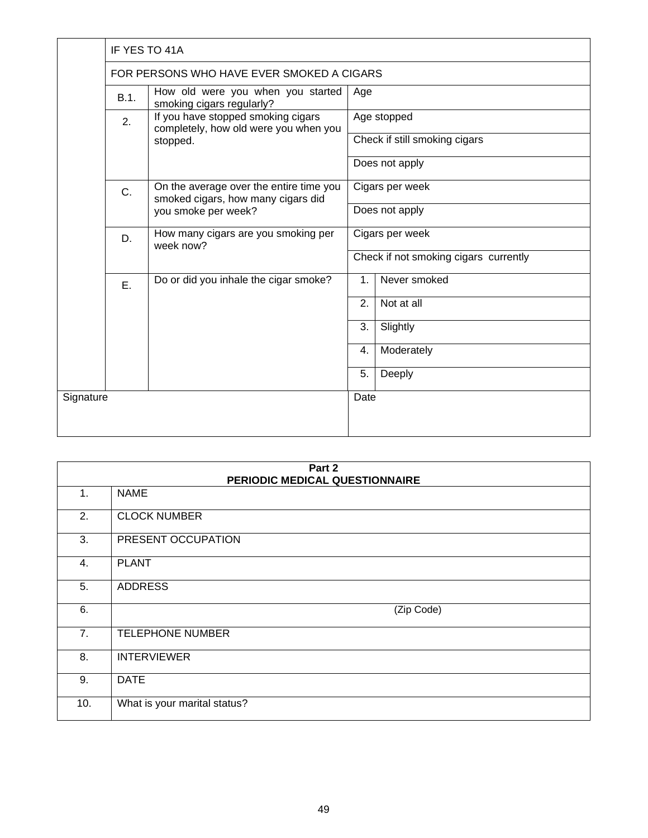|           | IF YES TO 41A                             |                                                                               |                                       |                               |  |  |  |  |
|-----------|-------------------------------------------|-------------------------------------------------------------------------------|---------------------------------------|-------------------------------|--|--|--|--|
|           | FOR PERSONS WHO HAVE EVER SMOKED A CIGARS |                                                                               |                                       |                               |  |  |  |  |
|           | B.1.                                      | How old were you when you started<br>smoking cigars regularly?                | Age                                   |                               |  |  |  |  |
|           | 2.                                        | If you have stopped smoking cigars<br>completely, how old were you when you   | Age stopped                           |                               |  |  |  |  |
|           |                                           | stopped.                                                                      |                                       | Check if still smoking cigars |  |  |  |  |
|           |                                           |                                                                               |                                       | Does not apply                |  |  |  |  |
|           | C.                                        | On the average over the entire time you<br>smoked cigars, how many cigars did |                                       | Cigars per week               |  |  |  |  |
|           |                                           | you smoke per week?                                                           | Does not apply                        |                               |  |  |  |  |
|           | D.                                        | How many cigars are you smoking per<br>week now?                              |                                       | Cigars per week               |  |  |  |  |
|           |                                           |                                                                               | Check if not smoking cigars currently |                               |  |  |  |  |
|           | E.                                        | Do or did you inhale the cigar smoke?                                         | 1.                                    | Never smoked                  |  |  |  |  |
|           |                                           |                                                                               | 2.                                    | Not at all                    |  |  |  |  |
|           |                                           |                                                                               | 3.                                    | Slightly                      |  |  |  |  |
|           |                                           |                                                                               | 4.                                    | Moderately                    |  |  |  |  |
|           |                                           |                                                                               | 5.                                    | Deeply                        |  |  |  |  |
| Signature |                                           |                                                                               | Date                                  |                               |  |  |  |  |
|           |                                           |                                                                               |                                       |                               |  |  |  |  |

| Part 2<br>PERIODIC MEDICAL QUESTIONNAIRE |                              |  |  |  |
|------------------------------------------|------------------------------|--|--|--|
| $\mathbf 1$ .                            | <b>NAME</b>                  |  |  |  |
| 2.                                       | <b>CLOCK NUMBER</b>          |  |  |  |
| 3.                                       | PRESENT OCCUPATION           |  |  |  |
| 4.                                       | <b>PLANT</b>                 |  |  |  |
| 5.                                       | <b>ADDRESS</b>               |  |  |  |
| 6.                                       | (Zip Code)                   |  |  |  |
| 7.                                       | <b>TELEPHONE NUMBER</b>      |  |  |  |
| 8.                                       | <b>INTERVIEWER</b>           |  |  |  |
| 9.                                       | <b>DATE</b>                  |  |  |  |
| 10.                                      | What is your marital status? |  |  |  |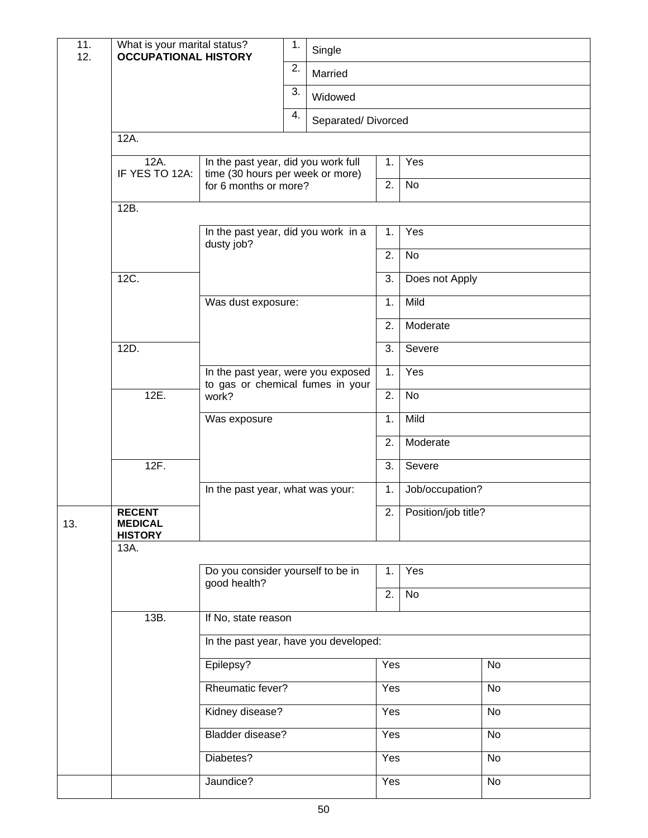| 11.<br>12. | What is your marital status?<br><b>OCCUPATIONAL HISTORY</b> |                                                   | 1.                               | Single                                                                 |                    |                        |    |  |  |
|------------|-------------------------------------------------------------|---------------------------------------------------|----------------------------------|------------------------------------------------------------------------|--------------------|------------------------|----|--|--|
|            |                                                             |                                                   | 2.                               | Married                                                                |                    |                        |    |  |  |
|            |                                                             |                                                   | 3.                               | Widowed                                                                |                    |                        |    |  |  |
|            |                                                             |                                                   | 4.                               |                                                                        | Separated/Divorced |                        |    |  |  |
|            | 12A.                                                        |                                                   |                                  |                                                                        |                    |                        |    |  |  |
|            | 12A.<br>IF YES TO 12A:                                      | In the past year, did you work full               |                                  |                                                                        | 1.                 | Yes                    |    |  |  |
|            |                                                             | for 6 months or more?                             | time (30 hours per week or more) |                                                                        | 2.                 | No                     |    |  |  |
|            | 12B.                                                        |                                                   |                                  |                                                                        |                    |                        |    |  |  |
|            |                                                             | In the past year, did you work in a<br>dusty job? |                                  |                                                                        | 1.                 | Yes                    |    |  |  |
|            |                                                             |                                                   |                                  |                                                                        | 2.                 | No                     |    |  |  |
|            | 12C.                                                        |                                                   |                                  |                                                                        | 3.                 | Does not Apply         |    |  |  |
|            |                                                             | Was dust exposure:                                |                                  |                                                                        | 1.                 | Mild                   |    |  |  |
|            |                                                             |                                                   |                                  |                                                                        | 2.                 | Moderate               |    |  |  |
|            | 12D.                                                        |                                                   |                                  |                                                                        | 3.                 | Severe                 |    |  |  |
|            |                                                             |                                                   |                                  | In the past year, were you exposed<br>to gas or chemical fumes in your |                    | Yes                    |    |  |  |
|            | 12E.                                                        | work?                                             |                                  |                                                                        | $\overline{2}$ .   | No                     |    |  |  |
|            |                                                             | Was exposure                                      |                                  |                                                                        | 1.                 | Mild                   |    |  |  |
|            |                                                             |                                                   |                                  |                                                                        | 2.                 | Moderate               |    |  |  |
|            | 12F.                                                        |                                                   |                                  |                                                                        | 3.                 | Severe                 |    |  |  |
|            |                                                             | In the past year, what was your:                  |                                  |                                                                        | 1.                 | Job/occupation?        |    |  |  |
| 13.        | <b>RECENT</b><br><b>MEDICAL</b><br><b>HISTORY</b>           |                                                   |                                  |                                                                        |                    | 2. Position/job title? |    |  |  |
|            | 13A.                                                        |                                                   |                                  |                                                                        |                    |                        |    |  |  |
|            |                                                             | Do you consider yourself to be in<br>good health? |                                  |                                                                        | 1.                 | Yes                    |    |  |  |
|            |                                                             |                                                   |                                  |                                                                        |                    | No                     |    |  |  |
|            | 13B.                                                        | If No, state reason                               |                                  |                                                                        |                    |                        |    |  |  |
|            |                                                             | In the past year, have you developed:             |                                  |                                                                        |                    |                        |    |  |  |
|            |                                                             | Epilepsy?<br>Rheumatic fever?                     |                                  | Yes                                                                    |                    | No                     |    |  |  |
|            |                                                             |                                                   |                                  |                                                                        | Yes                | No                     |    |  |  |
|            |                                                             | Kidney disease?                                   |                                  |                                                                        | Yes                |                        | No |  |  |
|            |                                                             | Bladder disease?                                  |                                  |                                                                        | Yes                |                        | No |  |  |
|            |                                                             | Diabetes?                                         |                                  |                                                                        | Yes                |                        | No |  |  |
|            |                                                             | Jaundice?                                         |                                  |                                                                        | Yes                |                        | No |  |  |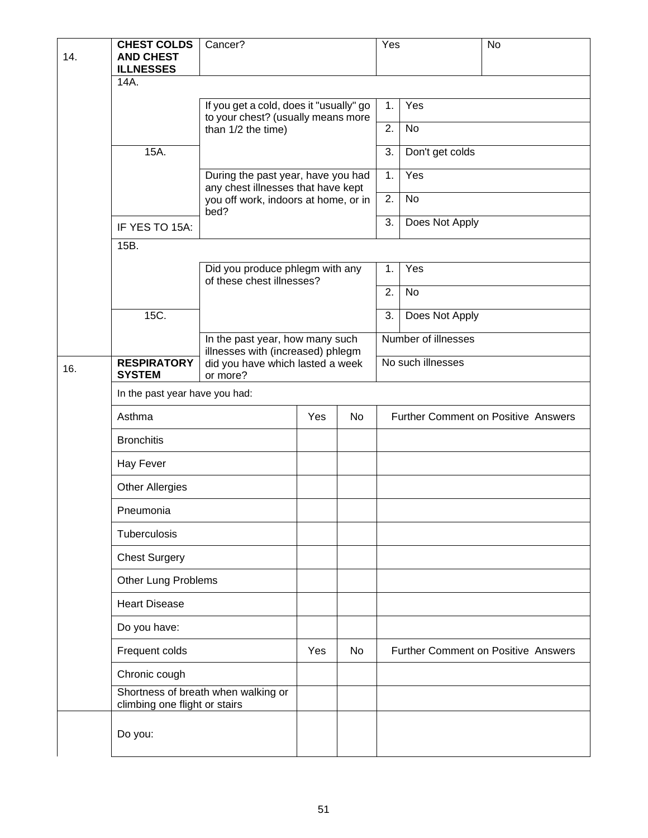| 14. | <b>CHEST COLDS</b><br><b>AND CHEST</b><br><b>ILLNESSES</b>                                          | Cancer?                                                              |                                    |  | Yes                                        |                                            | No |
|-----|-----------------------------------------------------------------------------------------------------|----------------------------------------------------------------------|------------------------------------|--|--------------------------------------------|--------------------------------------------|----|
|     | 14A.                                                                                                |                                                                      |                                    |  |                                            |                                            |    |
|     | If you get a cold, does it "usually" go<br>to your chest? (usually means more<br>than 1/2 the time) |                                                                      |                                    |  |                                            | Yes                                        |    |
|     |                                                                                                     |                                                                      |                                    |  |                                            | No                                         |    |
|     | 15A.                                                                                                |                                                                      |                                    |  | 3.                                         | Don't get colds                            |    |
|     |                                                                                                     | During the past year, have you had                                   | any chest illnesses that have kept |  | 1.                                         | Yes                                        |    |
|     |                                                                                                     | you off work, indoors at home, or in<br>bed?                         |                                    |  | 2.                                         | <b>No</b>                                  |    |
|     | IF YES TO 15A:                                                                                      |                                                                      |                                    |  | 3.                                         | Does Not Apply                             |    |
|     | 15B.                                                                                                |                                                                      |                                    |  |                                            |                                            |    |
|     |                                                                                                     | Did you produce phlegm with any<br>of these chest illnesses?         |                                    |  | 1.                                         | Yes                                        |    |
|     |                                                                                                     |                                                                      |                                    |  | 2.                                         | No                                         |    |
|     | 15C.                                                                                                |                                                                      |                                    |  | 3.                                         | Does Not Apply                             |    |
|     |                                                                                                     | In the past year, how many such<br>illnesses with (increased) phlegm |                                    |  |                                            | Number of illnesses                        |    |
| 16. | <b>RESPIRATORY</b><br><b>SYSTEM</b>                                                                 | did you have which lasted a week<br>or more?                         |                                    |  |                                            | No such illnesses                          |    |
|     | In the past year have you had:                                                                      |                                                                      |                                    |  |                                            |                                            |    |
|     | Asthma                                                                                              | Yes                                                                  | No                                 |  | <b>Further Comment on Positive Answers</b> |                                            |    |
|     | <b>Bronchitis</b>                                                                                   |                                                                      |                                    |  |                                            |                                            |    |
|     | Hay Fever                                                                                           |                                                                      |                                    |  |                                            |                                            |    |
|     | <b>Other Allergies</b>                                                                              |                                                                      |                                    |  |                                            |                                            |    |
|     | Pneumonia                                                                                           |                                                                      |                                    |  |                                            |                                            |    |
|     | Tuberculosis                                                                                        |                                                                      |                                    |  |                                            |                                            |    |
|     | <b>Chest Surgery</b>                                                                                |                                                                      |                                    |  |                                            |                                            |    |
|     | Other Lung Problems                                                                                 |                                                                      |                                    |  |                                            |                                            |    |
|     | <b>Heart Disease</b>                                                                                |                                                                      |                                    |  |                                            |                                            |    |
|     | Do you have:                                                                                        |                                                                      |                                    |  |                                            |                                            |    |
|     | Frequent colds                                                                                      | Yes                                                                  | No                                 |  |                                            | <b>Further Comment on Positive Answers</b> |    |
|     | Chronic cough                                                                                       |                                                                      |                                    |  |                                            |                                            |    |
|     | climbing one flight or stairs                                                                       | Shortness of breath when walking or                                  |                                    |  |                                            |                                            |    |
|     | Do you:                                                                                             |                                                                      |                                    |  |                                            |                                            |    |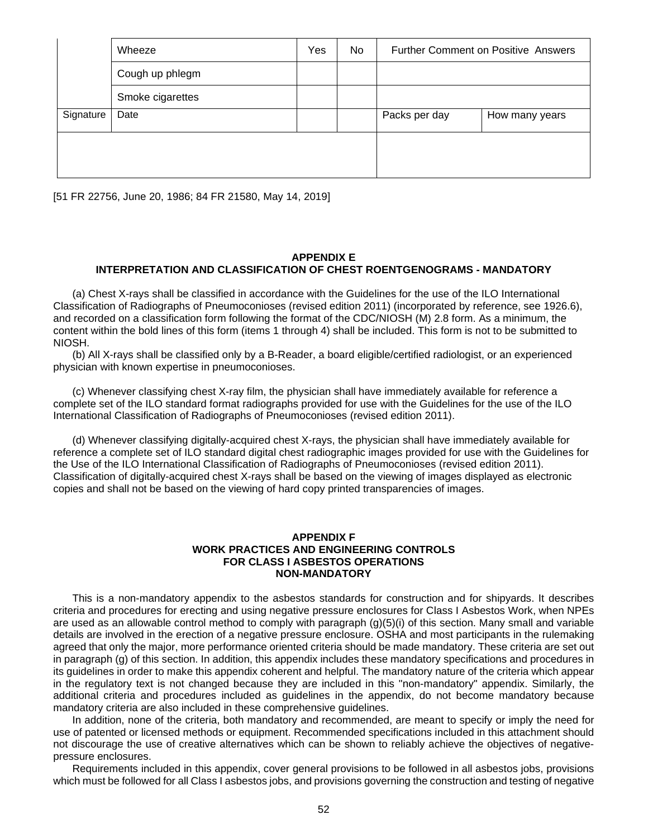|           | Wheeze           | Yes | No |               | Further Comment on Positive Answers |
|-----------|------------------|-----|----|---------------|-------------------------------------|
|           | Cough up phlegm  |     |    |               |                                     |
|           | Smoke cigarettes |     |    |               |                                     |
| Signature | Date             |     |    | Packs per day | How many years                      |
|           |                  |     |    |               |                                     |
|           |                  |     |    |               |                                     |

[51 FR 22756, June 20, 1986; 84 FR 21580, May 14, 2019]

# **APPENDIX E INTERPRETATION AND CLASSIFICATION OF CHEST ROENTGENOGRAMS - MANDATORY**

(a) Chest X-rays shall be classified in accordance with the Guidelines for the use of the ILO International Classification of Radiographs of Pneumoconioses (revised edition 2011) (incorporated by reference, see 1926.6), and recorded on a classification form following the format of the CDC/NIOSH (M) 2.8 form. As a minimum, the content within the bold lines of this form (items 1 through 4) shall be included. This form is not to be submitted to NIOSH.

(b) All X-rays shall be classified only by a B-Reader, a board eligible/certified radiologist, or an experienced physician with known expertise in pneumoconioses.

(c) Whenever classifying chest X-ray film, the physician shall have immediately available for reference a complete set of the ILO standard format radiographs provided for use with the Guidelines for the use of the ILO International Classification of Radiographs of Pneumoconioses (revised edition 2011).

(d) Whenever classifying digitally-acquired chest X-rays, the physician shall have immediately available for reference a complete set of ILO standard digital chest radiographic images provided for use with the Guidelines for the Use of the ILO International Classification of Radiographs of Pneumoconioses (revised edition 2011). Classification of digitally-acquired chest X-rays shall be based on the viewing of images displayed as electronic copies and shall not be based on the viewing of hard copy printed transparencies of images.

### **APPENDIX F WORK PRACTICES AND ENGINEERING CONTROLS FOR CLASS I ASBESTOS OPERATIONS NON-MANDATORY**

This is a non-mandatory appendix to the asbestos standards for construction and for shipyards. It describes criteria and procedures for erecting and using negative pressure enclosures for Class I Asbestos Work, when NPEs are used as an allowable control method to comply with paragraph (g)(5)(i) of this section. Many small and variable details are involved in the erection of a negative pressure enclosure. OSHA and most participants in the rulemaking agreed that only the major, more performance oriented criteria should be made mandatory. These criteria are set out in paragraph (g) of this section. In addition, this appendix includes these mandatory specifications and procedures in its guidelines in order to make this appendix coherent and helpful. The mandatory nature of the criteria which appear in the regulatory text is not changed because they are included in this "non-mandatory" appendix. Similarly, the additional criteria and procedures included as guidelines in the appendix, do not become mandatory because mandatory criteria are also included in these comprehensive guidelines.

In addition, none of the criteria, both mandatory and recommended, are meant to specify or imply the need for use of patented or licensed methods or equipment. Recommended specifications included in this attachment should not discourage the use of creative alternatives which can be shown to reliably achieve the objectives of negativepressure enclosures.

Requirements included in this appendix, cover general provisions to be followed in all asbestos jobs, provisions which must be followed for all Class I asbestos jobs, and provisions governing the construction and testing of negative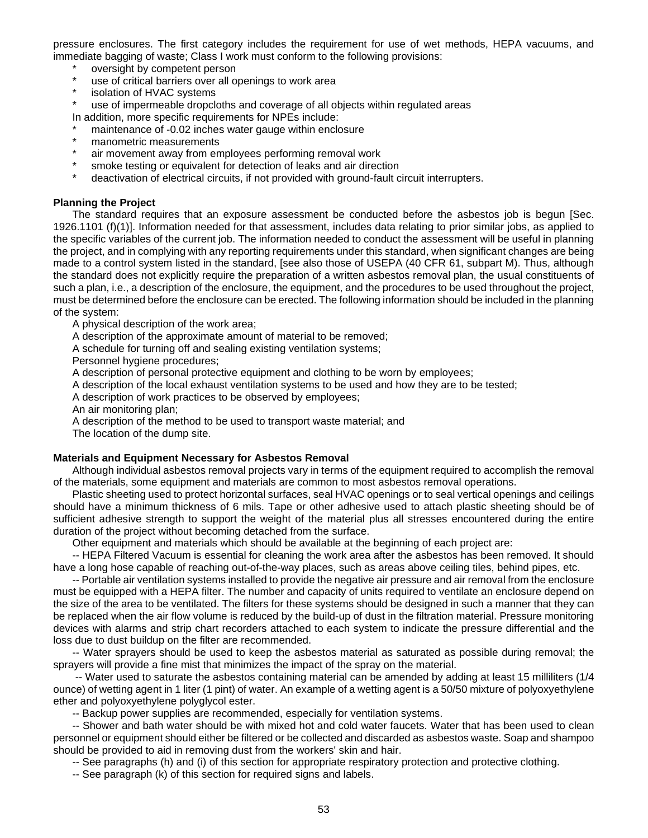pressure enclosures. The first category includes the requirement for use of wet methods, HEPA vacuums, and immediate bagging of waste; Class I work must conform to the following provisions:

- \* oversight by competent person
- \* use of critical barriers over all openings to work area
- isolation of HVAC systems
- use of impermeable dropcloths and coverage of all objects within regulated areas
- In addition, more specific requirements for NPEs include:
- maintenance of -0.02 inches water gauge within enclosure
- \* manometric measurements
- air movement away from employees performing removal work
- \* smoke testing or equivalent for detection of leaks and air direction
- deactivation of electrical circuits, if not provided with ground-fault circuit interrupters.

## **Planning the Project**

The standard requires that an exposure assessment be conducted before the asbestos job is begun [Sec. 1926.1101 (f)(1)]. Information needed for that assessment, includes data relating to prior similar jobs, as applied to the specific variables of the current job. The information needed to conduct the assessment will be useful in planning the project, and in complying with any reporting requirements under this standard, when significant changes are being made to a control system listed in the standard, [see also those of USEPA (40 CFR 61, subpart M). Thus, although the standard does not explicitly require the preparation of a written asbestos removal plan, the usual constituents of such a plan, i.e., a description of the enclosure, the equipment, and the procedures to be used throughout the project, must be determined before the enclosure can be erected. The following information should be included in the planning of the system:

A physical description of the work area;

A description of the approximate amount of material to be removed;

A schedule for turning off and sealing existing ventilation systems;

Personnel hygiene procedures;

A description of personal protective equipment and clothing to be worn by employees;

A description of the local exhaust ventilation systems to be used and how they are to be tested;

A description of work practices to be observed by employees;

An air monitoring plan;

A description of the method to be used to transport waste material; and

The location of the dump site.

#### **Materials and Equipment Necessary for Asbestos Removal**

Although individual asbestos removal projects vary in terms of the equipment required to accomplish the removal of the materials, some equipment and materials are common to most asbestos removal operations.

Plastic sheeting used to protect horizontal surfaces, seal HVAC openings or to seal vertical openings and ceilings should have a minimum thickness of 6 mils. Tape or other adhesive used to attach plastic sheeting should be of sufficient adhesive strength to support the weight of the material plus all stresses encountered during the entire duration of the project without becoming detached from the surface.

Other equipment and materials which should be available at the beginning of each project are:

-- HEPA Filtered Vacuum is essential for cleaning the work area after the asbestos has been removed. It should have a long hose capable of reaching out-of-the-way places, such as areas above ceiling tiles, behind pipes, etc.

-- Portable air ventilation systems installed to provide the negative air pressure and air removal from the enclosure must be equipped with a HEPA filter. The number and capacity of units required to ventilate an enclosure depend on the size of the area to be ventilated. The filters for these systems should be designed in such a manner that they can be replaced when the air flow volume is reduced by the build-up of dust in the filtration material. Pressure monitoring devices with alarms and strip chart recorders attached to each system to indicate the pressure differential and the loss due to dust buildup on the filter are recommended.

-- Water sprayers should be used to keep the asbestos material as saturated as possible during removal; the sprayers will provide a fine mist that minimizes the impact of the spray on the material.

 -- Water used to saturate the asbestos containing material can be amended by adding at least 15 milliliters (1/4 ounce) of wetting agent in 1 liter (1 pint) of water. An example of a wetting agent is a 50/50 mixture of polyoxyethylene ether and polyoxyethylene polyglycol ester.

-- Backup power supplies are recommended, especially for ventilation systems.

-- Shower and bath water should be with mixed hot and cold water faucets. Water that has been used to clean personnel or equipment should either be filtered or be collected and discarded as asbestos waste. Soap and shampoo should be provided to aid in removing dust from the workers' skin and hair.

-- See paragraphs (h) and (i) of this section for appropriate respiratory protection and protective clothing.

-- See paragraph (k) of this section for required signs and labels.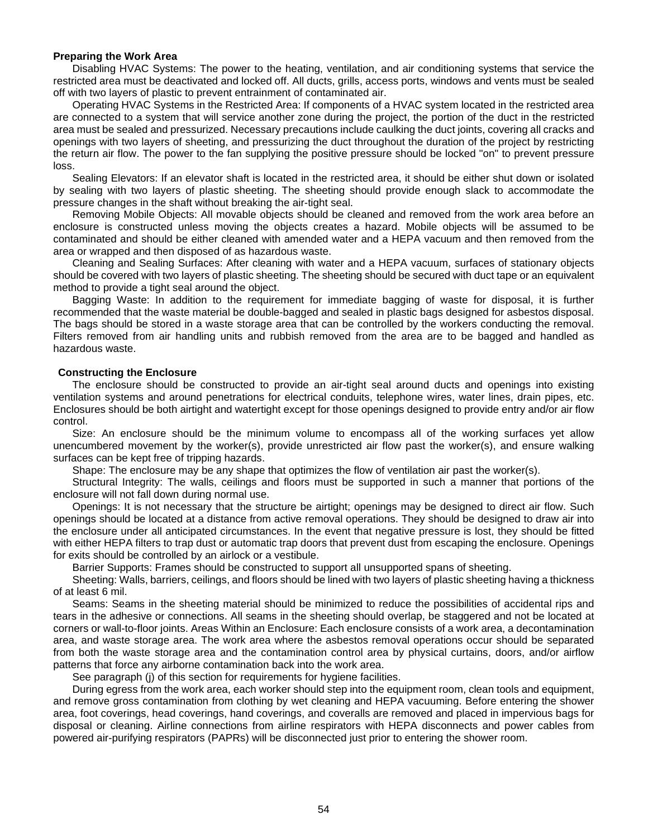### **Preparing the Work Area**

Disabling HVAC Systems: The power to the heating, ventilation, and air conditioning systems that service the restricted area must be deactivated and locked off. All ducts, grills, access ports, windows and vents must be sealed off with two layers of plastic to prevent entrainment of contaminated air.

Operating HVAC Systems in the Restricted Area: If components of a HVAC system located in the restricted area are connected to a system that will service another zone during the project, the portion of the duct in the restricted area must be sealed and pressurized. Necessary precautions include caulking the duct joints, covering all cracks and openings with two layers of sheeting, and pressurizing the duct throughout the duration of the project by restricting the return air flow. The power to the fan supplying the positive pressure should be locked "on" to prevent pressure loss.

Sealing Elevators: If an elevator shaft is located in the restricted area, it should be either shut down or isolated by sealing with two layers of plastic sheeting. The sheeting should provide enough slack to accommodate the pressure changes in the shaft without breaking the air-tight seal.

Removing Mobile Objects: All movable objects should be cleaned and removed from the work area before an enclosure is constructed unless moving the objects creates a hazard. Mobile objects will be assumed to be contaminated and should be either cleaned with amended water and a HEPA vacuum and then removed from the area or wrapped and then disposed of as hazardous waste.

Cleaning and Sealing Surfaces: After cleaning with water and a HEPA vacuum, surfaces of stationary objects should be covered with two layers of plastic sheeting. The sheeting should be secured with duct tape or an equivalent method to provide a tight seal around the object.

Bagging Waste: In addition to the requirement for immediate bagging of waste for disposal, it is further recommended that the waste material be double-bagged and sealed in plastic bags designed for asbestos disposal. The bags should be stored in a waste storage area that can be controlled by the workers conducting the removal. Filters removed from air handling units and rubbish removed from the area are to be bagged and handled as hazardous waste.

# **Constructing the Enclosure**

The enclosure should be constructed to provide an air-tight seal around ducts and openings into existing ventilation systems and around penetrations for electrical conduits, telephone wires, water lines, drain pipes, etc. Enclosures should be both airtight and watertight except for those openings designed to provide entry and/or air flow control.

Size: An enclosure should be the minimum volume to encompass all of the working surfaces yet allow unencumbered movement by the worker(s), provide unrestricted air flow past the worker(s), and ensure walking surfaces can be kept free of tripping hazards.

Shape: The enclosure may be any shape that optimizes the flow of ventilation air past the worker(s).

Structural Integrity: The walls, ceilings and floors must be supported in such a manner that portions of the enclosure will not fall down during normal use.

Openings: It is not necessary that the structure be airtight; openings may be designed to direct air flow. Such openings should be located at a distance from active removal operations. They should be designed to draw air into the enclosure under all anticipated circumstances. In the event that negative pressure is lost, they should be fitted with either HEPA filters to trap dust or automatic trap doors that prevent dust from escaping the enclosure. Openings for exits should be controlled by an airlock or a vestibule.

Barrier Supports: Frames should be constructed to support all unsupported spans of sheeting.

Sheeting: Walls, barriers, ceilings, and floors should be lined with two layers of plastic sheeting having a thickness of at least 6 mil.

Seams: Seams in the sheeting material should be minimized to reduce the possibilities of accidental rips and tears in the adhesive or connections. All seams in the sheeting should overlap, be staggered and not be located at corners or wall-to-floor joints. Areas Within an Enclosure: Each enclosure consists of a work area, a decontamination area, and waste storage area. The work area where the asbestos removal operations occur should be separated from both the waste storage area and the contamination control area by physical curtains, doors, and/or airflow patterns that force any airborne contamination back into the work area.

See paragraph (j) of this section for requirements for hygiene facilities.

During egress from the work area, each worker should step into the equipment room, clean tools and equipment, and remove gross contamination from clothing by wet cleaning and HEPA vacuuming. Before entering the shower area, foot coverings, head coverings, hand coverings, and coveralls are removed and placed in impervious bags for disposal or cleaning. Airline connections from airline respirators with HEPA disconnects and power cables from powered air-purifying respirators (PAPRs) will be disconnected just prior to entering the shower room.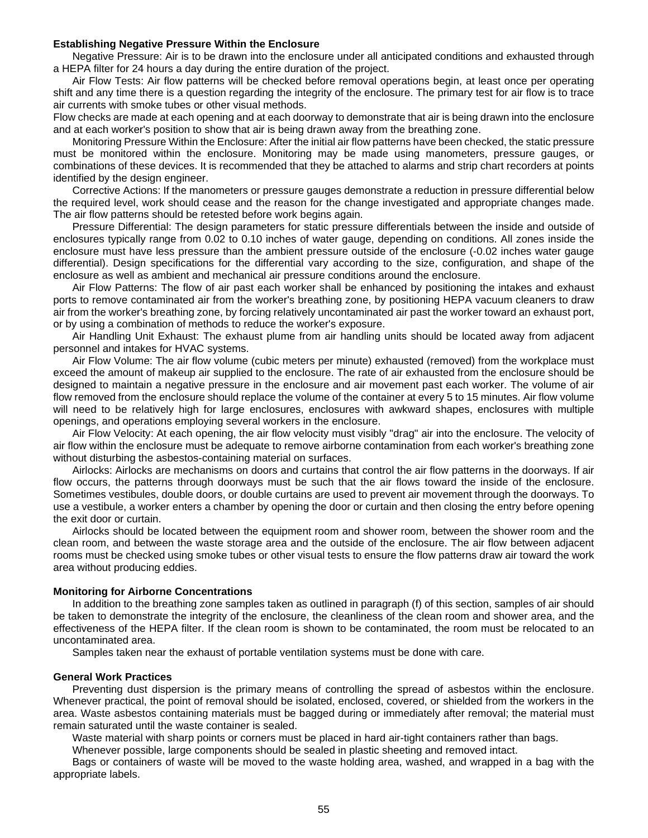#### **Establishing Negative Pressure Within the Enclosure**

Negative Pressure: Air is to be drawn into the enclosure under all anticipated conditions and exhausted through a HEPA filter for 24 hours a day during the entire duration of the project.

Air Flow Tests: Air flow patterns will be checked before removal operations begin, at least once per operating shift and any time there is a question regarding the integrity of the enclosure. The primary test for air flow is to trace air currents with smoke tubes or other visual methods.

Flow checks are made at each opening and at each doorway to demonstrate that air is being drawn into the enclosure and at each worker's position to show that air is being drawn away from the breathing zone.

Monitoring Pressure Within the Enclosure: After the initial air flow patterns have been checked, the static pressure must be monitored within the enclosure. Monitoring may be made using manometers, pressure gauges, or combinations of these devices. It is recommended that they be attached to alarms and strip chart recorders at points identified by the design engineer.

Corrective Actions: If the manometers or pressure gauges demonstrate a reduction in pressure differential below the required level, work should cease and the reason for the change investigated and appropriate changes made. The air flow patterns should be retested before work begins again.

Pressure Differential: The design parameters for static pressure differentials between the inside and outside of enclosures typically range from 0.02 to 0.10 inches of water gauge, depending on conditions. All zones inside the enclosure must have less pressure than the ambient pressure outside of the enclosure (-0.02 inches water gauge differential). Design specifications for the differential vary according to the size, configuration, and shape of the enclosure as well as ambient and mechanical air pressure conditions around the enclosure.

Air Flow Patterns: The flow of air past each worker shall be enhanced by positioning the intakes and exhaust ports to remove contaminated air from the worker's breathing zone, by positioning HEPA vacuum cleaners to draw air from the worker's breathing zone, by forcing relatively uncontaminated air past the worker toward an exhaust port, or by using a combination of methods to reduce the worker's exposure.

Air Handling Unit Exhaust: The exhaust plume from air handling units should be located away from adjacent personnel and intakes for HVAC systems.

Air Flow Volume: The air flow volume (cubic meters per minute) exhausted (removed) from the workplace must exceed the amount of makeup air supplied to the enclosure. The rate of air exhausted from the enclosure should be designed to maintain a negative pressure in the enclosure and air movement past each worker. The volume of air flow removed from the enclosure should replace the volume of the container at every 5 to 15 minutes. Air flow volume will need to be relatively high for large enclosures, enclosures with awkward shapes, enclosures with multiple openings, and operations employing several workers in the enclosure.

Air Flow Velocity: At each opening, the air flow velocity must visibly "drag" air into the enclosure. The velocity of air flow within the enclosure must be adequate to remove airborne contamination from each worker's breathing zone without disturbing the asbestos-containing material on surfaces.

Airlocks: Airlocks are mechanisms on doors and curtains that control the air flow patterns in the doorways. If air flow occurs, the patterns through doorways must be such that the air flows toward the inside of the enclosure. Sometimes vestibules, double doors, or double curtains are used to prevent air movement through the doorways. To use a vestibule, a worker enters a chamber by opening the door or curtain and then closing the entry before opening the exit door or curtain.

Airlocks should be located between the equipment room and shower room, between the shower room and the clean room, and between the waste storage area and the outside of the enclosure. The air flow between adjacent rooms must be checked using smoke tubes or other visual tests to ensure the flow patterns draw air toward the work area without producing eddies.

#### **Monitoring for Airborne Concentrations**

In addition to the breathing zone samples taken as outlined in paragraph (f) of this section, samples of air should be taken to demonstrate the integrity of the enclosure, the cleanliness of the clean room and shower area, and the effectiveness of the HEPA filter. If the clean room is shown to be contaminated, the room must be relocated to an uncontaminated area.

Samples taken near the exhaust of portable ventilation systems must be done with care.

#### **General Work Practices**

Preventing dust dispersion is the primary means of controlling the spread of asbestos within the enclosure. Whenever practical, the point of removal should be isolated, enclosed, covered, or shielded from the workers in the area. Waste asbestos containing materials must be bagged during or immediately after removal; the material must remain saturated until the waste container is sealed.

Waste material with sharp points or corners must be placed in hard air-tight containers rather than bags.

Whenever possible, large components should be sealed in plastic sheeting and removed intact.

Bags or containers of waste will be moved to the waste holding area, washed, and wrapped in a bag with the appropriate labels.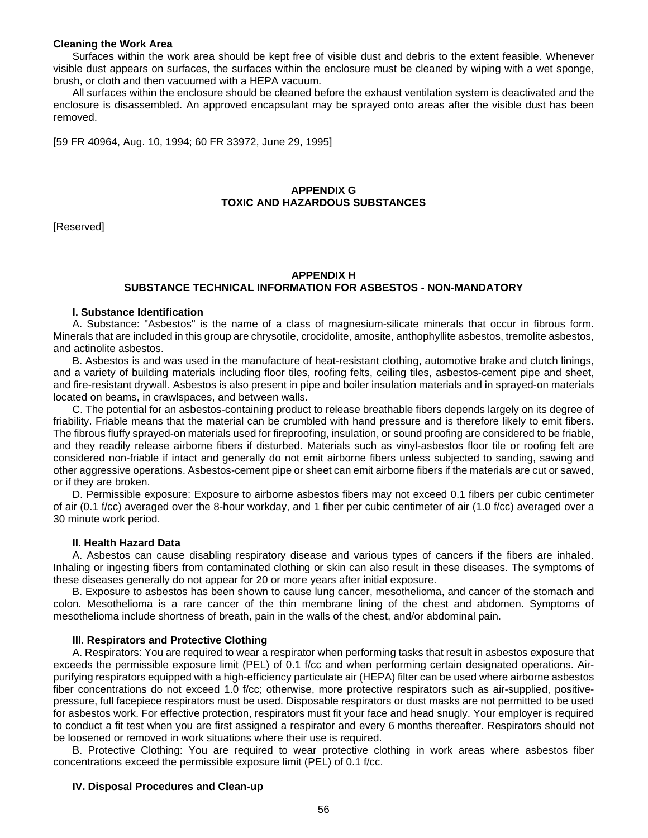### **Cleaning the Work Area**

Surfaces within the work area should be kept free of visible dust and debris to the extent feasible. Whenever visible dust appears on surfaces, the surfaces within the enclosure must be cleaned by wiping with a wet sponge, brush, or cloth and then vacuumed with a HEPA vacuum.

All surfaces within the enclosure should be cleaned before the exhaust ventilation system is deactivated and the enclosure is disassembled. An approved encapsulant may be sprayed onto areas after the visible dust has been removed.

[59 FR 40964, Aug. 10, 1994; 60 FR 33972, June 29, 1995]

# **APPENDIX G TOXIC AND HAZARDOUS SUBSTANCES**

[Reserved]

# **APPENDIX H SUBSTANCE TECHNICAL INFORMATION FOR ASBESTOS - NON-MANDATORY**

#### **I. Substance Identification**

A. Substance: "Asbestos" is the name of a class of magnesium-silicate minerals that occur in fibrous form. Minerals that are included in this group are chrysotile, crocidolite, amosite, anthophyllite asbestos, tremolite asbestos, and actinolite asbestos.

B. Asbestos is and was used in the manufacture of heat-resistant clothing, automotive brake and clutch linings, and a variety of building materials including floor tiles, roofing felts, ceiling tiles, asbestos-cement pipe and sheet, and fire-resistant drywall. Asbestos is also present in pipe and boiler insulation materials and in sprayed-on materials located on beams, in crawlspaces, and between walls.

C. The potential for an asbestos-containing product to release breathable fibers depends largely on its degree of friability. Friable means that the material can be crumbled with hand pressure and is therefore likely to emit fibers. The fibrous fluffy sprayed-on materials used for fireproofing, insulation, or sound proofing are considered to be friable, and they readily release airborne fibers if disturbed. Materials such as vinyl-asbestos floor tile or roofing felt are considered non-friable if intact and generally do not emit airborne fibers unless subjected to sanding, sawing and other aggressive operations. Asbestos-cement pipe or sheet can emit airborne fibers if the materials are cut or sawed, or if they are broken.

D. Permissible exposure: Exposure to airborne asbestos fibers may not exceed 0.1 fibers per cubic centimeter of air (0.1 f/cc) averaged over the 8-hour workday, and 1 fiber per cubic centimeter of air (1.0 f/cc) averaged over a 30 minute work period.

## **II. Health Hazard Data**

A. Asbestos can cause disabling respiratory disease and various types of cancers if the fibers are inhaled. Inhaling or ingesting fibers from contaminated clothing or skin can also result in these diseases. The symptoms of these diseases generally do not appear for 20 or more years after initial exposure.

B. Exposure to asbestos has been shown to cause lung cancer, mesothelioma, and cancer of the stomach and colon. Mesothelioma is a rare cancer of the thin membrane lining of the chest and abdomen. Symptoms of mesothelioma include shortness of breath, pain in the walls of the chest, and/or abdominal pain.

## **III. Respirators and Protective Clothing**

A. Respirators: You are required to wear a respirator when performing tasks that result in asbestos exposure that exceeds the permissible exposure limit (PEL) of 0.1 f/cc and when performing certain designated operations. Airpurifying respirators equipped with a high-efficiency particulate air (HEPA) filter can be used where airborne asbestos fiber concentrations do not exceed 1.0 f/cc; otherwise, more protective respirators such as air-supplied, positivepressure, full facepiece respirators must be used. Disposable respirators or dust masks are not permitted to be used for asbestos work. For effective protection, respirators must fit your face and head snugly. Your employer is required to conduct a fit test when you are first assigned a respirator and every 6 months thereafter. Respirators should not be loosened or removed in work situations where their use is required.

B. Protective Clothing: You are required to wear protective clothing in work areas where asbestos fiber concentrations exceed the permissible exposure limit (PEL) of 0.1 f/cc.

## **IV. Disposal Procedures and Clean-up**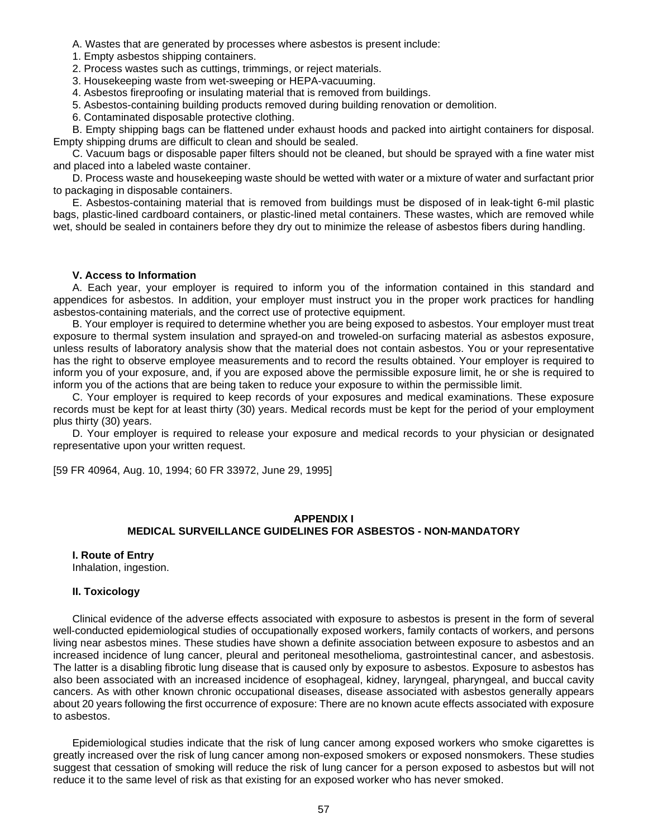A. Wastes that are generated by processes where asbestos is present include:

1. Empty asbestos shipping containers.

2. Process wastes such as cuttings, trimmings, or reject materials.

3. Housekeeping waste from wet-sweeping or HEPA-vacuuming.

4. Asbestos fireproofing or insulating material that is removed from buildings.

5. Asbestos-containing building products removed during building renovation or demolition.

6. Contaminated disposable protective clothing.

B. Empty shipping bags can be flattened under exhaust hoods and packed into airtight containers for disposal. Empty shipping drums are difficult to clean and should be sealed.

C. Vacuum bags or disposable paper filters should not be cleaned, but should be sprayed with a fine water mist and placed into a labeled waste container.

D. Process waste and housekeeping waste should be wetted with water or a mixture of water and surfactant prior to packaging in disposable containers.

E. Asbestos-containing material that is removed from buildings must be disposed of in leak-tight 6-mil plastic bags, plastic-lined cardboard containers, or plastic-lined metal containers. These wastes, which are removed while wet, should be sealed in containers before they dry out to minimize the release of asbestos fibers during handling.

### **V. Access to Information**

A. Each year, your employer is required to inform you of the information contained in this standard and appendices for asbestos. In addition, your employer must instruct you in the proper work practices for handling asbestos-containing materials, and the correct use of protective equipment.

B. Your employer is required to determine whether you are being exposed to asbestos. Your employer must treat exposure to thermal system insulation and sprayed-on and troweled-on surfacing material as asbestos exposure, unless results of laboratory analysis show that the material does not contain asbestos. You or your representative has the right to observe employee measurements and to record the results obtained. Your employer is required to inform you of your exposure, and, if you are exposed above the permissible exposure limit, he or she is required to inform you of the actions that are being taken to reduce your exposure to within the permissible limit.

C. Your employer is required to keep records of your exposures and medical examinations. These exposure records must be kept for at least thirty (30) years. Medical records must be kept for the period of your employment plus thirty (30) years.

D. Your employer is required to release your exposure and medical records to your physician or designated representative upon your written request.

[59 FR 40964, Aug. 10, 1994; 60 FR 33972, June 29, 1995]

## **APPENDIX I**

### **MEDICAL SURVEILLANCE GUIDELINES FOR ASBESTOS - NON-MANDATORY**

#### **I. Route of Entry**

Inhalation, ingestion.

#### **II. Toxicology**

Clinical evidence of the adverse effects associated with exposure to asbestos is present in the form of several well-conducted epidemiological studies of occupationally exposed workers, family contacts of workers, and persons living near asbestos mines. These studies have shown a definite association between exposure to asbestos and an increased incidence of lung cancer, pleural and peritoneal mesothelioma, gastrointestinal cancer, and asbestosis. The latter is a disabling fibrotic lung disease that is caused only by exposure to asbestos. Exposure to asbestos has also been associated with an increased incidence of esophageal, kidney, laryngeal, pharyngeal, and buccal cavity cancers. As with other known chronic occupational diseases, disease associated with asbestos generally appears about 20 years following the first occurrence of exposure: There are no known acute effects associated with exposure to asbestos.

Epidemiological studies indicate that the risk of lung cancer among exposed workers who smoke cigarettes is greatly increased over the risk of lung cancer among non-exposed smokers or exposed nonsmokers. These studies suggest that cessation of smoking will reduce the risk of lung cancer for a person exposed to asbestos but will not reduce it to the same level of risk as that existing for an exposed worker who has never smoked.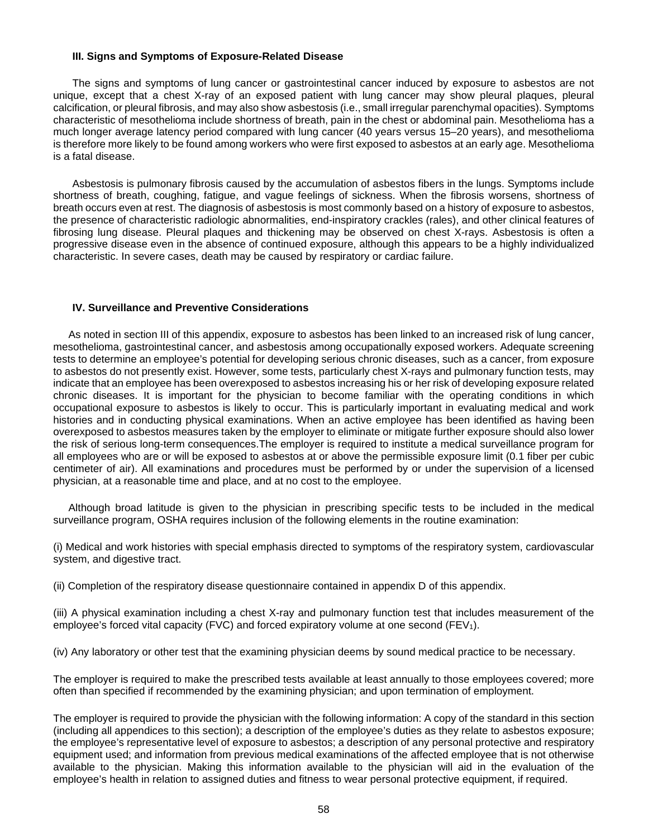### **III. Signs and Symptoms of Exposure-Related Disease**

The signs and symptoms of lung cancer or gastrointestinal cancer induced by exposure to asbestos are not unique, except that a chest X-ray of an exposed patient with lung cancer may show pleural plaques, pleural calcification, or pleural fibrosis, and may also show asbestosis (i.e., small irregular parenchymal opacities). Symptoms characteristic of mesothelioma include shortness of breath, pain in the chest or abdominal pain. Mesothelioma has a much longer average latency period compared with lung cancer (40 years versus 15–20 years), and mesothelioma is therefore more likely to be found among workers who were first exposed to asbestos at an early age. Mesothelioma is a fatal disease.

Asbestosis is pulmonary fibrosis caused by the accumulation of asbestos fibers in the lungs. Symptoms include shortness of breath, coughing, fatigue, and vague feelings of sickness. When the fibrosis worsens, shortness of breath occurs even at rest. The diagnosis of asbestosis is most commonly based on a history of exposure to asbestos, the presence of characteristic radiologic abnormalities, end-inspiratory crackles (rales), and other clinical features of fibrosing lung disease. Pleural plaques and thickening may be observed on chest X-rays. Asbestosis is often a progressive disease even in the absence of continued exposure, although this appears to be a highly individualized characteristic. In severe cases, death may be caused by respiratory or cardiac failure.

### **IV. Surveillance and Preventive Considerations**

As noted in section III of this appendix, exposure to asbestos has been linked to an increased risk of lung cancer, mesothelioma, gastrointestinal cancer, and asbestosis among occupationally exposed workers. Adequate screening tests to determine an employee's potential for developing serious chronic diseases, such as a cancer, from exposure to asbestos do not presently exist. However, some tests, particularly chest X-rays and pulmonary function tests, may indicate that an employee has been overexposed to asbestos increasing his or her risk of developing exposure related chronic diseases. It is important for the physician to become familiar with the operating conditions in which occupational exposure to asbestos is likely to occur. This is particularly important in evaluating medical and work histories and in conducting physical examinations. When an active employee has been identified as having been overexposed to asbestos measures taken by the employer to eliminate or mitigate further exposure should also lower the risk of serious long-term consequences.The employer is required to institute a medical surveillance program for all employees who are or will be exposed to asbestos at or above the permissible exposure limit (0.1 fiber per cubic centimeter of air). All examinations and procedures must be performed by or under the supervision of a licensed physician, at a reasonable time and place, and at no cost to the employee.

Although broad latitude is given to the physician in prescribing specific tests to be included in the medical surveillance program, OSHA requires inclusion of the following elements in the routine examination:

(i) Medical and work histories with special emphasis directed to symptoms of the respiratory system, cardiovascular system, and digestive tract.

(ii) Completion of the respiratory disease questionnaire contained in appendix D of this appendix.

(iii) A physical examination including a chest X-ray and pulmonary function test that includes measurement of the employee's forced vital capacity (FVC) and forced expiratory volume at one second (FEV1).

(iv) Any laboratory or other test that the examining physician deems by sound medical practice to be necessary.

The employer is required to make the prescribed tests available at least annually to those employees covered; more often than specified if recommended by the examining physician; and upon termination of employment.

The employer is required to provide the physician with the following information: A copy of the standard in this section (including all appendices to this section); a description of the employee's duties as they relate to asbestos exposure; the employee's representative level of exposure to asbestos; a description of any personal protective and respiratory equipment used; and information from previous medical examinations of the affected employee that is not otherwise available to the physician. Making this information available to the physician will aid in the evaluation of the employee's health in relation to assigned duties and fitness to wear personal protective equipment, if required.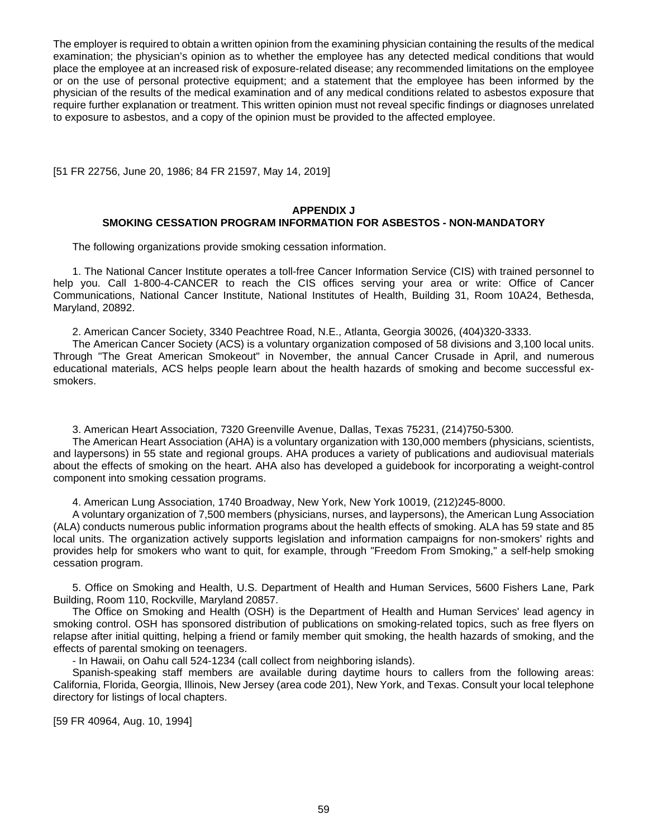The employer is required to obtain a written opinion from the examining physician containing the results of the medical examination; the physician's opinion as to whether the employee has any detected medical conditions that would place the employee at an increased risk of exposure-related disease; any recommended limitations on the employee or on the use of personal protective equipment; and a statement that the employee has been informed by the physician of the results of the medical examination and of any medical conditions related to asbestos exposure that require further explanation or treatment. This written opinion must not reveal specific findings or diagnoses unrelated to exposure to asbestos, and a copy of the opinion must be provided to the affected employee.

[51 FR 22756, June 20, 1986; 84 FR 21597, May 14, 2019]

### **APPENDIX J SMOKING CESSATION PROGRAM INFORMATION FOR ASBESTOS - NON-MANDATORY**

The following organizations provide smoking cessation information.

1. The National Cancer Institute operates a toll-free Cancer Information Service (CIS) with trained personnel to help you. Call 1-800-4-CANCER to reach the CIS offices serving your area or write: Office of Cancer Communications, National Cancer Institute, National Institutes of Health, Building 31, Room 10A24, Bethesda, Maryland, 20892.

2. American Cancer Society, 3340 Peachtree Road, N.E., Atlanta, Georgia 30026, (404)320-3333.

The American Cancer Society (ACS) is a voluntary organization composed of 58 divisions and 3,100 local units. Through "The Great American Smokeout" in November, the annual Cancer Crusade in April, and numerous educational materials, ACS helps people learn about the health hazards of smoking and become successful exsmokers.

3. American Heart Association, 7320 Greenville Avenue, Dallas, Texas 75231, (214)750-5300.

The American Heart Association (AHA) is a voluntary organization with 130,000 members (physicians, scientists, and laypersons) in 55 state and regional groups. AHA produces a variety of publications and audiovisual materials about the effects of smoking on the heart. AHA also has developed a guidebook for incorporating a weight-control component into smoking cessation programs.

4. American Lung Association, 1740 Broadway, New York, New York 10019, (212)245-8000.

A voluntary organization of 7,500 members (physicians, nurses, and laypersons), the American Lung Association (ALA) conducts numerous public information programs about the health effects of smoking. ALA has 59 state and 85 local units. The organization actively supports legislation and information campaigns for non-smokers' rights and provides help for smokers who want to quit, for example, through "Freedom From Smoking," a self-help smoking cessation program.

5. Office on Smoking and Health, U.S. Department of Health and Human Services, 5600 Fishers Lane, Park Building, Room 110, Rockville, Maryland 20857.

The Office on Smoking and Health (OSH) is the Department of Health and Human Services' lead agency in smoking control. OSH has sponsored distribution of publications on smoking-related topics, such as free flyers on relapse after initial quitting, helping a friend or family member quit smoking, the health hazards of smoking, and the effects of parental smoking on teenagers.

- In Hawaii, on Oahu call 524-1234 (call collect from neighboring islands).

Spanish-speaking staff members are available during daytime hours to callers from the following areas: California, Florida, Georgia, Illinois, New Jersey (area code 201), New York, and Texas. Consult your local telephone directory for listings of local chapters.

[59 FR 40964, Aug. 10, 1994]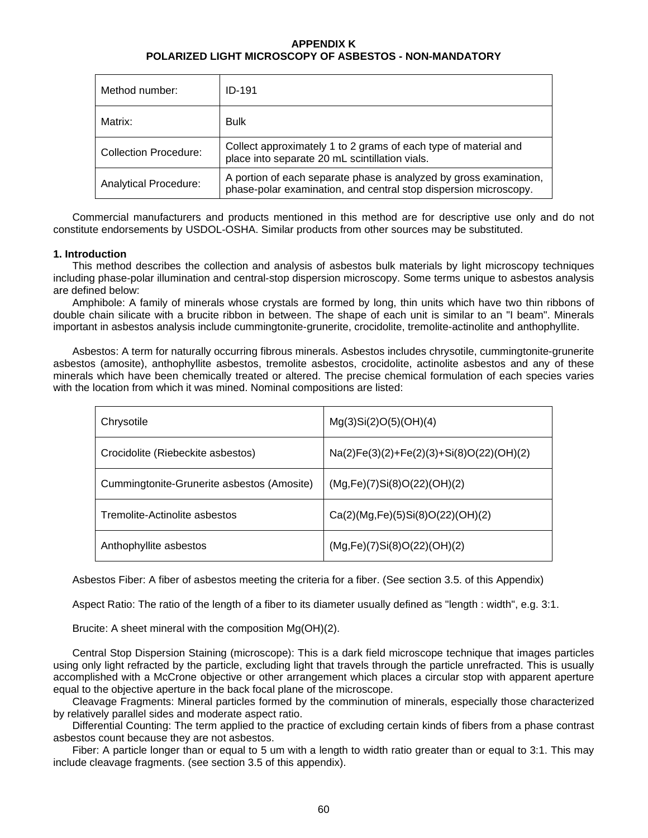# **APPENDIX K POLARIZED LIGHT MICROSCOPY OF ASBESTOS - NON-MANDATORY**

| Method number:               | $ID-191$                                                                                                                               |
|------------------------------|----------------------------------------------------------------------------------------------------------------------------------------|
| Matrix:                      | <b>Bulk</b>                                                                                                                            |
| <b>Collection Procedure:</b> | Collect approximately 1 to 2 grams of each type of material and<br>place into separate 20 mL scintillation vials.                      |
| <b>Analytical Procedure:</b> | A portion of each separate phase is analyzed by gross examination,<br>phase-polar examination, and central stop dispersion microscopy. |

Commercial manufacturers and products mentioned in this method are for descriptive use only and do not constitute endorsements by USDOL-OSHA. Similar products from other sources may be substituted.

## **1. Introduction**

This method describes the collection and analysis of asbestos bulk materials by light microscopy techniques including phase-polar illumination and central-stop dispersion microscopy. Some terms unique to asbestos analysis are defined below:

Amphibole: A family of minerals whose crystals are formed by long, thin units which have two thin ribbons of double chain silicate with a brucite ribbon in between. The shape of each unit is similar to an "I beam". Minerals important in asbestos analysis include cummingtonite-grunerite, crocidolite, tremolite-actinolite and anthophyllite.

Asbestos: A term for naturally occurring fibrous minerals. Asbestos includes chrysotile, cummingtonite-grunerite asbestos (amosite), anthophyllite asbestos, tremolite asbestos, crocidolite, actinolite asbestos and any of these minerals which have been chemically treated or altered. The precise chemical formulation of each species varies with the location from which it was mined. Nominal compositions are listed:

| Chrysotile                                 | Mg(3)Si(2)O(5)(OH)(4)                    |
|--------------------------------------------|------------------------------------------|
| Crocidolite (Riebeckite asbestos)          | Na(2)Fe(3)(2)+Fe(2)(3)+Si(8)O(22)(OH)(2) |
| Cummingtonite-Grunerite asbestos (Amosite) | (Mg, Fe)(7)Si(8)O(22)(OH)(2)             |
| Tremolite-Actinolite asbestos              | Ca(2)(Mg,Fe)(5)Si(8)O(22)(OH)(2)         |
| Anthophyllite asbestos                     | (Mg,Fe)(7)Si(8)O(22)(OH)(2)              |

Asbestos Fiber: A fiber of asbestos meeting the criteria for a fiber. (See section 3.5. of this Appendix)

Aspect Ratio: The ratio of the length of a fiber to its diameter usually defined as "length : width", e.g. 3:1.

Brucite: A sheet mineral with the composition Mg(OH)(2).

Central Stop Dispersion Staining (microscope): This is a dark field microscope technique that images particles using only light refracted by the particle, excluding light that travels through the particle unrefracted. This is usually accomplished with a McCrone objective or other arrangement which places a circular stop with apparent aperture equal to the objective aperture in the back focal plane of the microscope.

Cleavage Fragments: Mineral particles formed by the comminution of minerals, especially those characterized by relatively parallel sides and moderate aspect ratio.

Differential Counting: The term applied to the practice of excluding certain kinds of fibers from a phase contrast asbestos count because they are not asbestos.

Fiber: A particle longer than or equal to 5 um with a length to width ratio greater than or equal to 3:1. This may include cleavage fragments. (see section 3.5 of this appendix).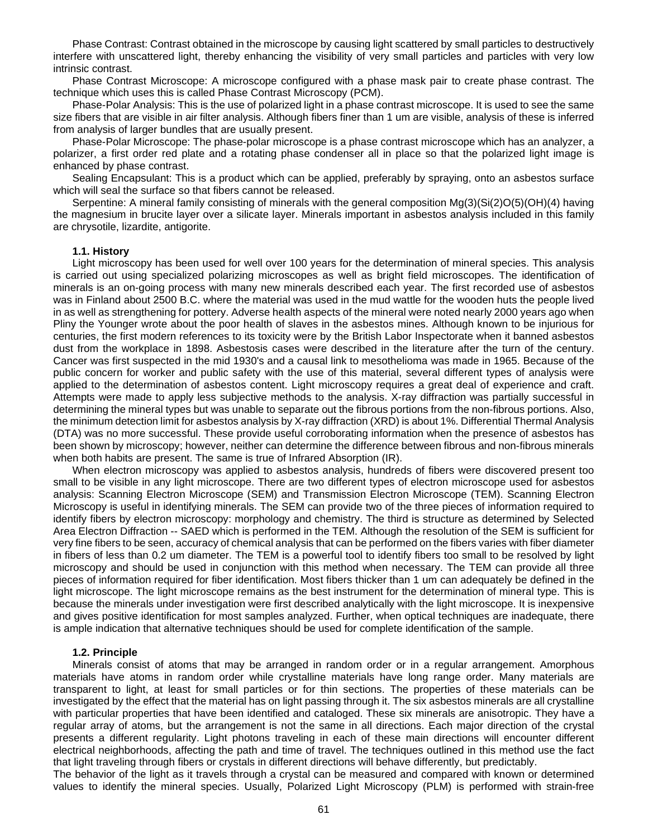Phase Contrast: Contrast obtained in the microscope by causing light scattered by small particles to destructively interfere with unscattered light, thereby enhancing the visibility of very small particles and particles with very low intrinsic contrast.

Phase Contrast Microscope: A microscope configured with a phase mask pair to create phase contrast. The technique which uses this is called Phase Contrast Microscopy (PCM).

Phase-Polar Analysis: This is the use of polarized light in a phase contrast microscope. It is used to see the same size fibers that are visible in air filter analysis. Although fibers finer than 1 um are visible, analysis of these is inferred from analysis of larger bundles that are usually present.

Phase-Polar Microscope: The phase-polar microscope is a phase contrast microscope which has an analyzer, a polarizer, a first order red plate and a rotating phase condenser all in place so that the polarized light image is enhanced by phase contrast.

Sealing Encapsulant: This is a product which can be applied, preferably by spraying, onto an asbestos surface which will seal the surface so that fibers cannot be released.

Serpentine: A mineral family consisting of minerals with the general composition Mg(3)(Si(2)O(5)(OH)(4) having the magnesium in brucite layer over a silicate layer. Minerals important in asbestos analysis included in this family are chrysotile, lizardite, antigorite.

### **1.1. History**

Light microscopy has been used for well over 100 years for the determination of mineral species. This analysis is carried out using specialized polarizing microscopes as well as bright field microscopes. The identification of minerals is an on-going process with many new minerals described each year. The first recorded use of asbestos was in Finland about 2500 B.C. where the material was used in the mud wattle for the wooden huts the people lived in as well as strengthening for pottery. Adverse health aspects of the mineral were noted nearly 2000 years ago when Pliny the Younger wrote about the poor health of slaves in the asbestos mines. Although known to be injurious for centuries, the first modern references to its toxicity were by the British Labor Inspectorate when it banned asbestos dust from the workplace in 1898. Asbestosis cases were described in the literature after the turn of the century. Cancer was first suspected in the mid 1930's and a causal link to mesothelioma was made in 1965. Because of the public concern for worker and public safety with the use of this material, several different types of analysis were applied to the determination of asbestos content. Light microscopy requires a great deal of experience and craft. Attempts were made to apply less subjective methods to the analysis. X-ray diffraction was partially successful in determining the mineral types but was unable to separate out the fibrous portions from the non-fibrous portions. Also, the minimum detection limit for asbestos analysis by X-ray diffraction (XRD) is about 1%. Differential Thermal Analysis (DTA) was no more successful. These provide useful corroborating information when the presence of asbestos has been shown by microscopy; however, neither can determine the difference between fibrous and non-fibrous minerals when both habits are present. The same is true of Infrared Absorption (IR).

When electron microscopy was applied to asbestos analysis, hundreds of fibers were discovered present too small to be visible in any light microscope. There are two different types of electron microscope used for asbestos analysis: Scanning Electron Microscope (SEM) and Transmission Electron Microscope (TEM). Scanning Electron Microscopy is useful in identifying minerals. The SEM can provide two of the three pieces of information required to identify fibers by electron microscopy: morphology and chemistry. The third is structure as determined by Selected Area Electron Diffraction -- SAED which is performed in the TEM. Although the resolution of the SEM is sufficient for very fine fibers to be seen, accuracy of chemical analysis that can be performed on the fibers varies with fiber diameter in fibers of less than 0.2 um diameter. The TEM is a powerful tool to identify fibers too small to be resolved by light microscopy and should be used in conjunction with this method when necessary. The TEM can provide all three pieces of information required for fiber identification. Most fibers thicker than 1 um can adequately be defined in the light microscope. The light microscope remains as the best instrument for the determination of mineral type. This is because the minerals under investigation were first described analytically with the light microscope. It is inexpensive and gives positive identification for most samples analyzed. Further, when optical techniques are inadequate, there is ample indication that alternative techniques should be used for complete identification of the sample.

#### **1.2. Principle**

Minerals consist of atoms that may be arranged in random order or in a regular arrangement. Amorphous materials have atoms in random order while crystalline materials have long range order. Many materials are transparent to light, at least for small particles or for thin sections. The properties of these materials can be investigated by the effect that the material has on light passing through it. The six asbestos minerals are all crystalline with particular properties that have been identified and cataloged. These six minerals are anisotropic. They have a regular array of atoms, but the arrangement is not the same in all directions. Each major direction of the crystal presents a different regularity. Light photons traveling in each of these main directions will encounter different electrical neighborhoods, affecting the path and time of travel. The techniques outlined in this method use the fact that light traveling through fibers or crystals in different directions will behave differently, but predictably.

The behavior of the light as it travels through a crystal can be measured and compared with known or determined values to identify the mineral species. Usually, Polarized Light Microscopy (PLM) is performed with strain-free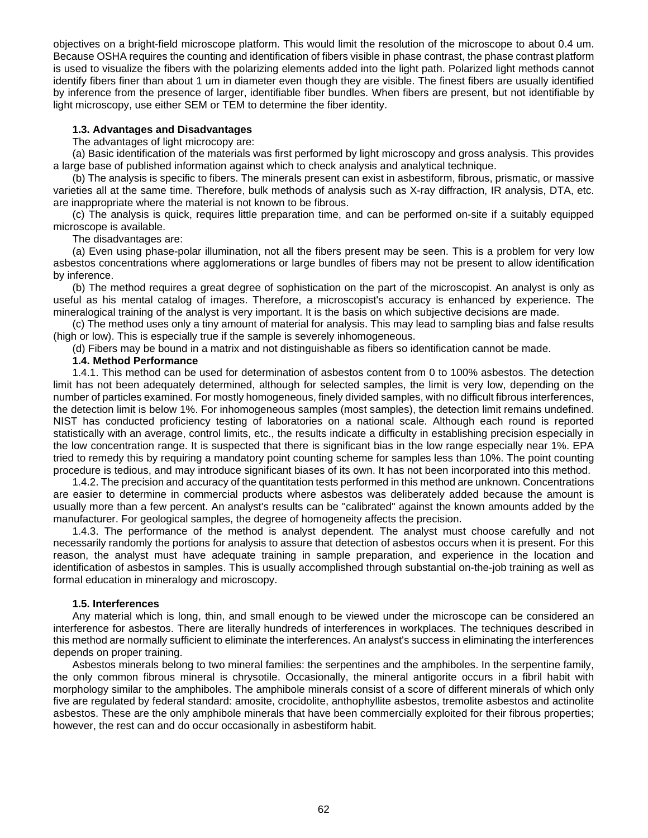objectives on a bright-field microscope platform. This would limit the resolution of the microscope to about 0.4 um. Because OSHA requires the counting and identification of fibers visible in phase contrast, the phase contrast platform is used to visualize the fibers with the polarizing elements added into the light path. Polarized light methods cannot identify fibers finer than about 1 um in diameter even though they are visible. The finest fibers are usually identified by inference from the presence of larger, identifiable fiber bundles. When fibers are present, but not identifiable by light microscopy, use either SEM or TEM to determine the fiber identity.

## **1.3. Advantages and Disadvantages**

The advantages of light microcopy are:

(a) Basic identification of the materials was first performed by light microscopy and gross analysis. This provides a large base of published information against which to check analysis and analytical technique.

(b) The analysis is specific to fibers. The minerals present can exist in asbestiform, fibrous, prismatic, or massive varieties all at the same time. Therefore, bulk methods of analysis such as X-ray diffraction, IR analysis, DTA, etc. are inappropriate where the material is not known to be fibrous.

(c) The analysis is quick, requires little preparation time, and can be performed on-site if a suitably equipped microscope is available.

The disadvantages are:

(a) Even using phase-polar illumination, not all the fibers present may be seen. This is a problem for very low asbestos concentrations where agglomerations or large bundles of fibers may not be present to allow identification by inference.

(b) The method requires a great degree of sophistication on the part of the microscopist. An analyst is only as useful as his mental catalog of images. Therefore, a microscopist's accuracy is enhanced by experience. The mineralogical training of the analyst is very important. It is the basis on which subjective decisions are made.

(c) The method uses only a tiny amount of material for analysis. This may lead to sampling bias and false results (high or low). This is especially true if the sample is severely inhomogeneous.

(d) Fibers may be bound in a matrix and not distinguishable as fibers so identification cannot be made.

### **1.4. Method Performance**

1.4.1. This method can be used for determination of asbestos content from 0 to 100% asbestos. The detection limit has not been adequately determined, although for selected samples, the limit is very low, depending on the number of particles examined. For mostly homogeneous, finely divided samples, with no difficult fibrous interferences, the detection limit is below 1%. For inhomogeneous samples (most samples), the detection limit remains undefined. NIST has conducted proficiency testing of laboratories on a national scale. Although each round is reported statistically with an average, control limits, etc., the results indicate a difficulty in establishing precision especially in the low concentration range. It is suspected that there is significant bias in the low range especially near 1%. EPA tried to remedy this by requiring a mandatory point counting scheme for samples less than 10%. The point counting procedure is tedious, and may introduce significant biases of its own. It has not been incorporated into this method.

1.4.2. The precision and accuracy of the quantitation tests performed in this method are unknown. Concentrations are easier to determine in commercial products where asbestos was deliberately added because the amount is usually more than a few percent. An analyst's results can be "calibrated" against the known amounts added by the manufacturer. For geological samples, the degree of homogeneity affects the precision.

1.4.3. The performance of the method is analyst dependent. The analyst must choose carefully and not necessarily randomly the portions for analysis to assure that detection of asbestos occurs when it is present. For this reason, the analyst must have adequate training in sample preparation, and experience in the location and identification of asbestos in samples. This is usually accomplished through substantial on-the-job training as well as formal education in mineralogy and microscopy.

### **1.5. Interferences**

Any material which is long, thin, and small enough to be viewed under the microscope can be considered an interference for asbestos. There are literally hundreds of interferences in workplaces. The techniques described in this method are normally sufficient to eliminate the interferences. An analyst's success in eliminating the interferences depends on proper training.

Asbestos minerals belong to two mineral families: the serpentines and the amphiboles. In the serpentine family, the only common fibrous mineral is chrysotile. Occasionally, the mineral antigorite occurs in a fibril habit with morphology similar to the amphiboles. The amphibole minerals consist of a score of different minerals of which only five are regulated by federal standard: amosite, crocidolite, anthophyllite asbestos, tremolite asbestos and actinolite asbestos. These are the only amphibole minerals that have been commercially exploited for their fibrous properties; however, the rest can and do occur occasionally in asbestiform habit.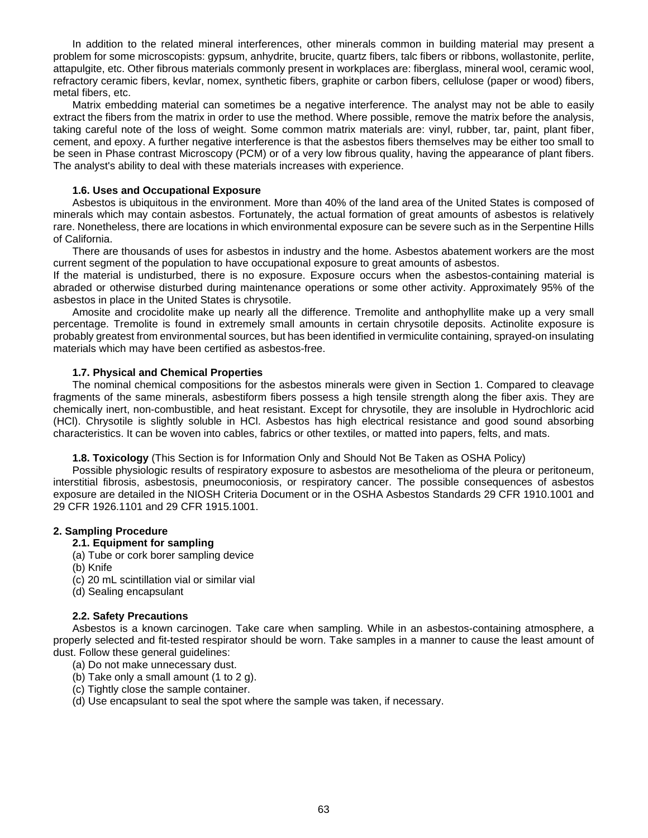In addition to the related mineral interferences, other minerals common in building material may present a problem for some microscopists: gypsum, anhydrite, brucite, quartz fibers, talc fibers or ribbons, wollastonite, perlite, attapulgite, etc. Other fibrous materials commonly present in workplaces are: fiberglass, mineral wool, ceramic wool, refractory ceramic fibers, kevlar, nomex, synthetic fibers, graphite or carbon fibers, cellulose (paper or wood) fibers, metal fibers, etc.

Matrix embedding material can sometimes be a negative interference. The analyst may not be able to easily extract the fibers from the matrix in order to use the method. Where possible, remove the matrix before the analysis, taking careful note of the loss of weight. Some common matrix materials are: vinyl, rubber, tar, paint, plant fiber, cement, and epoxy. A further negative interference is that the asbestos fibers themselves may be either too small to be seen in Phase contrast Microscopy (PCM) or of a very low fibrous quality, having the appearance of plant fibers. The analyst's ability to deal with these materials increases with experience.

# **1.6. Uses and Occupational Exposure**

Asbestos is ubiquitous in the environment. More than 40% of the land area of the United States is composed of minerals which may contain asbestos. Fortunately, the actual formation of great amounts of asbestos is relatively rare. Nonetheless, there are locations in which environmental exposure can be severe such as in the Serpentine Hills of California.

There are thousands of uses for asbestos in industry and the home. Asbestos abatement workers are the most current segment of the population to have occupational exposure to great amounts of asbestos.

If the material is undisturbed, there is no exposure. Exposure occurs when the asbestos-containing material is abraded or otherwise disturbed during maintenance operations or some other activity. Approximately 95% of the asbestos in place in the United States is chrysotile.

Amosite and crocidolite make up nearly all the difference. Tremolite and anthophyllite make up a very small percentage. Tremolite is found in extremely small amounts in certain chrysotile deposits. Actinolite exposure is probably greatest from environmental sources, but has been identified in vermiculite containing, sprayed-on insulating materials which may have been certified as asbestos-free.

# **1.7. Physical and Chemical Properties**

The nominal chemical compositions for the asbestos minerals were given in Section 1. Compared to cleavage fragments of the same minerals, asbestiform fibers possess a high tensile strength along the fiber axis. They are chemically inert, non-combustible, and heat resistant. Except for chrysotile, they are insoluble in Hydrochloric acid (HCl). Chrysotile is slightly soluble in HCl. Asbestos has high electrical resistance and good sound absorbing characteristics. It can be woven into cables, fabrics or other textiles, or matted into papers, felts, and mats.

## **1.8. Toxicology** (This Section is for Information Only and Should Not Be Taken as OSHA Policy)

Possible physiologic results of respiratory exposure to asbestos are mesothelioma of the pleura or peritoneum, interstitial fibrosis, asbestosis, pneumoconiosis, or respiratory cancer. The possible consequences of asbestos exposure are detailed in the NIOSH Criteria Document or in the OSHA Asbestos Standards 29 CFR 1910.1001 and 29 CFR 1926.1101 and 29 CFR 1915.1001.

## **2. Sampling Procedure**

# **2.1. Equipment for sampling**

- (a) Tube or cork borer sampling device
- (b) Knife
- (c) 20 mL scintillation vial or similar vial
- (d) Sealing encapsulant

## **2.2. Safety Precautions**

Asbestos is a known carcinogen. Take care when sampling. While in an asbestos-containing atmosphere, a properly selected and fit-tested respirator should be worn. Take samples in a manner to cause the least amount of dust. Follow these general guidelines:

- (a) Do not make unnecessary dust.
- (b) Take only a small amount (1 to 2 g).
- (c) Tightly close the sample container.
- (d) Use encapsulant to seal the spot where the sample was taken, if necessary.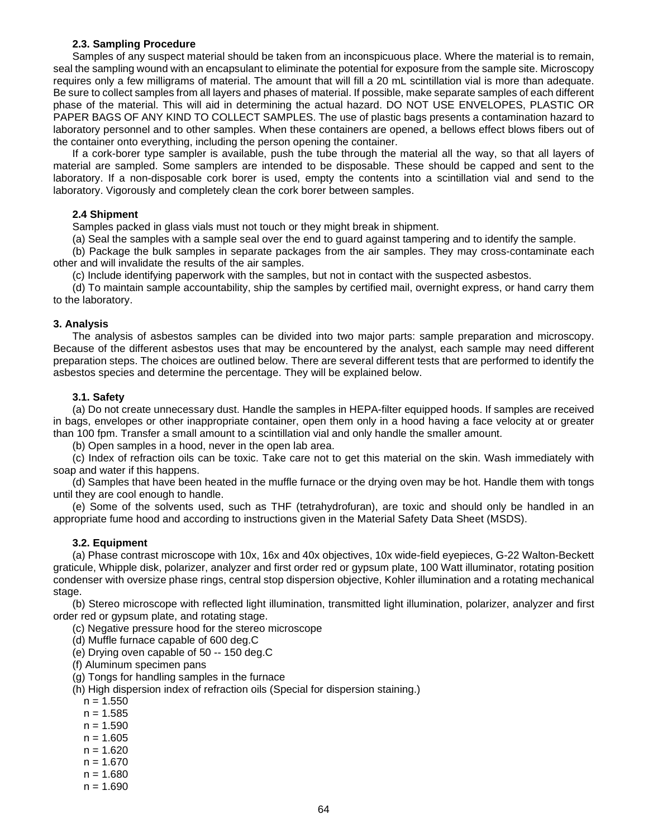# **2.3. Sampling Procedure**

Samples of any suspect material should be taken from an inconspicuous place. Where the material is to remain, seal the sampling wound with an encapsulant to eliminate the potential for exposure from the sample site. Microscopy requires only a few milligrams of material. The amount that will fill a 20 mL scintillation vial is more than adequate. Be sure to collect samples from all layers and phases of material. If possible, make separate samples of each different phase of the material. This will aid in determining the actual hazard. DO NOT USE ENVELOPES, PLASTIC OR PAPER BAGS OF ANY KIND TO COLLECT SAMPLES. The use of plastic bags presents a contamination hazard to laboratory personnel and to other samples. When these containers are opened, a bellows effect blows fibers out of the container onto everything, including the person opening the container.

If a cork-borer type sampler is available, push the tube through the material all the way, so that all layers of material are sampled. Some samplers are intended to be disposable. These should be capped and sent to the laboratory. If a non-disposable cork borer is used, empty the contents into a scintillation vial and send to the laboratory. Vigorously and completely clean the cork borer between samples.

# **2.4 Shipment**

Samples packed in glass vials must not touch or they might break in shipment.

(a) Seal the samples with a sample seal over the end to guard against tampering and to identify the sample.

(b) Package the bulk samples in separate packages from the air samples. They may cross-contaminate each other and will invalidate the results of the air samples.

(c) Include identifying paperwork with the samples, but not in contact with the suspected asbestos.

(d) To maintain sample accountability, ship the samples by certified mail, overnight express, or hand carry them to the laboratory.

## **3. Analysis**

The analysis of asbestos samples can be divided into two major parts: sample preparation and microscopy. Because of the different asbestos uses that may be encountered by the analyst, each sample may need different preparation steps. The choices are outlined below. There are several different tests that are performed to identify the asbestos species and determine the percentage. They will be explained below.

# **3.1. Safety**

(a) Do not create unnecessary dust. Handle the samples in HEPA-filter equipped hoods. If samples are received in bags, envelopes or other inappropriate container, open them only in a hood having a face velocity at or greater than 100 fpm. Transfer a small amount to a scintillation vial and only handle the smaller amount.

(b) Open samples in a hood, never in the open lab area.

(c) Index of refraction oils can be toxic. Take care not to get this material on the skin. Wash immediately with soap and water if this happens.

(d) Samples that have been heated in the muffle furnace or the drying oven may be hot. Handle them with tongs until they are cool enough to handle.

(e) Some of the solvents used, such as THF (tetrahydrofuran), are toxic and should only be handled in an appropriate fume hood and according to instructions given in the Material Safety Data Sheet (MSDS).

# **3.2. Equipment**

(a) Phase contrast microscope with 10x, 16x and 40x objectives, 10x wide-field eyepieces, G-22 Walton-Beckett graticule, Whipple disk, polarizer, analyzer and first order red or gypsum plate, 100 Watt illuminator, rotating position condenser with oversize phase rings, central stop dispersion objective, Kohler illumination and a rotating mechanical stage.

(b) Stereo microscope with reflected light illumination, transmitted light illumination, polarizer, analyzer and first order red or gypsum plate, and rotating stage.

(c) Negative pressure hood for the stereo microscope

(d) Muffle furnace capable of 600 deg.C

(e) Drying oven capable of 50 -- 150 deg.C

(f) Aluminum specimen pans

(g) Tongs for handling samples in the furnace

(h) High dispersion index of refraction oils (Special for dispersion staining.)

 $n = 1.550$ 

 $n = 1.585$ 

 $n = 1.590$ 

- $n = 1.605$
- $n = 1.620$
- $n = 1.670$
- $n = 1.680$
- $n = 1.690$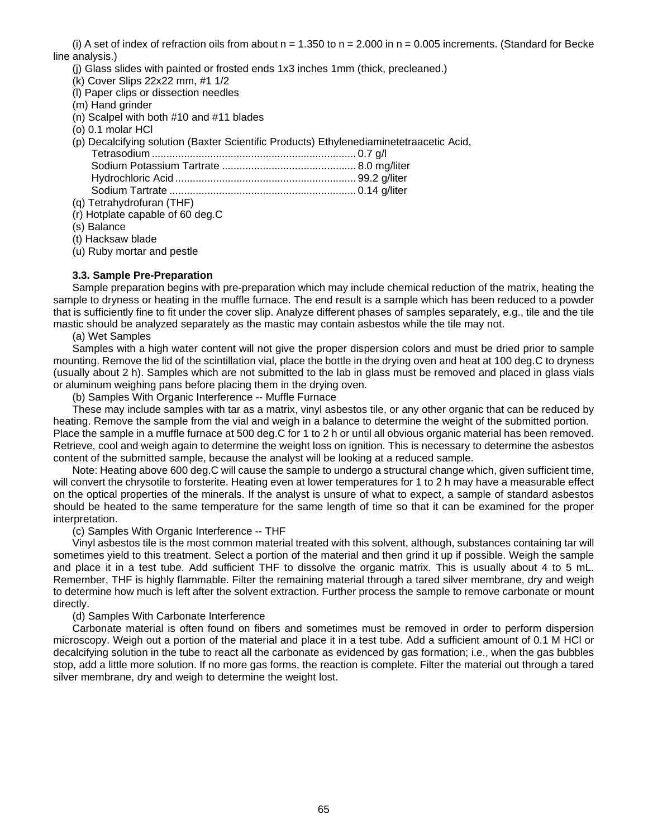(i) A set of index of refraction oils from about  $n = 1.350$  to  $n = 2.000$  in  $n = 0.005$  increments. (Standard for Becke line analysis.)

- (j) Glass slides with painted or frosted ends 1x3 inches 1mm (thick, precleaned.)
- (k) Cover Slips 22x22 mm, #1 1/2
- (l) Paper clips or dissection needles
- (m) Hand grinder
- (n) Scalpel with both #10 and #11 blades
- (o) 0.1 molar HCl
- (p) Decalcifying solution (Baxter Scientific Products) Ethylenediaminetetraacetic Acid,

(q) Tetrahydrofuran (THF)

(r) Hotplate capable of 60 deg.C

(s) Balance

(t) Hacksaw blade

(u) Ruby mortar and pestle

#### **3.3. Sample Pre-Preparation**

Sample preparation begins with pre-preparation which may include chemical reduction of the matrix, heating the sample to dryness or heating in the muffle furnace. The end result is a sample which has been reduced to a powder that is sufficiently fine to fit under the cover slip. Analyze different phases of samples separately, e.g., tile and the tile mastic should be analyzed separately as the mastic may contain asbestos while the tile may not.

(a) Wet Samples

Samples with a high water content will not give the proper dispersion colors and must be dried prior to sample mounting. Remove the lid of the scintillation vial, place the bottle in the drying oven and heat at 100 deg.C to dryness (usually about 2 h). Samples which are not submitted to the lab in glass must be removed and placed in glass vials or aluminum weighing pans before placing them in the drying oven.

(b) Samples With Organic Interference -- Muffle Furnace

These may include samples with tar as a matrix, vinyl asbestos tile, or any other organic that can be reduced by heating. Remove the sample from the vial and weigh in a balance to determine the weight of the submitted portion. Place the sample in a muffle furnace at 500 deg.C for 1 to 2 h or until all obvious organic material has been removed. Retrieve, cool and weigh again to determine the weight loss on ignition. This is necessary to determine the asbestos content of the submitted sample, because the analyst will be looking at a reduced sample.

Note: Heating above 600 deg.C will cause the sample to undergo a structural change which, given sufficient time, will convert the chrysotile to forsterite. Heating even at lower temperatures for 1 to 2 h may have a measurable effect on the optical properties of the minerals. If the analyst is unsure of what to expect, a sample of standard asbestos should be heated to the same temperature for the same length of time so that it can be examined for the proper interpretation.

(c) Samples With Organic Interference -- THF

Vinyl asbestos tile is the most common material treated with this solvent, although, substances containing tar will sometimes yield to this treatment. Select a portion of the material and then grind it up if possible. Weigh the sample and place it in a test tube. Add sufficient THF to dissolve the organic matrix. This is usually about 4 to 5 mL. Remember, THF is highly flammable. Filter the remaining material through a tared silver membrane, dry and weigh to determine how much is left after the solvent extraction. Further process the sample to remove carbonate or mount directly.

(d) Samples With Carbonate Interference

Carbonate material is often found on fibers and sometimes must be removed in order to perform dispersion microscopy. Weigh out a portion of the material and place it in a test tube. Add a sufficient amount of 0.1 M HCl or decalcifying solution in the tube to react all the carbonate as evidenced by gas formation; i.e., when the gas bubbles stop, add a little more solution. If no more gas forms, the reaction is complete. Filter the material out through a tared silver membrane, dry and weigh to determine the weight lost.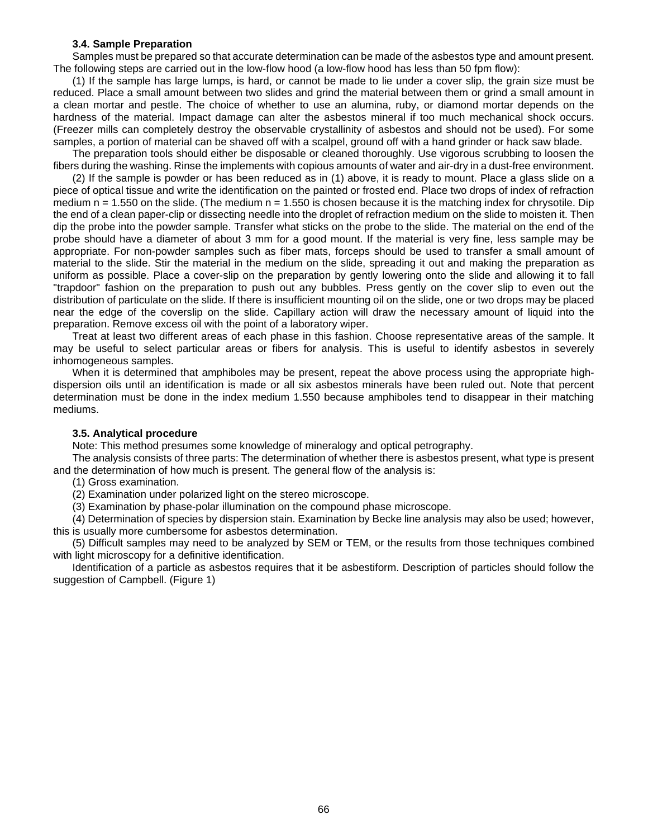### **3.4. Sample Preparation**

Samples must be prepared so that accurate determination can be made of the asbestos type and amount present. The following steps are carried out in the low-flow hood (a low-flow hood has less than 50 fpm flow):

(1) If the sample has large lumps, is hard, or cannot be made to lie under a cover slip, the grain size must be reduced. Place a small amount between two slides and grind the material between them or grind a small amount in a clean mortar and pestle. The choice of whether to use an alumina, ruby, or diamond mortar depends on the hardness of the material. Impact damage can alter the asbestos mineral if too much mechanical shock occurs. (Freezer mills can completely destroy the observable crystallinity of asbestos and should not be used). For some samples, a portion of material can be shaved off with a scalpel, ground off with a hand grinder or hack saw blade.

The preparation tools should either be disposable or cleaned thoroughly. Use vigorous scrubbing to loosen the fibers during the washing. Rinse the implements with copious amounts of water and air-dry in a dust-free environment.

(2) If the sample is powder or has been reduced as in (1) above, it is ready to mount. Place a glass slide on a piece of optical tissue and write the identification on the painted or frosted end. Place two drops of index of refraction medium  $n = 1.550$  on the slide. (The medium  $n = 1.550$  is chosen because it is the matching index for chrysotile. Dip the end of a clean paper-clip or dissecting needle into the droplet of refraction medium on the slide to moisten it. Then dip the probe into the powder sample. Transfer what sticks on the probe to the slide. The material on the end of the probe should have a diameter of about 3 mm for a good mount. If the material is very fine, less sample may be appropriate. For non-powder samples such as fiber mats, forceps should be used to transfer a small amount of material to the slide. Stir the material in the medium on the slide, spreading it out and making the preparation as uniform as possible. Place a cover-slip on the preparation by gently lowering onto the slide and allowing it to fall "trapdoor" fashion on the preparation to push out any bubbles. Press gently on the cover slip to even out the distribution of particulate on the slide. If there is insufficient mounting oil on the slide, one or two drops may be placed near the edge of the coverslip on the slide. Capillary action will draw the necessary amount of liquid into the preparation. Remove excess oil with the point of a laboratory wiper.

Treat at least two different areas of each phase in this fashion. Choose representative areas of the sample. It may be useful to select particular areas or fibers for analysis. This is useful to identify asbestos in severely inhomogeneous samples.

When it is determined that amphiboles may be present, repeat the above process using the appropriate highdispersion oils until an identification is made or all six asbestos minerals have been ruled out. Note that percent determination must be done in the index medium 1.550 because amphiboles tend to disappear in their matching mediums.

## **3.5. Analytical procedure**

Note: This method presumes some knowledge of mineralogy and optical petrography.

The analysis consists of three parts: The determination of whether there is asbestos present, what type is present and the determination of how much is present. The general flow of the analysis is:

(1) Gross examination.

(2) Examination under polarized light on the stereo microscope.

(3) Examination by phase-polar illumination on the compound phase microscope.

(4) Determination of species by dispersion stain. Examination by Becke line analysis may also be used; however, this is usually more cumbersome for asbestos determination.

(5) Difficult samples may need to be analyzed by SEM or TEM, or the results from those techniques combined with light microscopy for a definitive identification.

Identification of a particle as asbestos requires that it be asbestiform. Description of particles should follow the suggestion of Campbell. (Figure 1)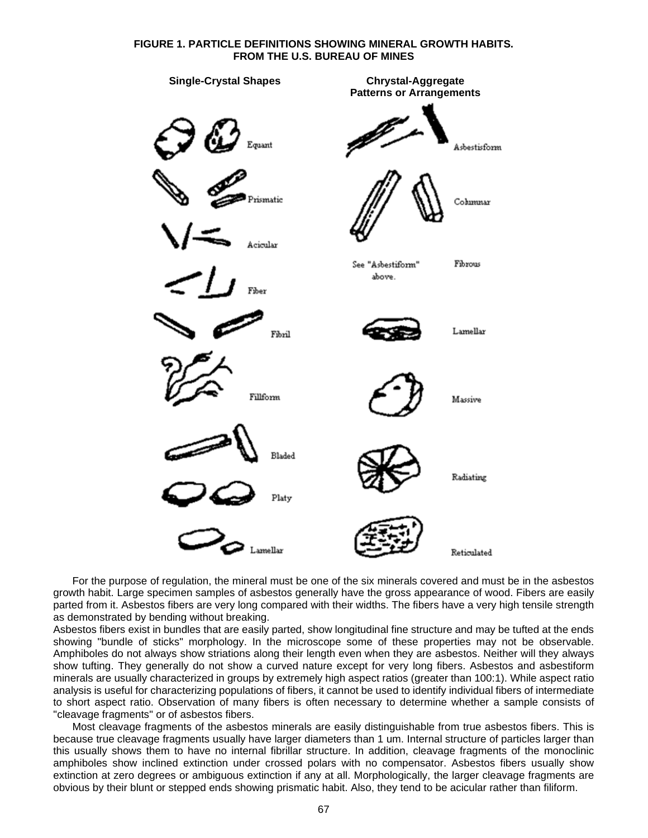### **FIGURE 1. PARTICLE DEFINITIONS SHOWING MINERAL GROWTH HABITS. FROM THE U.S. BUREAU OF MINES**



For the purpose of regulation, the mineral must be one of the six minerals covered and must be in the asbestos growth habit. Large specimen samples of asbestos generally have the gross appearance of wood. Fibers are easily parted from it. Asbestos fibers are very long compared with their widths. The fibers have a very high tensile strength as demonstrated by bending without breaking.

Asbestos fibers exist in bundles that are easily parted, show longitudinal fine structure and may be tufted at the ends showing "bundle of sticks" morphology. In the microscope some of these properties may not be observable. Amphiboles do not always show striations along their length even when they are asbestos. Neither will they always show tufting. They generally do not show a curved nature except for very long fibers. Asbestos and asbestiform minerals are usually characterized in groups by extremely high aspect ratios (greater than 100:1). While aspect ratio analysis is useful for characterizing populations of fibers, it cannot be used to identify individual fibers of intermediate to short aspect ratio. Observation of many fibers is often necessary to determine whether a sample consists of "cleavage fragments" or of asbestos fibers.

Most cleavage fragments of the asbestos minerals are easily distinguishable from true asbestos fibers. This is because true cleavage fragments usually have larger diameters than 1 um. Internal structure of particles larger than this usually shows them to have no internal fibrillar structure. In addition, cleavage fragments of the monoclinic amphiboles show inclined extinction under crossed polars with no compensator. Asbestos fibers usually show extinction at zero degrees or ambiguous extinction if any at all. Morphologically, the larger cleavage fragments are obvious by their blunt or stepped ends showing prismatic habit. Also, they tend to be acicular rather than filiform.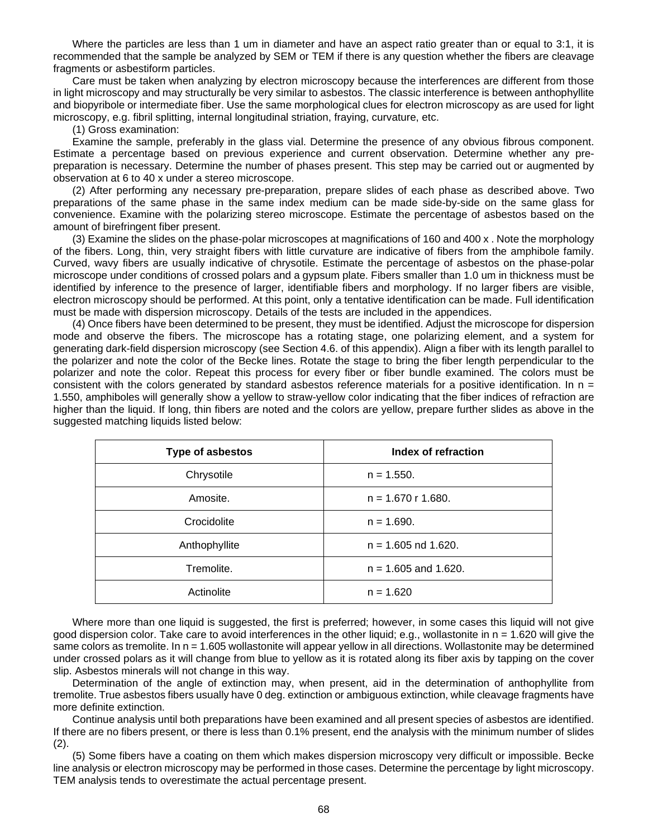Where the particles are less than 1 um in diameter and have an aspect ratio greater than or equal to 3:1, it is recommended that the sample be analyzed by SEM or TEM if there is any question whether the fibers are cleavage fragments or asbestiform particles.

Care must be taken when analyzing by electron microscopy because the interferences are different from those in light microscopy and may structurally be very similar to asbestos. The classic interference is between anthophyllite and biopyribole or intermediate fiber. Use the same morphological clues for electron microscopy as are used for light microscopy, e.g. fibril splitting, internal longitudinal striation, fraying, curvature, etc.

(1) Gross examination:

Examine the sample, preferably in the glass vial. Determine the presence of any obvious fibrous component. Estimate a percentage based on previous experience and current observation. Determine whether any prepreparation is necessary. Determine the number of phases present. This step may be carried out or augmented by observation at 6 to 40 x under a stereo microscope.

(2) After performing any necessary pre-preparation, prepare slides of each phase as described above. Two preparations of the same phase in the same index medium can be made side-by-side on the same glass for convenience. Examine with the polarizing stereo microscope. Estimate the percentage of asbestos based on the amount of birefringent fiber present.

(3) Examine the slides on the phase-polar microscopes at magnifications of 160 and 400 x . Note the morphology of the fibers. Long, thin, very straight fibers with little curvature are indicative of fibers from the amphibole family. Curved, wavy fibers are usually indicative of chrysotile. Estimate the percentage of asbestos on the phase-polar microscope under conditions of crossed polars and a gypsum plate. Fibers smaller than 1.0 um in thickness must be identified by inference to the presence of larger, identifiable fibers and morphology. If no larger fibers are visible, electron microscopy should be performed. At this point, only a tentative identification can be made. Full identification must be made with dispersion microscopy. Details of the tests are included in the appendices.

(4) Once fibers have been determined to be present, they must be identified. Adjust the microscope for dispersion mode and observe the fibers. The microscope has a rotating stage, one polarizing element, and a system for generating dark-field dispersion microscopy (see Section 4.6. of this appendix). Align a fiber with its length parallel to the polarizer and note the color of the Becke lines. Rotate the stage to bring the fiber length perpendicular to the polarizer and note the color. Repeat this process for every fiber or fiber bundle examined. The colors must be consistent with the colors generated by standard asbestos reference materials for a positive identification. In  $n =$ 1.550, amphiboles will generally show a yellow to straw-yellow color indicating that the fiber indices of refraction are higher than the liquid. If long, thin fibers are noted and the colors are yellow, prepare further slides as above in the suggested matching liquids listed below:

| <b>Type of asbestos</b> | Index of refraction    |
|-------------------------|------------------------|
| Chrysotile              | $n = 1.550$ .          |
| Amosite.                | $n = 1.670$ r 1.680.   |
| Crocidolite             | $n = 1.690$ .          |
| Anthophyllite           | $n = 1.605$ nd 1.620.  |
| Tremolite.              | $n = 1.605$ and 1.620. |
| Actinolite              | $n = 1.620$            |

Where more than one liquid is suggested, the first is preferred; however, in some cases this liquid will not give good dispersion color. Take care to avoid interferences in the other liquid; e.g., wollastonite in n = 1.620 will give the same colors as tremolite. In n = 1.605 wollastonite will appear yellow in all directions. Wollastonite may be determined under crossed polars as it will change from blue to yellow as it is rotated along its fiber axis by tapping on the cover slip. Asbestos minerals will not change in this way.

Determination of the angle of extinction may, when present, aid in the determination of anthophyllite from tremolite. True asbestos fibers usually have 0 deg. extinction or ambiguous extinction, while cleavage fragments have more definite extinction.

Continue analysis until both preparations have been examined and all present species of asbestos are identified. If there are no fibers present, or there is less than 0.1% present, end the analysis with the minimum number of slides  $(2).$ 

(5) Some fibers have a coating on them which makes dispersion microscopy very difficult or impossible. Becke line analysis or electron microscopy may be performed in those cases. Determine the percentage by light microscopy. TEM analysis tends to overestimate the actual percentage present.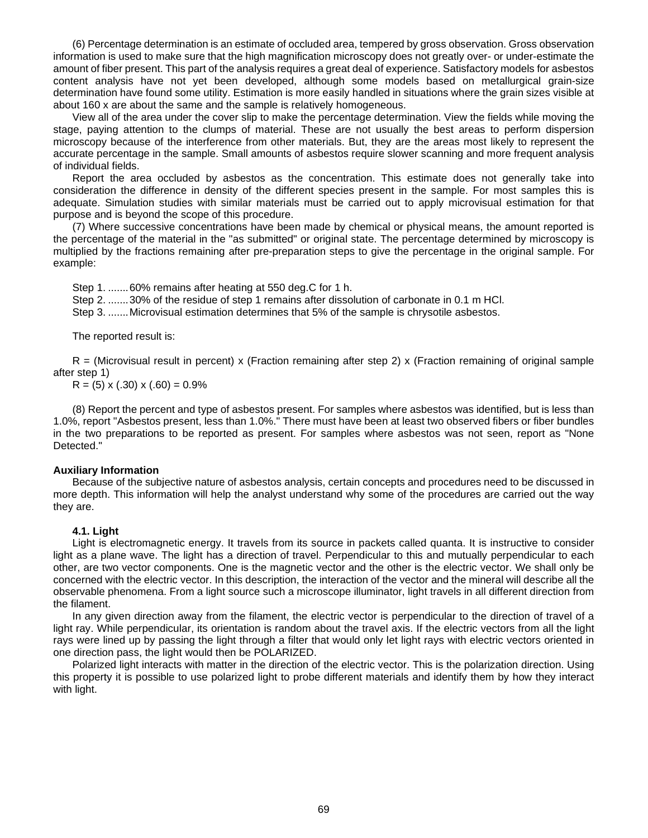(6) Percentage determination is an estimate of occluded area, tempered by gross observation. Gross observation information is used to make sure that the high magnification microscopy does not greatly over- or under-estimate the amount of fiber present. This part of the analysis requires a great deal of experience. Satisfactory models for asbestos content analysis have not yet been developed, although some models based on metallurgical grain-size determination have found some utility. Estimation is more easily handled in situations where the grain sizes visible at about 160 x are about the same and the sample is relatively homogeneous.

View all of the area under the cover slip to make the percentage determination. View the fields while moving the stage, paying attention to the clumps of material. These are not usually the best areas to perform dispersion microscopy because of the interference from other materials. But, they are the areas most likely to represent the accurate percentage in the sample. Small amounts of asbestos require slower scanning and more frequent analysis of individual fields.

Report the area occluded by asbestos as the concentration. This estimate does not generally take into consideration the difference in density of the different species present in the sample. For most samples this is adequate. Simulation studies with similar materials must be carried out to apply microvisual estimation for that purpose and is beyond the scope of this procedure.

(7) Where successive concentrations have been made by chemical or physical means, the amount reported is the percentage of the material in the "as submitted" or original state. The percentage determined by microscopy is multiplied by the fractions remaining after pre-preparation steps to give the percentage in the original sample. For example:

Step 1. ....... 60% remains after heating at 550 deg.C for 1 h.

Step 2. ....... 30% of the residue of step 1 remains after dissolution of carbonate in 0.1 m HCl.

Step 3. ....... Microvisual estimation determines that 5% of the sample is chrysotile asbestos.

The reported result is:

 $R =$  (Microvisual result in percent) x (Fraction remaining after step 2) x (Fraction remaining of original sample after step 1)

 $R = (5) \times (.30) \times (.60) = 0.9\%$ 

(8) Report the percent and type of asbestos present. For samples where asbestos was identified, but is less than 1.0%, report "Asbestos present, less than 1.0%." There must have been at least two observed fibers or fiber bundles in the two preparations to be reported as present. For samples where asbestos was not seen, report as "None Detected."

## **Auxiliary Information**

Because of the subjective nature of asbestos analysis, certain concepts and procedures need to be discussed in more depth. This information will help the analyst understand why some of the procedures are carried out the way they are.

## **4.1. Light**

Light is electromagnetic energy. It travels from its source in packets called quanta. It is instructive to consider light as a plane wave. The light has a direction of travel. Perpendicular to this and mutually perpendicular to each other, are two vector components. One is the magnetic vector and the other is the electric vector. We shall only be concerned with the electric vector. In this description, the interaction of the vector and the mineral will describe all the observable phenomena. From a light source such a microscope illuminator, light travels in all different direction from the filament.

In any given direction away from the filament, the electric vector is perpendicular to the direction of travel of a light ray. While perpendicular, its orientation is random about the travel axis. If the electric vectors from all the light rays were lined up by passing the light through a filter that would only let light rays with electric vectors oriented in one direction pass, the light would then be POLARIZED.

Polarized light interacts with matter in the direction of the electric vector. This is the polarization direction. Using this property it is possible to use polarized light to probe different materials and identify them by how they interact with light.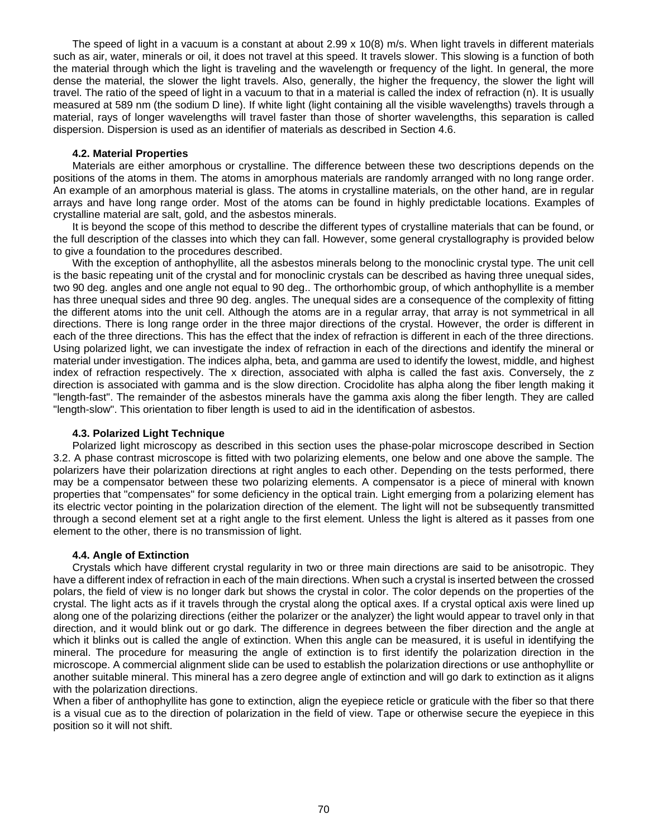The speed of light in a vacuum is a constant at about 2.99 x 10(8) m/s. When light travels in different materials such as air, water, minerals or oil, it does not travel at this speed. It travels slower. This slowing is a function of both the material through which the light is traveling and the wavelength or frequency of the light. In general, the more dense the material, the slower the light travels. Also, generally, the higher the frequency, the slower the light will travel. The ratio of the speed of light in a vacuum to that in a material is called the index of refraction (n). It is usually measured at 589 nm (the sodium D line). If white light (light containing all the visible wavelengths) travels through a material, rays of longer wavelengths will travel faster than those of shorter wavelengths, this separation is called dispersion. Dispersion is used as an identifier of materials as described in Section 4.6.

## **4.2. Material Properties**

Materials are either amorphous or crystalline. The difference between these two descriptions depends on the positions of the atoms in them. The atoms in amorphous materials are randomly arranged with no long range order. An example of an amorphous material is glass. The atoms in crystalline materials, on the other hand, are in regular arrays and have long range order. Most of the atoms can be found in highly predictable locations. Examples of crystalline material are salt, gold, and the asbestos minerals.

It is beyond the scope of this method to describe the different types of crystalline materials that can be found, or the full description of the classes into which they can fall. However, some general crystallography is provided below to give a foundation to the procedures described.

With the exception of anthophyllite, all the asbestos minerals belong to the monoclinic crystal type. The unit cell is the basic repeating unit of the crystal and for monoclinic crystals can be described as having three unequal sides, two 90 deg. angles and one angle not equal to 90 deg.. The orthorhombic group, of which anthophyllite is a member has three unequal sides and three 90 deg. angles. The unequal sides are a consequence of the complexity of fitting the different atoms into the unit cell. Although the atoms are in a regular array, that array is not symmetrical in all directions. There is long range order in the three major directions of the crystal. However, the order is different in each of the three directions. This has the effect that the index of refraction is different in each of the three directions. Using polarized light, we can investigate the index of refraction in each of the directions and identify the mineral or material under investigation. The indices alpha, beta, and gamma are used to identify the lowest, middle, and highest index of refraction respectively. The x direction, associated with alpha is called the fast axis. Conversely, the z direction is associated with gamma and is the slow direction. Crocidolite has alpha along the fiber length making it "length-fast". The remainder of the asbestos minerals have the gamma axis along the fiber length. They are called "length-slow". This orientation to fiber length is used to aid in the identification of asbestos.

## **4.3. Polarized Light Technique**

Polarized light microscopy as described in this section uses the phase-polar microscope described in Section 3.2. A phase contrast microscope is fitted with two polarizing elements, one below and one above the sample. The polarizers have their polarization directions at right angles to each other. Depending on the tests performed, there may be a compensator between these two polarizing elements. A compensator is a piece of mineral with known properties that "compensates" for some deficiency in the optical train. Light emerging from a polarizing element has its electric vector pointing in the polarization direction of the element. The light will not be subsequently transmitted through a second element set at a right angle to the first element. Unless the light is altered as it passes from one element to the other, there is no transmission of light.

## **4.4. Angle of Extinction**

Crystals which have different crystal regularity in two or three main directions are said to be anisotropic. They have a different index of refraction in each of the main directions. When such a crystal is inserted between the crossed polars, the field of view is no longer dark but shows the crystal in color. The color depends on the properties of the crystal. The light acts as if it travels through the crystal along the optical axes. If a crystal optical axis were lined up along one of the polarizing directions (either the polarizer or the analyzer) the light would appear to travel only in that direction, and it would blink out or go dark. The difference in degrees between the fiber direction and the angle at which it blinks out is called the angle of extinction. When this angle can be measured, it is useful in identifying the mineral. The procedure for measuring the angle of extinction is to first identify the polarization direction in the microscope. A commercial alignment slide can be used to establish the polarization directions or use anthophyllite or another suitable mineral. This mineral has a zero degree angle of extinction and will go dark to extinction as it aligns with the polarization directions.

When a fiber of anthophyllite has gone to extinction, align the eyepiece reticle or graticule with the fiber so that there is a visual cue as to the direction of polarization in the field of view. Tape or otherwise secure the eyepiece in this position so it will not shift.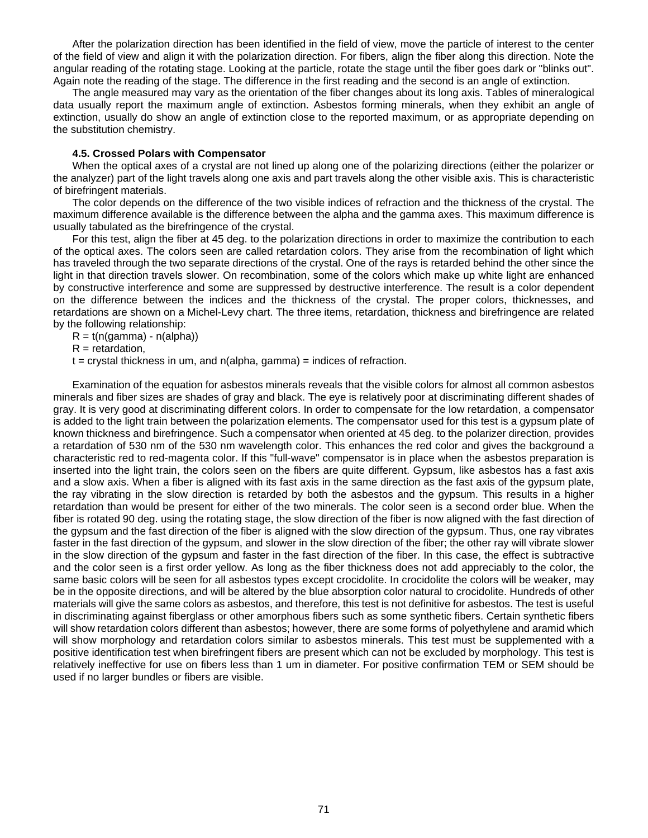After the polarization direction has been identified in the field of view, move the particle of interest to the center of the field of view and align it with the polarization direction. For fibers, align the fiber along this direction. Note the angular reading of the rotating stage. Looking at the particle, rotate the stage until the fiber goes dark or "blinks out". Again note the reading of the stage. The difference in the first reading and the second is an angle of extinction.

The angle measured may vary as the orientation of the fiber changes about its long axis. Tables of mineralogical data usually report the maximum angle of extinction. Asbestos forming minerals, when they exhibit an angle of extinction, usually do show an angle of extinction close to the reported maximum, or as appropriate depending on the substitution chemistry.

#### **4.5. Crossed Polars with Compensator**

When the optical axes of a crystal are not lined up along one of the polarizing directions (either the polarizer or the analyzer) part of the light travels along one axis and part travels along the other visible axis. This is characteristic of birefringent materials.

The color depends on the difference of the two visible indices of refraction and the thickness of the crystal. The maximum difference available is the difference between the alpha and the gamma axes. This maximum difference is usually tabulated as the birefringence of the crystal.

For this test, align the fiber at 45 deg. to the polarization directions in order to maximize the contribution to each of the optical axes. The colors seen are called retardation colors. They arise from the recombination of light which has traveled through the two separate directions of the crystal. One of the rays is retarded behind the other since the light in that direction travels slower. On recombination, some of the colors which make up white light are enhanced by constructive interference and some are suppressed by destructive interference. The result is a color dependent on the difference between the indices and the thickness of the crystal. The proper colors, thicknesses, and retardations are shown on a Michel-Levy chart. The three items, retardation, thickness and birefringence are related by the following relationship:

 $R = t(n(gamma) - n(alpha))$ 

 $R =$  retardation,

 $t =$  crystal thickness in um, and n(alpha, gamma) = indices of refraction.

Examination of the equation for asbestos minerals reveals that the visible colors for almost all common asbestos minerals and fiber sizes are shades of gray and black. The eye is relatively poor at discriminating different shades of gray. It is very good at discriminating different colors. In order to compensate for the low retardation, a compensator is added to the light train between the polarization elements. The compensator used for this test is a gypsum plate of known thickness and birefringence. Such a compensator when oriented at 45 deg. to the polarizer direction, provides a retardation of 530 nm of the 530 nm wavelength color. This enhances the red color and gives the background a characteristic red to red-magenta color. If this "full-wave" compensator is in place when the asbestos preparation is inserted into the light train, the colors seen on the fibers are quite different. Gypsum, like asbestos has a fast axis and a slow axis. When a fiber is aligned with its fast axis in the same direction as the fast axis of the gypsum plate, the ray vibrating in the slow direction is retarded by both the asbestos and the gypsum. This results in a higher retardation than would be present for either of the two minerals. The color seen is a second order blue. When the fiber is rotated 90 deg. using the rotating stage, the slow direction of the fiber is now aligned with the fast direction of the gypsum and the fast direction of the fiber is aligned with the slow direction of the gypsum. Thus, one ray vibrates faster in the fast direction of the gypsum, and slower in the slow direction of the fiber; the other ray will vibrate slower in the slow direction of the gypsum and faster in the fast direction of the fiber. In this case, the effect is subtractive and the color seen is a first order yellow. As long as the fiber thickness does not add appreciably to the color, the same basic colors will be seen for all asbestos types except crocidolite. In crocidolite the colors will be weaker, may be in the opposite directions, and will be altered by the blue absorption color natural to crocidolite. Hundreds of other materials will give the same colors as asbestos, and therefore, this test is not definitive for asbestos. The test is useful in discriminating against fiberglass or other amorphous fibers such as some synthetic fibers. Certain synthetic fibers will show retardation colors different than asbestos; however, there are some forms of polyethylene and aramid which will show morphology and retardation colors similar to asbestos minerals. This test must be supplemented with a positive identification test when birefringent fibers are present which can not be excluded by morphology. This test is relatively ineffective for use on fibers less than 1 um in diameter. For positive confirmation TEM or SEM should be used if no larger bundles or fibers are visible.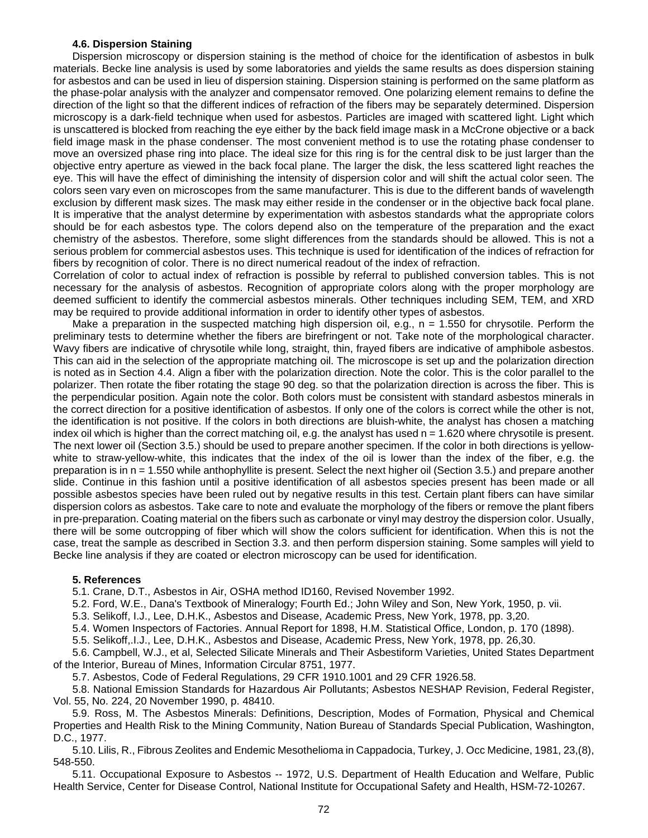## **4.6. Dispersion Staining**

Dispersion microscopy or dispersion staining is the method of choice for the identification of asbestos in bulk materials. Becke line analysis is used by some laboratories and yields the same results as does dispersion staining for asbestos and can be used in lieu of dispersion staining. Dispersion staining is performed on the same platform as the phase-polar analysis with the analyzer and compensator removed. One polarizing element remains to define the direction of the light so that the different indices of refraction of the fibers may be separately determined. Dispersion microscopy is a dark-field technique when used for asbestos. Particles are imaged with scattered light. Light which is unscattered is blocked from reaching the eye either by the back field image mask in a McCrone objective or a back field image mask in the phase condenser. The most convenient method is to use the rotating phase condenser to move an oversized phase ring into place. The ideal size for this ring is for the central disk to be just larger than the objective entry aperture as viewed in the back focal plane. The larger the disk, the less scattered light reaches the eye. This will have the effect of diminishing the intensity of dispersion color and will shift the actual color seen. The colors seen vary even on microscopes from the same manufacturer. This is due to the different bands of wavelength exclusion by different mask sizes. The mask may either reside in the condenser or in the objective back focal plane. It is imperative that the analyst determine by experimentation with asbestos standards what the appropriate colors should be for each asbestos type. The colors depend also on the temperature of the preparation and the exact chemistry of the asbestos. Therefore, some slight differences from the standards should be allowed. This is not a serious problem for commercial asbestos uses. This technique is used for identification of the indices of refraction for fibers by recognition of color. There is no direct numerical readout of the index of refraction.

Correlation of color to actual index of refraction is possible by referral to published conversion tables. This is not necessary for the analysis of asbestos. Recognition of appropriate colors along with the proper morphology are deemed sufficient to identify the commercial asbestos minerals. Other techniques including SEM, TEM, and XRD may be required to provide additional information in order to identify other types of asbestos.

Make a preparation in the suspected matching high dispersion oil, e.g.,  $n = 1.550$  for chrysotile. Perform the preliminary tests to determine whether the fibers are birefringent or not. Take note of the morphological character. Wavy fibers are indicative of chrysotile while long, straight, thin, frayed fibers are indicative of amphibole asbestos. This can aid in the selection of the appropriate matching oil. The microscope is set up and the polarization direction is noted as in Section 4.4. Align a fiber with the polarization direction. Note the color. This is the color parallel to the polarizer. Then rotate the fiber rotating the stage 90 deg. so that the polarization direction is across the fiber. This is the perpendicular position. Again note the color. Both colors must be consistent with standard asbestos minerals in the correct direction for a positive identification of asbestos. If only one of the colors is correct while the other is not, the identification is not positive. If the colors in both directions are bluish-white, the analyst has chosen a matching index oil which is higher than the correct matching oil, e.g. the analyst has used  $n = 1.620$  where chrysotile is present. The next lower oil (Section 3.5.) should be used to prepare another specimen. If the color in both directions is yellowwhite to straw-yellow-white, this indicates that the index of the oil is lower than the index of the fiber, e.g. the preparation is in n = 1.550 while anthophyllite is present. Select the next higher oil (Section 3.5.) and prepare another slide. Continue in this fashion until a positive identification of all asbestos species present has been made or all possible asbestos species have been ruled out by negative results in this test. Certain plant fibers can have similar dispersion colors as asbestos. Take care to note and evaluate the morphology of the fibers or remove the plant fibers in pre-preparation. Coating material on the fibers such as carbonate or vinyl may destroy the dispersion color. Usually, there will be some outcropping of fiber which will show the colors sufficient for identification. When this is not the case, treat the sample as described in Section 3.3. and then perform dispersion staining. Some samples will yield to Becke line analysis if they are coated or electron microscopy can be used for identification.

## **5. References**

5.1. Crane, D.T., Asbestos in Air, OSHA method ID160, Revised November 1992.

5.2. Ford, W.E., Dana's Textbook of Mineralogy; Fourth Ed.; John Wiley and Son, New York, 1950, p. vii.

5.3. Selikoff, I.J., Lee, D.H.K., Asbestos and Disease, Academic Press, New York, 1978, pp. 3,20.

5.4. Women Inspectors of Factories. Annual Report for 1898, H.M. Statistical Office, London, p. 170 (1898).

5.5. Selikoff,.I.J., Lee, D.H.K., Asbestos and Disease, Academic Press, New York, 1978, pp. 26,30.

5.6. Campbell, W.J., et al, Selected Silicate Minerals and Their Asbestiform Varieties, United States Department of the Interior, Bureau of Mines, Information Circular 8751, 1977.

5.7. Asbestos, Code of Federal Regulations, 29 CFR 1910.1001 and 29 CFR 1926.58.

5.8. National Emission Standards for Hazardous Air Pollutants; Asbestos NESHAP Revision, Federal Register, Vol. 55, No. 224, 20 November 1990, p. 48410.

5.9. Ross, M. The Asbestos Minerals: Definitions, Description, Modes of Formation, Physical and Chemical Properties and Health Risk to the Mining Community, Nation Bureau of Standards Special Publication, Washington, D.C., 1977.

5.10. Lilis, R., Fibrous Zeolites and Endemic Mesothelioma in Cappadocia, Turkey, J. Occ Medicine, 1981, 23,(8), 548-550.

5.11. Occupational Exposure to Asbestos -- 1972, U.S. Department of Health Education and Welfare, Public Health Service, Center for Disease Control, National Institute for Occupational Safety and Health, HSM-72-10267.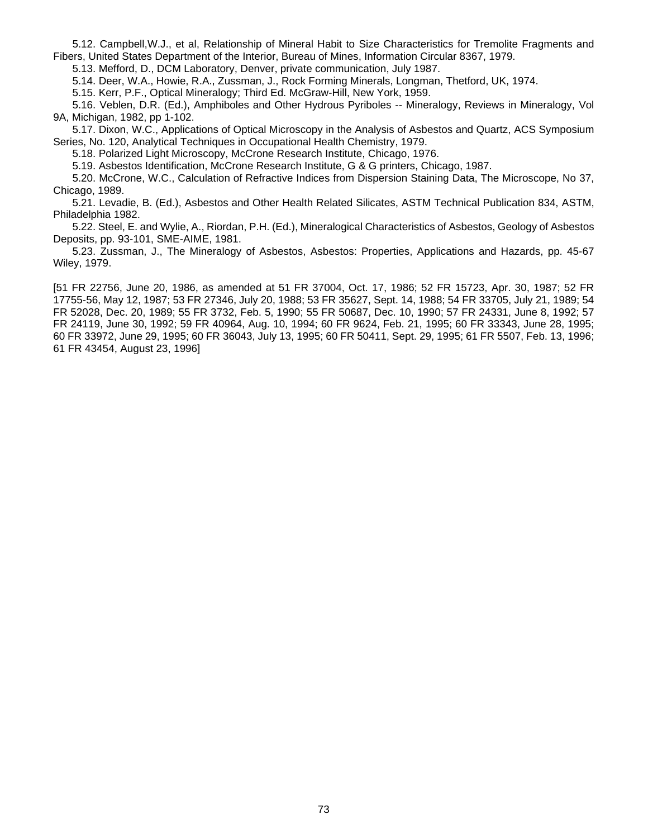5.12. Campbell,W.J., et al, Relationship of Mineral Habit to Size Characteristics for Tremolite Fragments and Fibers, United States Department of the Interior, Bureau of Mines, Information Circular 8367, 1979.

5.13. Mefford, D., DCM Laboratory, Denver, private communication, July 1987.

5.14. Deer, W.A., Howie, R.A., Zussman, J., Rock Forming Minerals, Longman, Thetford, UK, 1974.

5.15. Kerr, P.F., Optical Mineralogy; Third Ed. McGraw-Hill, New York, 1959.

5.16. Veblen, D.R. (Ed.), Amphiboles and Other Hydrous Pyriboles -- Mineralogy, Reviews in Mineralogy, Vol 9A, Michigan, 1982, pp 1-102.

5.17. Dixon, W.C., Applications of Optical Microscopy in the Analysis of Asbestos and Quartz, ACS Symposium Series, No. 120, Analytical Techniques in Occupational Health Chemistry, 1979.

5.18. Polarized Light Microscopy, McCrone Research Institute, Chicago, 1976.

5.19. Asbestos Identification, McCrone Research Institute, G & G printers, Chicago, 1987.

5.20. McCrone, W.C., Calculation of Refractive Indices from Dispersion Staining Data, The Microscope, No 37, Chicago, 1989.

5.21. Levadie, B. (Ed.), Asbestos and Other Health Related Silicates, ASTM Technical Publication 834, ASTM, Philadelphia 1982.

5.22. Steel, E. and Wylie, A., Riordan, P.H. (Ed.), Mineralogical Characteristics of Asbestos, Geology of Asbestos Deposits, pp. 93-101, SME-AIME, 1981.

5.23. Zussman, J., The Mineralogy of Asbestos, Asbestos: Properties, Applications and Hazards, pp. 45-67 Wiley, 1979.

[51 FR 22756, June 20, 1986, as amended at 51 FR 37004, Oct. 17, 1986; 52 FR 15723, Apr. 30, 1987; 52 FR 17755-56, May 12, 1987; 53 FR 27346, July 20, 1988; 53 FR 35627, Sept. 14, 1988; 54 FR 33705, July 21, 1989; 54 FR 52028, Dec. 20, 1989; 55 FR 3732, Feb. 5, 1990; 55 FR 50687, Dec. 10, 1990; 57 FR 24331, June 8, 1992; 57 FR 24119, June 30, 1992; 59 FR 40964, Aug. 10, 1994; 60 FR 9624, Feb. 21, 1995; 60 FR 33343, June 28, 1995; 60 FR 33972, June 29, 1995; 60 FR 36043, July 13, 1995; 60 FR 50411, Sept. 29, 1995; 61 FR 5507, Feb. 13, 1996; 61 FR 43454, August 23, 1996]